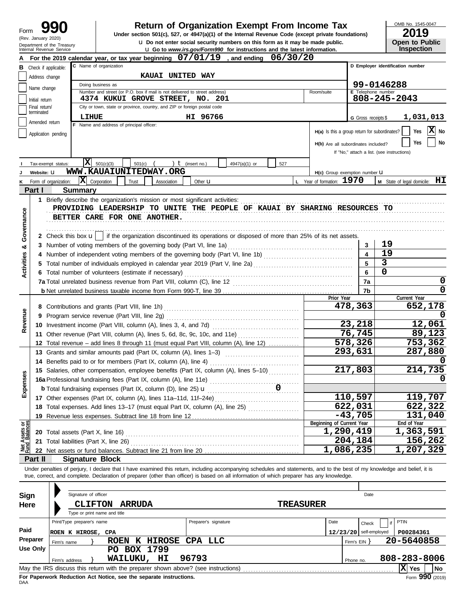## **Return of Organization Exempt From Income Tax**

u **Do not enter social security numbers on this form as it may be made public. Open to Public Under section 501(c), 527, or 4947(a)(1) of the Internal Revenue Code (except private foundations)**

OMB No. 1545-0047

|  | 20 I J                |  |
|--|-----------------------|--|
|  | <b>Open to Public</b> |  |
|  | <b>Inspection</b>     |  |

|                                                            | טווג טו גווט<br>Internal Revenue Service                             |                                                |                              |               |                                                                                   |                      | <b>u</b> Go to www.irs.gov/Form990 for instructions and the latest information.                                                                                                                         |          |  |                           |                                     | Inspection                                                                                                                                                                 |
|------------------------------------------------------------|----------------------------------------------------------------------|------------------------------------------------|------------------------------|---------------|-----------------------------------------------------------------------------------|----------------------|---------------------------------------------------------------------------------------------------------------------------------------------------------------------------------------------------------|----------|--|---------------------------|-------------------------------------|----------------------------------------------------------------------------------------------------------------------------------------------------------------------------|
|                                                            |                                                                      |                                                |                              |               | For the 2019 calendar year, or tax year beginning 07/01/19                        |                      | and ending                                                                                                                                                                                              | 06/30/20 |  |                           |                                     |                                                                                                                                                                            |
| в                                                          | Check if applicable:                                                 |                                                | C Name of organization       |               |                                                                                   |                      |                                                                                                                                                                                                         |          |  |                           |                                     | D Employer identification number                                                                                                                                           |
|                                                            | Address change                                                       |                                                |                              |               | KAUAI UNITED WAY                                                                  |                      |                                                                                                                                                                                                         |          |  |                           |                                     |                                                                                                                                                                            |
|                                                            |                                                                      |                                                | Doing business as            |               |                                                                                   |                      |                                                                                                                                                                                                         |          |  |                           |                                     | 99-0146288                                                                                                                                                                 |
|                                                            | Name change                                                          |                                                |                              |               | Number and street (or P.O. box if mail is not delivered to street address)        |                      |                                                                                                                                                                                                         |          |  | Room/suite                | E Telephone number                  |                                                                                                                                                                            |
|                                                            | Initial return                                                       |                                                |                              |               | 4374 KUKUI GROVE STREET, NO. 201                                                  |                      |                                                                                                                                                                                                         |          |  |                           |                                     | 808-245-2043                                                                                                                                                               |
|                                                            | Final return/                                                        |                                                |                              |               | City or town, state or province, country, and ZIP or foreign postal code          |                      |                                                                                                                                                                                                         |          |  |                           |                                     |                                                                                                                                                                            |
|                                                            | terminated                                                           | LIHUE                                          |                              |               |                                                                                   | HI 96766             |                                                                                                                                                                                                         |          |  |                           | G Gross receipts \$                 | 1,031,013                                                                                                                                                                  |
| Amended return<br>F Name and address of principal officer: |                                                                      |                                                |                              |               |                                                                                   |                      |                                                                                                                                                                                                         |          |  |                           |                                     |                                                                                                                                                                            |
|                                                            | H(a) Is this a group return for subordinates?<br>Application pending |                                                |                              |               |                                                                                   |                      |                                                                                                                                                                                                         |          |  |                           |                                     | X No<br>Yes                                                                                                                                                                |
|                                                            |                                                                      |                                                |                              |               |                                                                                   |                      |                                                                                                                                                                                                         |          |  |                           |                                     | No<br>Yes                                                                                                                                                                  |
|                                                            |                                                                      |                                                |                              |               |                                                                                   |                      |                                                                                                                                                                                                         |          |  |                           | H(b) Are all subordinates included? |                                                                                                                                                                            |
|                                                            |                                                                      |                                                |                              |               |                                                                                   |                      |                                                                                                                                                                                                         |          |  |                           |                                     | If "No," attach a list. (see instructions)                                                                                                                                 |
|                                                            | Tax-exempt status:                                                   |                                                | $X = 501(c)(3)$              | 501(c)        |                                                                                   | ) $t$ (insert no.)   | 4947(a)(1) or                                                                                                                                                                                           | 527      |  |                           |                                     |                                                                                                                                                                            |
|                                                            | Website: U                                                           |                                                |                              |               | WWW.KAUAIUNITEDWAY.ORG                                                            |                      |                                                                                                                                                                                                         |          |  |                           | H(c) Group exemption number LI      |                                                                                                                                                                            |
| Κ                                                          | Form of organization:                                                |                                                | X Corporation                | Trust         | Association                                                                       | Other $\mathbf u$    |                                                                                                                                                                                                         |          |  | L Year of formation: 1970 |                                     | <b>M</b> State of legal domicile: $\mathbf{H}\mathbf{I}$                                                                                                                   |
|                                                            | Part I                                                               | <b>Summary</b>                                 |                              |               |                                                                                   |                      |                                                                                                                                                                                                         |          |  |                           |                                     |                                                                                                                                                                            |
|                                                            |                                                                      |                                                |                              |               |                                                                                   |                      |                                                                                                                                                                                                         |          |  |                           |                                     |                                                                                                                                                                            |
|                                                            |                                                                      |                                                |                              |               |                                                                                   |                      | PROVIDING LEADERSHIP TO UNITE THE PEOPLE OF KAUAI BY SHARING RESOURCES TO                                                                                                                               |          |  |                           |                                     |                                                                                                                                                                            |
|                                                            |                                                                      |                                                |                              |               |                                                                                   |                      |                                                                                                                                                                                                         |          |  |                           |                                     |                                                                                                                                                                            |
|                                                            |                                                                      |                                                |                              |               | BETTER CARE FOR ONE ANOTHER.                                                      |                      |                                                                                                                                                                                                         |          |  |                           |                                     |                                                                                                                                                                            |
|                                                            |                                                                      |                                                |                              |               |                                                                                   |                      |                                                                                                                                                                                                         |          |  |                           |                                     |                                                                                                                                                                            |
| Governance                                                 |                                                                      |                                                |                              |               |                                                                                   |                      | 2 Check this box $\mathbf{u}$ if the organization discontinued its operations or disposed of more than 25% of its net assets.                                                                           |          |  |                           |                                     |                                                                                                                                                                            |
| ಯ                                                          |                                                                      |                                                |                              |               |                                                                                   |                      | 3 Number of voting members of the governing body (Part VI, line 1a) [2010] (2010) [2010] (2010) [30] Mumber of voting members of the governing body (Part VI, line 1a) [2010] (2010) [30] $\frac{1}{2}$ |          |  |                           | 3                                   | 19                                                                                                                                                                         |
|                                                            |                                                                      |                                                |                              |               |                                                                                   |                      |                                                                                                                                                                                                         |          |  |                           | 4                                   | 19                                                                                                                                                                         |
|                                                            |                                                                      |                                                |                              |               |                                                                                   |                      |                                                                                                                                                                                                         |          |  |                           | 5                                   | 3                                                                                                                                                                          |
| Activities                                                 |                                                                      |                                                |                              |               | 6 Total number of volunteers (estimate if necessary)                              |                      |                                                                                                                                                                                                         |          |  |                           | 6                                   | 0                                                                                                                                                                          |
|                                                            |                                                                      |                                                |                              |               |                                                                                   |                      |                                                                                                                                                                                                         |          |  |                           | 7a                                  | 0                                                                                                                                                                          |
|                                                            |                                                                      |                                                |                              |               |                                                                                   |                      |                                                                                                                                                                                                         |          |  |                           |                                     | 0                                                                                                                                                                          |
|                                                            |                                                                      |                                                |                              |               |                                                                                   |                      |                                                                                                                                                                                                         |          |  | Prior Year                | 7b                                  | Current Year                                                                                                                                                               |
|                                                            |                                                                      |                                                |                              |               |                                                                                   |                      |                                                                                                                                                                                                         |          |  |                           | 478,363                             | 652,178                                                                                                                                                                    |
|                                                            |                                                                      |                                                |                              |               |                                                                                   |                      |                                                                                                                                                                                                         |          |  |                           |                                     |                                                                                                                                                                            |
| Revenue                                                    |                                                                      | 9 Program service revenue (Part VIII, line 2g) |                              |               |                                                                                   |                      |                                                                                                                                                                                                         |          |  |                           |                                     |                                                                                                                                                                            |
|                                                            |                                                                      |                                                |                              |               |                                                                                   |                      |                                                                                                                                                                                                         |          |  |                           | 23,218                              | 12,061                                                                                                                                                                     |
|                                                            |                                                                      |                                                |                              |               |                                                                                   |                      | 11 Other revenue (Part VIII, column (A), lines 5, 6d, 8c, 9c, 10c, and 11e)                                                                                                                             |          |  |                           | 76,745                              | 89,123                                                                                                                                                                     |
|                                                            |                                                                      |                                                |                              |               |                                                                                   |                      | 12 Total revenue - add lines 8 through 11 (must equal Part VIII, column (A), line 12)                                                                                                                   |          |  |                           | 578,326                             | 753,362                                                                                                                                                                    |
|                                                            |                                                                      |                                                |                              |               | 13 Grants and similar amounts paid (Part IX, column (A), lines 1-3)               |                      |                                                                                                                                                                                                         |          |  |                           | 293,631                             | 287,880                                                                                                                                                                    |
|                                                            |                                                                      |                                                |                              |               | 14 Benefits paid to or for members (Part IX, column (A), line 4)                  |                      |                                                                                                                                                                                                         |          |  |                           |                                     |                                                                                                                                                                            |
|                                                            |                                                                      |                                                |                              |               |                                                                                   |                      | 15 Salaries, other compensation, employee benefits (Part IX, column (A), lines 5-10)                                                                                                                    |          |  |                           | 217,803                             | 214,735                                                                                                                                                                    |
| enses                                                      |                                                                      |                                                |                              |               |                                                                                   |                      |                                                                                                                                                                                                         |          |  |                           |                                     |                                                                                                                                                                            |
|                                                            |                                                                      |                                                |                              |               | <b>b</b> Total fundraising expenses (Part IX, column (D), line 25) <b>u</b>       |                      |                                                                                                                                                                                                         |          |  |                           |                                     |                                                                                                                                                                            |
| Exp                                                        |                                                                      |                                                |                              |               | 17 Other expenses (Part IX, column (A), lines 11a-11d, 11f-24e)                   |                      |                                                                                                                                                                                                         |          |  |                           | 110,597                             | 119,707                                                                                                                                                                    |
|                                                            |                                                                      |                                                |                              |               |                                                                                   |                      | 18 Total expenses. Add lines 13-17 (must equal Part IX, column (A), line 25)                                                                                                                            |          |  |                           | 622,031                             | 622,322                                                                                                                                                                    |
|                                                            |                                                                      |                                                |                              |               |                                                                                   |                      |                                                                                                                                                                                                         |          |  |                           | $-43,705$                           | 131,040                                                                                                                                                                    |
|                                                            |                                                                      |                                                |                              |               | 19 Revenue less expenses. Subtract line 18 from line 12                           |                      |                                                                                                                                                                                                         |          |  | Beginning of Current Year |                                     | End of Year                                                                                                                                                                |
| t Assets or<br>d Balances                                  |                                                                      |                                                |                              |               |                                                                                   |                      |                                                                                                                                                                                                         |          |  |                           | 1,290,419                           | 1,363,591                                                                                                                                                                  |
|                                                            |                                                                      | 20 Total assets (Part X, line 16)              |                              |               |                                                                                   |                      |                                                                                                                                                                                                         |          |  |                           |                                     |                                                                                                                                                                            |
| $\frac{1}{2}$                                              |                                                                      | 21 Total liabilities (Part X, line 26)         |                              |               |                                                                                   |                      |                                                                                                                                                                                                         |          |  |                           | 204,184                             | 156,262                                                                                                                                                                    |
|                                                            |                                                                      |                                                |                              |               |                                                                                   |                      |                                                                                                                                                                                                         |          |  |                           | 1,086,235                           | 1,207,329                                                                                                                                                                  |
|                                                            | Part II                                                              | <b>Signature Block</b>                         |                              |               |                                                                                   |                      |                                                                                                                                                                                                         |          |  |                           |                                     |                                                                                                                                                                            |
|                                                            |                                                                      |                                                |                              |               |                                                                                   |                      |                                                                                                                                                                                                         |          |  |                           |                                     | Under penalties of perjury, I declare that I have examined this return, including accompanying schedules and statements, and to the best of my knowledge and belief, it is |
|                                                            |                                                                      |                                                |                              |               |                                                                                   |                      | true, correct, and complete. Declaration of preparer (other than officer) is based on all information of which preparer has any knowledge.                                                              |          |  |                           |                                     |                                                                                                                                                                            |
|                                                            |                                                                      |                                                |                              |               |                                                                                   |                      |                                                                                                                                                                                                         |          |  |                           |                                     |                                                                                                                                                                            |
| Sign                                                       |                                                                      | Signature of officer                           |                              |               |                                                                                   |                      |                                                                                                                                                                                                         |          |  |                           | Date                                |                                                                                                                                                                            |
| Here                                                       |                                                                      | <b>CLIFTON</b>                                 |                              | <b>ARRUDA</b> |                                                                                   |                      |                                                                                                                                                                                                         |          |  | <b>TREASURER</b>          |                                     |                                                                                                                                                                            |
|                                                            |                                                                      |                                                | Type or print name and title |               |                                                                                   |                      |                                                                                                                                                                                                         |          |  |                           |                                     |                                                                                                                                                                            |
|                                                            |                                                                      |                                                |                              |               |                                                                                   |                      |                                                                                                                                                                                                         |          |  |                           |                                     |                                                                                                                                                                            |
|                                                            |                                                                      | Print/Type preparer's name                     |                              |               |                                                                                   | Preparer's signature |                                                                                                                                                                                                         |          |  | Date                      | Check                               | <b>PTIN</b>                                                                                                                                                                |
| Paid                                                       |                                                                      | <b>ROEN K HIROSE, CPA</b>                      |                              |               |                                                                                   |                      |                                                                                                                                                                                                         |          |  |                           | $12/23/20$ self-employed            | P00284361                                                                                                                                                                  |
|                                                            | Preparer                                                             | Firm's name                                    |                              |               | ROEN K HIROSE CPA LLC                                                             |                      |                                                                                                                                                                                                         |          |  |                           | Firm's EIN }                        | 20-5640858                                                                                                                                                                 |
|                                                            | <b>Use Only</b>                                                      |                                                |                              | PO BOX 1799   |                                                                                   |                      |                                                                                                                                                                                                         |          |  |                           |                                     |                                                                                                                                                                            |
|                                                            |                                                                      | Firm's address                                 |                              | WAILUKU, HI   |                                                                                   | 96793                |                                                                                                                                                                                                         |          |  |                           | Phone no.                           | 808-283-8006                                                                                                                                                               |
|                                                            |                                                                      |                                                |                              |               | May the IRS discuss this return with the preparer shown above? (see instructions) |                      |                                                                                                                                                                                                         |          |  |                           |                                     | $ X $ Yes<br>No                                                                                                                                                            |

| Sign<br>Here | Signature of officer<br><b>CLIFTON</b><br><b>ARRUDA</b><br>Type or print name and title | <b>TREASURER</b>     |      | Date                              |    |                   |    |
|--------------|-----------------------------------------------------------------------------------------|----------------------|------|-----------------------------------|----|-------------------|----|
| Paid         | Print/Type preparer's name<br>ROEN K HIROSE, CPA                                        | Preparer's signature | Date | Check<br>$12/23/20$ self-employed | if | PTIN<br>P00284361 |    |
| Preparer     | <b>ROEN</b><br>K<br>Firm's name                                                         | HIROSE CPA LLC       |      | Firm's $EIN$                      |    | 20-5640858        |    |
| Use Only     | BOX 1799<br>PO<br>НI<br><b>WAILUKU,</b><br>Firm's address                               | 96793                |      | Phone no.                         |    | 808-283-8006      |    |
|              | May the IRS discuss this return with the preparer shown above? (see instructions)       |                      |      |                                   |    | $ X $ Yes         | No |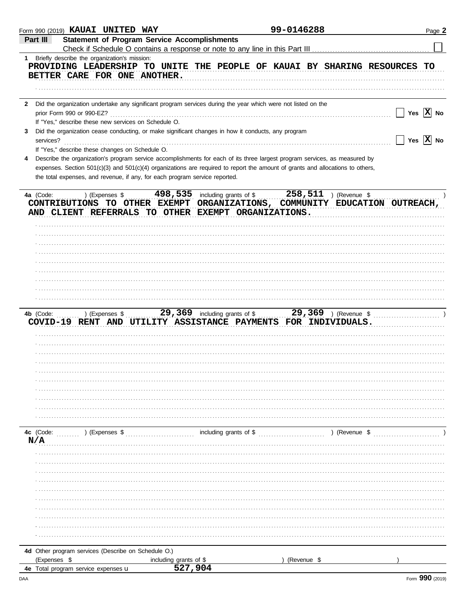|   | 99-0146288<br>Form 990 (2019) KAUAI UNITED WAY                                                                                                                                                                                                                                                                                              | Page 2                               |
|---|---------------------------------------------------------------------------------------------------------------------------------------------------------------------------------------------------------------------------------------------------------------------------------------------------------------------------------------------|--------------------------------------|
|   | <b>Statement of Program Service Accomplishments</b><br>Part III<br>Check if Schedule O contains a response or note to any line in this Part III                                                                                                                                                                                             |                                      |
|   | 1 Briefly describe the organization's mission:<br>PROVIDING LEADERSHIP TO UNITE THE PEOPLE OF KAUAI BY SHARING RESOURCES TO<br>BETTER CARE FOR ONE ANOTHER.                                                                                                                                                                                 |                                      |
|   |                                                                                                                                                                                                                                                                                                                                             |                                      |
| 2 | Did the organization undertake any significant program services during the year which were not listed on the<br>If "Yes," describe these new services on Schedule O.                                                                                                                                                                        | Yes $ \mathbf{X} $ No                |
| 3 | Did the organization cease conducting, or make significant changes in how it conducts, any program<br>services?<br>If "Yes," describe these changes on Schedule O.                                                                                                                                                                          | $\sqrt{}$ Yes $\sqrt{\mathrm{X}}$ No |
| 4 | Describe the organization's program service accomplishments for each of its three largest program services, as measured by<br>expenses. Section 501(c)(3) and 501(c)(4) organizations are required to report the amount of grants and allocations to others,<br>the total expenses, and revenue, if any, for each program service reported. |                                      |
|   | 498,535 including grants of \$ 258,511 ) (Revenue \$<br>4a (Code:<br>) (Expenses \$<br>CONTRIBUTIONS TO OTHER EXEMPT ORGANIZATIONS, COMMUNITY EDUCATION OUTREACH,<br>AND CLIENT REFERRALS TO OTHER EXEMPT ORGANIZATIONS.                                                                                                                    |                                      |
|   |                                                                                                                                                                                                                                                                                                                                             |                                      |
|   |                                                                                                                                                                                                                                                                                                                                             |                                      |
|   |                                                                                                                                                                                                                                                                                                                                             |                                      |
|   | 4b (Code:<br>) (Expenses \$                                                                                                                                                                                                                                                                                                                 |                                      |
|   | COVID-19 RENT AND UTILITY ASSISTANCE PAYMENTS FOR INDIVIDUALS.                                                                                                                                                                                                                                                                              |                                      |
|   |                                                                                                                                                                                                                                                                                                                                             |                                      |
|   |                                                                                                                                                                                                                                                                                                                                             |                                      |
|   |                                                                                                                                                                                                                                                                                                                                             |                                      |
|   |                                                                                                                                                                                                                                                                                                                                             |                                      |
|   |                                                                                                                                                                                                                                                                                                                                             |                                      |
|   | $\frac{1}{2}$ including grants of \$<br>4c (Code: (Code: ) (Expenses \$<br>) (Revenue \$                                                                                                                                                                                                                                                    |                                      |
|   | N/A                                                                                                                                                                                                                                                                                                                                         |                                      |
|   |                                                                                                                                                                                                                                                                                                                                             |                                      |
|   |                                                                                                                                                                                                                                                                                                                                             |                                      |
|   |                                                                                                                                                                                                                                                                                                                                             |                                      |
|   |                                                                                                                                                                                                                                                                                                                                             |                                      |
|   |                                                                                                                                                                                                                                                                                                                                             |                                      |
|   |                                                                                                                                                                                                                                                                                                                                             |                                      |
|   |                                                                                                                                                                                                                                                                                                                                             |                                      |
|   | 4d Other program services (Describe on Schedule O.)                                                                                                                                                                                                                                                                                         |                                      |
|   | (Expenses \$<br>including grants of \$<br>(Revenue \$<br>527,904<br>4e Total program service expenses u                                                                                                                                                                                                                                     |                                      |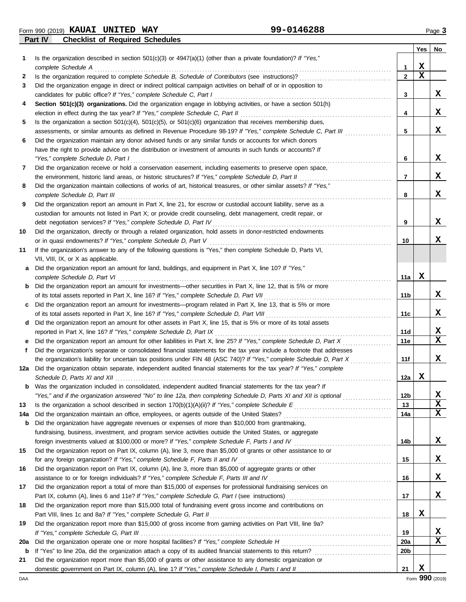Form 990 (2019) Page **3 KAUAI UNITED WAY 99-0146288**

**Part IV Checklist of Required Schedules**

|     |                                                                                                                         |                 | <b>Yes</b>  | No          |
|-----|-------------------------------------------------------------------------------------------------------------------------|-----------------|-------------|-------------|
| 1   | Is the organization described in section $501(c)(3)$ or $4947(a)(1)$ (other than a private foundation)? If "Yes,"       |                 |             |             |
|     | complete Schedule A                                                                                                     | 1               | x           |             |
| 2   | Is the organization required to complete Schedule B, Schedule of Contributors (see instructions)?                       | $\mathbf{2}$    | $\mathbf x$ |             |
| 3   | Did the organization engage in direct or indirect political campaign activities on behalf of or in opposition to        |                 |             |             |
|     | candidates for public office? If "Yes," complete Schedule C, Part I                                                     | 3               |             | X,          |
| 4   | Section 501(c)(3) organizations. Did the organization engage in lobbying activities, or have a section 501(h)           |                 |             |             |
|     | election in effect during the tax year? If "Yes," complete Schedule C, Part II                                          | 4               |             | x           |
| 5   | Is the organization a section $501(c)(4)$ , $501(c)(5)$ , or $501(c)(6)$ organization that receives membership dues,    |                 |             |             |
|     | assessments, or similar amounts as defined in Revenue Procedure 98-19? If "Yes," complete Schedule C, Part III          | 5               |             | x           |
| 6   | Did the organization maintain any donor advised funds or any similar funds or accounts for which donors                 |                 |             |             |
|     | have the right to provide advice on the distribution or investment of amounts in such funds or accounts? If             |                 |             |             |
|     | "Yes," complete Schedule D, Part I                                                                                      | 6               |             | x           |
| 7   | Did the organization receive or hold a conservation easement, including easements to preserve open space,               |                 |             |             |
|     | the environment, historic land areas, or historic structures? If "Yes," complete Schedule D, Part II                    | 7               |             | x           |
| 8   | Did the organization maintain collections of works of art, historical treasures, or other similar assets? If "Yes,"     |                 |             |             |
|     | complete Schedule D, Part III                                                                                           | 8               |             | X           |
| 9   | Did the organization report an amount in Part X, line 21, for escrow or custodial account liability, serve as a         |                 |             |             |
|     | custodian for amounts not listed in Part X; or provide credit counseling, debt management, credit repair, or            |                 |             |             |
|     | debt negotiation services? If "Yes," complete Schedule D, Part IV                                                       | 9               |             | x           |
| 10  | Did the organization, directly or through a related organization, hold assets in donor-restricted endowments            |                 |             |             |
|     | or in quasi endowments? If "Yes," complete Schedule D, Part V                                                           | 10              |             | x           |
| 11  | If the organization's answer to any of the following questions is "Yes," then complete Schedule D, Parts VI,            |                 |             |             |
|     | VII, VIII, IX, or X as applicable.                                                                                      |                 |             |             |
| a   | Did the organization report an amount for land, buildings, and equipment in Part X, line 10? If "Yes,"                  |                 |             |             |
|     | complete Schedule D, Part VI                                                                                            | 11a             | x           |             |
| b   | Did the organization report an amount for investments-other securities in Part X, line 12, that is 5% or more           |                 |             |             |
|     | of its total assets reported in Part X, line 16? If "Yes," complete Schedule D, Part VII                                | 11 <sub>b</sub> |             | x           |
| c   | Did the organization report an amount for investments—program related in Part X, line 13, that is 5% or more            |                 |             |             |
|     | of its total assets reported in Part X, line 16? If "Yes," complete Schedule D, Part VIII                               | 11c             |             | x           |
| d   | Did the organization report an amount for other assets in Part X, line 15, that is 5% or more of its total assets       |                 |             |             |
|     | reported in Part X, line 16? If "Yes," complete Schedule D, Part IX                                                     | 11d             |             | x<br>X      |
| е   | Did the organization report an amount for other liabilities in Part X, line 25? If "Yes," complete Schedule D, Part X   | 11e             |             |             |
| f   | Did the organization's separate or consolidated financial statements for the tax year include a footnote that addresses |                 |             | X           |
|     | the organization's liability for uncertain tax positions under FIN 48 (ASC 740)? If "Yes," complete Schedule D, Part X  | 11f             |             |             |
| 12a | Did the organization obtain separate, independent audited financial statements for the tax year? If "Yes," complete     | 12a             | X           |             |
| b   | Was the organization included in consolidated, independent audited financial statements for the tax year? If            |                 |             |             |
|     | "Yes," and if the organization answered "No" to line 12a, then completing Schedule D, Parts XI and XII is optional      | 12 <sub>b</sub> |             | X           |
| 13  |                                                                                                                         | 13              |             | $\mathbf x$ |
| 14a |                                                                                                                         | 14a             |             | X           |
| b   | Did the organization have aggregate revenues or expenses of more than \$10,000 from grantmaking,                        |                 |             |             |
|     | fundraising, business, investment, and program service activities outside the United States, or aggregate               |                 |             |             |
|     |                                                                                                                         | 14 <sub>b</sub> |             | x           |
| 15  | Did the organization report on Part IX, column (A), line 3, more than \$5,000 of grants or other assistance to or       |                 |             |             |
|     | for any foreign organization? If "Yes," complete Schedule F, Parts II and IV                                            | 15              |             | X,          |
| 16  | Did the organization report on Part IX, column (A), line 3, more than \$5,000 of aggregate grants or other              |                 |             |             |
|     | assistance to or for foreign individuals? If "Yes," complete Schedule F, Parts III and IV                               | 16              |             | X.          |
| 17  | Did the organization report a total of more than \$15,000 of expenses for professional fundraising services on          |                 |             |             |
|     |                                                                                                                         | 17              |             | X.          |
| 18  | Did the organization report more than \$15,000 total of fundraising event gross income and contributions on             |                 |             |             |
|     | Part VIII, lines 1c and 8a? If "Yes," complete Schedule G, Part II                                                      | 18              | X           |             |
| 19  | Did the organization report more than \$15,000 of gross income from gaming activities on Part VIII, line 9a?            |                 |             |             |
|     |                                                                                                                         | 19              |             | x           |
| 20a |                                                                                                                         | 20a             |             | X           |
| b   |                                                                                                                         | 20 <sub>b</sub> |             |             |
| 21  | Did the organization report more than \$5,000 of grants or other assistance to any domestic organization or             |                 |             |             |
|     |                                                                                                                         | 21              | X           |             |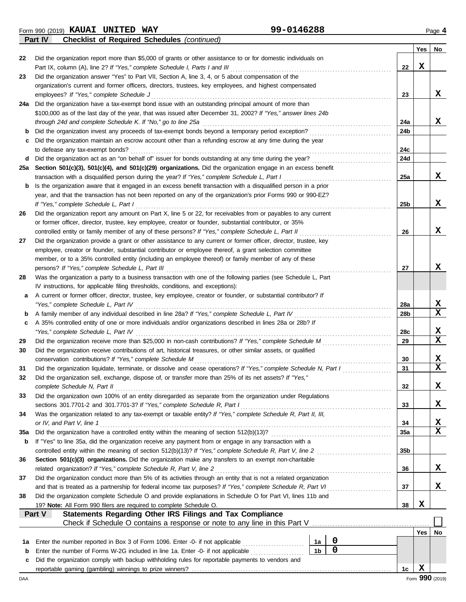Form 990 (2019) Page **4 KAUAI UNITED WAY 99-0146288 Part IV Checklist of Required Schedules** *(continued)*

|             |                                                                                                                                                                                                     |                 | Yes | No                      |
|-------------|-----------------------------------------------------------------------------------------------------------------------------------------------------------------------------------------------------|-----------------|-----|-------------------------|
| 22          | Did the organization report more than \$5,000 of grants or other assistance to or for domestic individuals on                                                                                       |                 |     |                         |
|             | Part IX, column (A), line 2? If "Yes," complete Schedule I, Parts I and III                                                                                                                         | 22              | X   |                         |
| 23          | Did the organization answer "Yes" to Part VII, Section A, line 3, 4, or 5 about compensation of the                                                                                                 |                 |     |                         |
|             | organization's current and former officers, directors, trustees, key employees, and highest compensated                                                                                             |                 |     |                         |
|             | employees? If "Yes," complete Schedule J                                                                                                                                                            | 23              |     | x                       |
| 24a         | Did the organization have a tax-exempt bond issue with an outstanding principal amount of more than                                                                                                 |                 |     |                         |
|             | \$100,000 as of the last day of the year, that was issued after December 31, 2002? If "Yes," answer lines 24b                                                                                       |                 |     |                         |
|             | through 24d and complete Schedule K. If "No," go to line 25a                                                                                                                                        | 24a             |     | x                       |
| b           | Did the organization invest any proceeds of tax-exempt bonds beyond a temporary period exception?                                                                                                   | 24b             |     |                         |
| c           | Did the organization maintain an escrow account other than a refunding escrow at any time during the year                                                                                           |                 |     |                         |
|             | to defease any tax-exempt bonds?                                                                                                                                                                    | 24c             |     |                         |
| d           | Did the organization act as an "on behalf of" issuer for bonds outstanding at any time during the year?                                                                                             | 24d             |     |                         |
| 25a         | Section 501(c)(3), 501(c)(4), and 501(c)(29) organizations. Did the organization engage in an excess benefit                                                                                        |                 |     |                         |
|             | transaction with a disqualified person during the year? If "Yes," complete Schedule L, Part I                                                                                                       | 25a             |     | x                       |
| b           | Is the organization aware that it engaged in an excess benefit transaction with a disqualified person in a prior                                                                                    |                 |     |                         |
|             | year, and that the transaction has not been reported on any of the organization's prior Forms 990 or 990-EZ?                                                                                        |                 |     |                         |
|             | If "Yes," complete Schedule L, Part I                                                                                                                                                               | 25 <sub>b</sub> |     | x                       |
| 26          | Did the organization report any amount on Part X, line 5 or 22, for receivables from or payables to any current                                                                                     |                 |     |                         |
|             | or former officer, director, trustee, key employee, creator or founder, substantial contributor, or 35%                                                                                             |                 |     |                         |
|             | controlled entity or family member of any of these persons? If "Yes," complete Schedule L, Part II                                                                                                  | 26              |     | x                       |
| 27          | Did the organization provide a grant or other assistance to any current or former officer, director, trustee, key                                                                                   |                 |     |                         |
|             | employee, creator or founder, substantial contributor or employee thereof, a grant selection committee                                                                                              |                 |     |                         |
|             | member, or to a 35% controlled entity (including an employee thereof) or family member of any of these                                                                                              |                 |     |                         |
|             | persons? If "Yes," complete Schedule L, Part III                                                                                                                                                    | 27              |     | x                       |
| 28          | Was the organization a party to a business transaction with one of the following parties (see Schedule L, Part                                                                                      |                 |     |                         |
|             | IV instructions, for applicable filing thresholds, conditions, and exceptions):<br>A current or former officer, director, trustee, key employee, creator or founder, or substantial contributor? If |                 |     |                         |
| a           | "Yes," complete Schedule L, Part IV                                                                                                                                                                 | 28a             |     | X                       |
| b           |                                                                                                                                                                                                     | 28b             |     | X                       |
| c           | A 35% controlled entity of one or more individuals and/or organizations described in lines 28a or 28b? If                                                                                           |                 |     |                         |
|             | "Yes," complete Schedule L, Part IV                                                                                                                                                                 | 28c             |     | X                       |
| 29          | Did the organization receive more than \$25,000 in non-cash contributions? If "Yes," complete Schedule M                                                                                            | 29              |     | $\overline{\mathbf{x}}$ |
| 30          | Did the organization receive contributions of art, historical treasures, or other similar assets, or qualified                                                                                      |                 |     |                         |
|             | conservation contributions? If "Yes," complete Schedule M                                                                                                                                           | 30              |     | X                       |
| 31          | Did the organization liquidate, terminate, or dissolve and cease operations? If "Yes," complete Schedule N, Part I                                                                                  | 31              |     | X                       |
| 32          | Did the organization sell, exchange, dispose of, or transfer more than 25% of its net assets? If "Yes,"                                                                                             |                 |     |                         |
|             | complete Schedule N, Part II                                                                                                                                                                        | 32              |     | X                       |
| 33          | Did the organization own 100% of an entity disregarded as separate from the organization under Regulations                                                                                          |                 |     |                         |
|             | sections 301.7701-2 and 301.7701-3? If "Yes," complete Schedule R, Part I                                                                                                                           | 33              |     | x                       |
| 34          | Was the organization related to any tax-exempt or taxable entity? If "Yes," complete Schedule R, Part II, III,                                                                                      |                 |     |                         |
|             | or IV, and Part V, line 1                                                                                                                                                                           | 34              |     | х                       |
| 35a         | Did the organization have a controlled entity within the meaning of section 512(b)(13)?                                                                                                             | 35a             |     | X                       |
| b           | If "Yes" to line 35a, did the organization receive any payment from or engage in any transaction with a                                                                                             |                 |     |                         |
|             | controlled entity within the meaning of section 512(b)(13)? If "Yes," complete Schedule R, Part V, line 2                                                                                           | 35 <sub>b</sub> |     |                         |
| 36          | Section 501(c)(3) organizations. Did the organization make any transfers to an exempt non-charitable                                                                                                |                 |     |                         |
|             | related organization? If "Yes," complete Schedule R, Part V, line 2                                                                                                                                 | 36              |     | x                       |
| 37          | Did the organization conduct more than 5% of its activities through an entity that is not a related organization                                                                                    |                 |     |                         |
|             | and that is treated as a partnership for federal income tax purposes? If "Yes," complete Schedule R, Part VI<br><u> 1999 - Johann Stoff, Amerikaansk kanton en </u>                                 | 37              |     | x                       |
| 38          | Did the organization complete Schedule O and provide explanations in Schedule O for Part VI, lines 11b and                                                                                          |                 |     |                         |
|             | 19? Note: All Form 990 filers are required to complete Schedule O.                                                                                                                                  | 38              | X   |                         |
|             | Statements Regarding Other IRS Filings and Tax Compliance<br>Part V                                                                                                                                 |                 |     |                         |
|             |                                                                                                                                                                                                     |                 |     |                         |
|             |                                                                                                                                                                                                     |                 | Yes | No                      |
| 1a          | 0<br>Enter the number reported in Box 3 of Form 1096. Enter -0- if not applicable<br>1a                                                                                                             |                 |     |                         |
| $\mathbf b$ | $\overline{0}$<br>1 <sub>b</sub><br>Enter the number of Forms W-2G included in line 1a. Enter -0- if not applicable                                                                                 |                 |     |                         |
| c           | Did the organization comply with backup withholding rules for reportable payments to vendors and                                                                                                    |                 |     |                         |
|             |                                                                                                                                                                                                     | 1c              | X   |                         |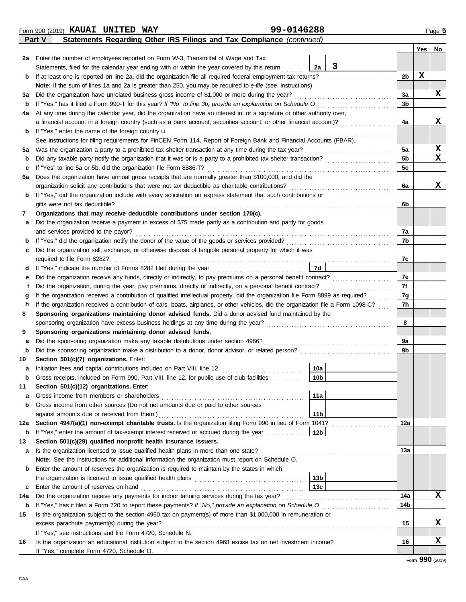|     | 99-0146288<br>Form 990 (2019) KAUAI UNITED WAY                                                                                                                                                                                                                              |                 |              |                      |     | Page 5           |  |  |  |  |  |  |
|-----|-----------------------------------------------------------------------------------------------------------------------------------------------------------------------------------------------------------------------------------------------------------------------------|-----------------|--------------|----------------------|-----|------------------|--|--|--|--|--|--|
|     | Statements Regarding Other IRS Filings and Tax Compliance (continued)<br>Part V                                                                                                                                                                                             |                 |              |                      |     |                  |  |  |  |  |  |  |
|     |                                                                                                                                                                                                                                                                             |                 |              |                      | Yes | No               |  |  |  |  |  |  |
|     | 2a Enter the number of employees reported on Form W-3, Transmittal of Wage and Tax                                                                                                                                                                                          |                 |              |                      |     |                  |  |  |  |  |  |  |
|     | Statements, filed for the calendar year ending with or within the year covered by this return                                                                                                                                                                               | 2a              | $\mathbf{3}$ |                      |     |                  |  |  |  |  |  |  |
| b   | If at least one is reported on line 2a, did the organization file all required federal employment tax returns?                                                                                                                                                              |                 |              | 2b                   | X   |                  |  |  |  |  |  |  |
|     | <b>Note:</b> If the sum of lines 1a and 2a is greater than 250, you may be required to e-file (see instructions)                                                                                                                                                            |                 |              |                      |     |                  |  |  |  |  |  |  |
| За  | Did the organization have unrelated business gross income of \$1,000 or more during the year?                                                                                                                                                                               |                 |              | За                   |     | X                |  |  |  |  |  |  |
| b   | If "Yes," has it filed a Form 990-T for this year? If "No" to line 3b, provide an explanation on Schedule O                                                                                                                                                                 |                 |              |                      |     |                  |  |  |  |  |  |  |
| 4a  | At any time during the calendar year, did the organization have an interest in, or a signature or other authority over,                                                                                                                                                     |                 |              |                      |     |                  |  |  |  |  |  |  |
|     | a financial account in a foreign country (such as a bank account, securities account, or other financial account)?                                                                                                                                                          |                 |              | 4a                   |     | x                |  |  |  |  |  |  |
| b   | If "Yes," enter the name of the foreign country u                                                                                                                                                                                                                           |                 |              |                      |     |                  |  |  |  |  |  |  |
|     | See instructions for filing requirements for FinCEN Form 114, Report of Foreign Bank and Financial Accounts (FBAR).                                                                                                                                                         |                 |              |                      |     |                  |  |  |  |  |  |  |
| 5a  | Was the organization a party to a prohibited tax shelter transaction at any time during the tax year?                                                                                                                                                                       |                 |              | 5a<br>5 <sub>b</sub> |     | X<br>$\mathbf x$ |  |  |  |  |  |  |
| b   | Did any taxable party notify the organization that it was or is a party to a prohibited tax shelter transaction?                                                                                                                                                            |                 |              |                      |     |                  |  |  |  |  |  |  |
| с   | If "Yes" to line 5a or 5b, did the organization file Form 8886-T?                                                                                                                                                                                                           |                 |              |                      |     |                  |  |  |  |  |  |  |
| 6a  | Does the organization have annual gross receipts that are normally greater than \$100,000, and did the                                                                                                                                                                      |                 |              |                      |     |                  |  |  |  |  |  |  |
|     | organization solicit any contributions that were not tax deductible as charitable contributions?                                                                                                                                                                            |                 |              | 6a                   |     | X                |  |  |  |  |  |  |
| b   | If "Yes," did the organization include with every solicitation an express statement that such contributions or                                                                                                                                                              |                 |              |                      |     |                  |  |  |  |  |  |  |
|     | gifts were not tax deductible?                                                                                                                                                                                                                                              |                 |              | 6b                   |     |                  |  |  |  |  |  |  |
| 7   | Organizations that may receive deductible contributions under section 170(c).                                                                                                                                                                                               |                 |              |                      |     |                  |  |  |  |  |  |  |
| а   | Did the organization receive a payment in excess of \$75 made partly as a contribution and partly for goods                                                                                                                                                                 |                 |              |                      |     |                  |  |  |  |  |  |  |
|     | and services provided to the payor?                                                                                                                                                                                                                                         |                 |              | 7a                   |     |                  |  |  |  |  |  |  |
| b   | If "Yes," did the organization notify the donor of the value of the goods or services provided?<br>If "Yes," did the organization notify the donor of the value of the goods or services provided?                                                                          |                 |              | 7b                   |     |                  |  |  |  |  |  |  |
| с   | Did the organization sell, exchange, or otherwise dispose of tangible personal property for which it was                                                                                                                                                                    |                 |              |                      |     |                  |  |  |  |  |  |  |
|     |                                                                                                                                                                                                                                                                             | 7d              |              | 7c                   |     |                  |  |  |  |  |  |  |
| d   | Did the organization receive any funds, directly or indirectly, to pay premiums on a personal benefit contract?                                                                                                                                                             |                 |              | 7e                   |     |                  |  |  |  |  |  |  |
| е   |                                                                                                                                                                                                                                                                             |                 |              | 7f                   |     |                  |  |  |  |  |  |  |
|     | Did the organization, during the year, pay premiums, directly or indirectly, on a personal benefit contract?<br>f                                                                                                                                                           |                 |              |                      |     |                  |  |  |  |  |  |  |
| h   | If the organization received a contribution of qualified intellectual property, did the organization file Form 8899 as required?<br>g<br>If the organization received a contribution of cars, boats, airplanes, or other vehicles, did the organization file a Form 1098-C? |                 |              |                      |     |                  |  |  |  |  |  |  |
| 8   | Sponsoring organizations maintaining donor advised funds. Did a donor advised fund maintained by the                                                                                                                                                                        |                 |              | 7h                   |     |                  |  |  |  |  |  |  |
|     |                                                                                                                                                                                                                                                                             |                 |              | 8                    |     |                  |  |  |  |  |  |  |
| 9   | Sponsoring organizations maintaining donor advised funds.                                                                                                                                                                                                                   |                 |              |                      |     |                  |  |  |  |  |  |  |
| а   | Did the sponsoring organization make any taxable distributions under section 4966?                                                                                                                                                                                          |                 |              | 9а                   |     |                  |  |  |  |  |  |  |
| b   |                                                                                                                                                                                                                                                                             |                 |              | 9b                   |     |                  |  |  |  |  |  |  |
| 10  | Section 501(c)(7) organizations. Enter:                                                                                                                                                                                                                                     |                 |              |                      |     |                  |  |  |  |  |  |  |
|     | Initiation fees and capital contributions included on Part VIII, line 12 [11] [11] [12] [11] [12] [11] [12] [1                                                                                                                                                              | $\sqrt{10a}$    |              |                      |     |                  |  |  |  |  |  |  |
| b   | Gross receipts, included on Form 990, Part VIII, line 12, for public use of club facilities                                                                                                                                                                                 | 10b             |              |                      |     |                  |  |  |  |  |  |  |
| 11  | Section 501(c)(12) organizations. Enter:                                                                                                                                                                                                                                    |                 |              |                      |     |                  |  |  |  |  |  |  |
| а   | Gross income from members or shareholders                                                                                                                                                                                                                                   | 11a             |              |                      |     |                  |  |  |  |  |  |  |
| b   | Gross income from other sources (Do not net amounts due or paid to other sources                                                                                                                                                                                            |                 |              |                      |     |                  |  |  |  |  |  |  |
|     | against amounts due or received from them.)                                                                                                                                                                                                                                 | 11 <sub>b</sub> |              |                      |     |                  |  |  |  |  |  |  |
| 12a | Section 4947(a)(1) non-exempt charitable trusts. Is the organization filing Form 990 in lieu of Form 1041?                                                                                                                                                                  |                 |              | 12a                  |     |                  |  |  |  |  |  |  |
| b   | If "Yes," enter the amount of tax-exempt interest received or accrued during the year <i>minimizion</i>                                                                                                                                                                     | 12b             |              |                      |     |                  |  |  |  |  |  |  |
| 13  | Section 501(c)(29) qualified nonprofit health insurance issuers.                                                                                                                                                                                                            |                 |              |                      |     |                  |  |  |  |  |  |  |
| a   | Is the organization licensed to issue qualified health plans in more than one state?                                                                                                                                                                                        |                 |              | 13а                  |     |                  |  |  |  |  |  |  |
|     | Note: See the instructions for additional information the organization must report on Schedule O.                                                                                                                                                                           |                 |              |                      |     |                  |  |  |  |  |  |  |
| b   | Enter the amount of reserves the organization is required to maintain by the states in which                                                                                                                                                                                |                 |              |                      |     |                  |  |  |  |  |  |  |
|     | the organization is licensed to issue qualified health plans [11] contains the organization is licensed to issue qualified health plans                                                                                                                                     | 13b             |              |                      |     |                  |  |  |  |  |  |  |
| c   | Enter the amount of reserves on hand                                                                                                                                                                                                                                        | 13c             |              |                      |     |                  |  |  |  |  |  |  |
| 14a | Did the organization receive any payments for indoor tanning services during the tax year?                                                                                                                                                                                  |                 |              | 14a                  |     | x                |  |  |  |  |  |  |
| b   | If "Yes," has it filed a Form 720 to report these payments? If "No," provide an explanation on Schedule O                                                                                                                                                                   |                 |              | 14b                  |     |                  |  |  |  |  |  |  |
| 15  | Is the organization subject to the section 4960 tax on payment(s) of more than \$1,000,000 in remuneration or                                                                                                                                                               |                 |              |                      |     |                  |  |  |  |  |  |  |
|     | excess parachute payment(s) during the year?                                                                                                                                                                                                                                |                 |              | 15                   |     | X                |  |  |  |  |  |  |
|     | If "Yes," see instructions and file Form 4720, Schedule N.                                                                                                                                                                                                                  |                 |              |                      |     | X                |  |  |  |  |  |  |
| 16  | Is the organization an educational institution subject to the section 4968 excise tax on net investment income?                                                                                                                                                             |                 |              | 16                   |     |                  |  |  |  |  |  |  |
|     | If "Yes," complete Form 4720, Schedule O.                                                                                                                                                                                                                                   |                 |              |                      |     |                  |  |  |  |  |  |  |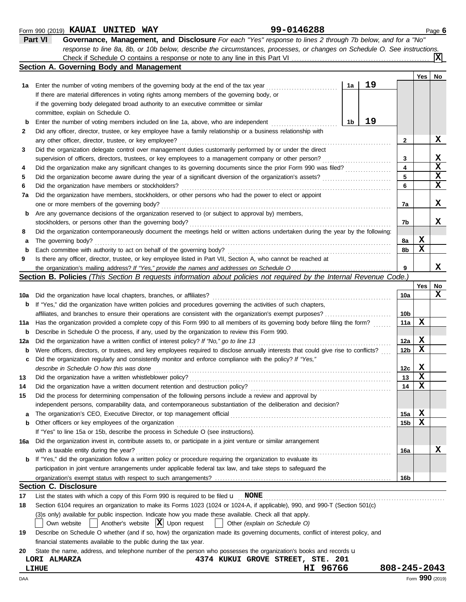|              | 99-0146288<br>Form 990 (2019) KAUAI UNITED WAY                                                                                      |                 |                 | Page 6      |
|--------------|-------------------------------------------------------------------------------------------------------------------------------------|-----------------|-----------------|-------------|
|              | Part VI<br>Governance, Management, and Disclosure For each "Yes" response to lines 2 through 7b below, and for a "No"               |                 |                 |             |
|              | response to line 8a, 8b, or 10b below, describe the circumstances, processes, or changes on Schedule O. See instructions.           |                 |                 |             |
|              |                                                                                                                                     |                 |                 | x           |
|              | Section A. Governing Body and Management                                                                                            |                 |                 |             |
|              |                                                                                                                                     |                 | Yes             | No          |
| 1а           | 19<br>1a<br>Enter the number of voting members of the governing body at the end of the tax year                                     |                 |                 |             |
|              | If there are material differences in voting rights among members of the governing body, or                                          |                 |                 |             |
|              | if the governing body delegated broad authority to an executive committee or similar                                                |                 |                 |             |
|              | committee, explain on Schedule O.                                                                                                   |                 |                 |             |
| b            | 19<br>1b<br>Enter the number of voting members included on line 1a, above, who are independent                                      |                 |                 |             |
| $\mathbf{2}$ | Did any officer, director, trustee, or key employee have a family relationship or a business relationship with                      |                 |                 |             |
|              | any other officer, director, trustee, or key employee?                                                                              | $\mathbf{2}$    |                 | X           |
| 3            | Did the organization delegate control over management duties customarily performed by or under the direct                           |                 |                 |             |
|              | supervision of officers, directors, trustees, or key employees to a management company or other person?                             | 3               |                 | X           |
| 4            | Did the organization make any significant changes to its governing documents since the prior Form 990 was filed?                    | 4               |                 | $\mathbf x$ |
| 5            | Did the organization become aware during the year of a significant diversion of the organization's assets?                          | 5               |                 | X           |
| 6            | Did the organization have members or stockholders?<br>.                                                                             | 6               |                 | X           |
| 7а           | Did the organization have members, stockholders, or other persons who had the power to elect or appoint                             |                 |                 |             |
|              | one or more members of the governing body?                                                                                          | 7a              |                 | X           |
| b            | Are any governance decisions of the organization reserved to (or subject to approval by) members,                                   |                 |                 |             |
|              | stockholders, or persons other than the governing body?                                                                             | 7b              |                 | x           |
| 8            | Did the organization contemporaneously document the meetings held or written actions undertaken during the year by the following:   |                 |                 |             |
| а            | The governing body?                                                                                                                 | 8a              | X               |             |
| $\mathbf b$  | Each committee with authority to act on behalf of the governing body?                                                               | 8b              | X               |             |
| 9            | Is there any officer, director, trustee, or key employee listed in Part VII, Section A, who cannot be reached at                    |                 |                 |             |
|              |                                                                                                                                     | 9               |                 | X           |
|              | <b>Section B. Policies</b> (This Section B requests information about policies not required by the Internal Revenue Code.)          |                 |                 |             |
|              |                                                                                                                                     |                 | Yes             | No          |
| 10a          | Did the organization have local chapters, branches, or affiliates?                                                                  | 10a             |                 | x           |
| b            | If "Yes," did the organization have written policies and procedures governing the activities of such chapters,                      |                 |                 |             |
|              | affiliates, and branches to ensure their operations are consistent with the organization's exempt purposes?                         | 10b             |                 |             |
| 11a          | Has the organization provided a complete copy of this Form 990 to all members of its governing body before filing the form?         | 11a             | х               |             |
| b            | Describe in Schedule O the process, if any, used by the organization to review this Form 990.                                       |                 |                 |             |
| 12a          | Did the organization have a written conflict of interest policy? If "No," go to line 13                                             | 12a             | X               |             |
| b            | Were officers, directors, or trustees, and key employees required to disclose annually interests that could give rise to conflicts? | 12 <sub>b</sub> | X               |             |
| c            | Did the organization regularly and consistently monitor and enforce compliance with the policy? If "Yes,"                           |                 |                 |             |
|              | describe in Schedule O how this was done                                                                                            | 12c             | X               |             |
| 13           | Did the organization have a written whistleblower policy?                                                                           | 13              | X               |             |
| 14           | Did the organization have a written document retention and destruction policy?                                                      | 14              | х               |             |
| 15           | Did the process for determining compensation of the following persons include a review and approval by                              |                 |                 |             |
|              | independent persons, comparability data, and contemporaneous substantiation of the deliberation and decision?                       |                 |                 |             |
| a            |                                                                                                                                     | 15a             | X               |             |
| b            | Other officers or key employees of the organization                                                                                 | 15 <sub>b</sub> | х               |             |
|              | If "Yes" to line 15a or 15b, describe the process in Schedule O (see instructions).                                                 |                 |                 |             |
| 16a          | Did the organization invest in, contribute assets to, or participate in a joint venture or similar arrangement                      |                 |                 |             |
|              | with a taxable entity during the year?                                                                                              | 16a             |                 | х           |
|              | <b>b</b> If "Yes," did the organization follow a written policy or procedure requiring the organization to evaluate its             |                 |                 |             |
|              | participation in joint venture arrangements under applicable federal tax law, and take steps to safeguard the                       |                 |                 |             |
|              |                                                                                                                                     | 16b             |                 |             |
|              | <b>Section C. Disclosure</b>                                                                                                        |                 |                 |             |
| 17           | List the states with which a copy of this Form 990 is required to be filed $\mathbf{u}$ NONE                                        |                 |                 |             |
| 18           | Section 6104 requires an organization to make its Forms 1023 (1024 or 1024-A, if applicable), 990, and 990-T (Section 501(c)        |                 |                 |             |
|              | (3)s only) available for public inspection. Indicate how you made these available. Check all that apply.                            |                 |                 |             |
|              | Another's website $ \mathbf{X} $ Upon request                                                                                       |                 |                 |             |
|              | Other (explain on Schedule O)<br>Own website                                                                                        |                 |                 |             |
| 19           | Describe on Schedule O whether (and if so, how) the organization made its governing documents, conflict of interest policy, and     |                 |                 |             |
|              | financial statements available to the public during the tax year.                                                                   |                 |                 |             |
| 20           | State the name, address, and telephone number of the person who possesses the organization's books and records u                    |                 |                 |             |
|              | 4374 KUKUI GROVE STREET, STE. 201<br>LORI ALMARZA<br>HI 96766<br>LIHUE                                                              | 808-245-2043    |                 |             |
|              |                                                                                                                                     |                 | Form 990 (2019) |             |
| DAA          |                                                                                                                                     |                 |                 |             |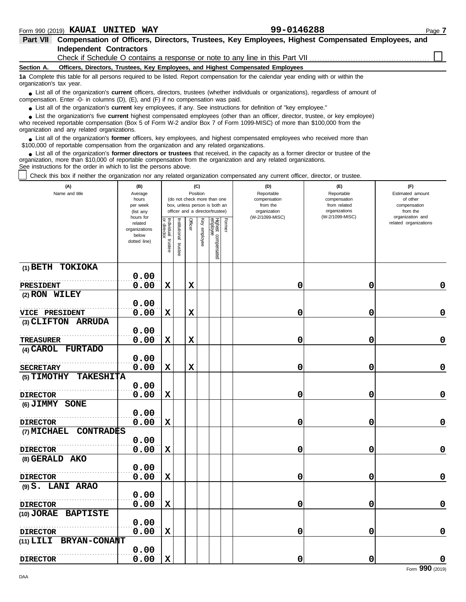| Form 990 (2019) | <b>KAUAI</b> | UNITED | <b>WAY</b> | 99-0146288 | Page |
|-----------------|--------------|--------|------------|------------|------|
|                 |              |        |            |            |      |

| <b>Part VII</b>          | Compensation of Officers, Directors, Trustees, Key Employees, Highest Compensated Employees, and                                                                                                                                                            |
|--------------------------|-------------------------------------------------------------------------------------------------------------------------------------------------------------------------------------------------------------------------------------------------------------|
|                          | <b>Independent Contractors</b>                                                                                                                                                                                                                              |
|                          | Check if Schedule O contains a response or note to any line in this Part VII                                                                                                                                                                                |
| Section A.               | Officers, Directors, Trustees, Key Employees, and Highest Compensated Employees                                                                                                                                                                             |
| organization's tax year. | 1a Complete this table for all persons required to be listed. Report compensation for the calendar year ending with or within the                                                                                                                           |
|                          | • List all of the organization's <b>current</b> officers, directors, trustees (whether individuals or organizations), regardless of amount of<br>compensation. Enter -0- in columns $(D)$ , $(E)$ , and $(F)$ if no compensation was paid.                  |
|                          | • List all of the organization's current key employees, if any. See instructions for definition of "key employee."                                                                                                                                          |
|                          | • List the organization's five current highest compensated employees (other than an officer, director, trustee, or key employee)<br>who received reportable compensation (Rey 5 of Ferm W 2 and/or Rey 7 of Ferm 1000 MISC) of more than \$100,000 from the |

who received reportable compensation (Box 5 of Form W-2 and/or Box 7 of Form 1099-MISC) of more than \$100,000 from the organization and any related organizations.

■ List all of the organization's **former** officers, key employees, and highest compensated employees who received more than<br> **•** 00,000 of reportable compensation from the ergonization and any related ergonizations \$100,000 of reportable compensation from the organization and any related organizations.

List all of the organization's **former directors or trustees** that received, in the capacity as a former director or trustee of the organization, more than \$10,000 of reportable compensation from the organization and any related organizations. See instructions for the order in which to list the persons above. **•**

Check this box if neither the organization nor any related organization compensated any current officer, director, or trustee.

| (A)<br>Name and title           | (B)<br>Average<br>hours<br>per week<br>(list any | hours for<br>related                 |                          |             | (C)<br>Position | (do not check more than one<br>box, unless person is both an<br>officer and a director/trustee) |        | (D)<br>Reportable<br>compensation<br>from the<br>organization<br>(W-2/1099-MISC) | (E)<br>Reportable<br>compensation<br>from related<br>organizations<br>(W-2/1099-MISC) | (F)<br>Estimated amount<br>of other<br>compensation<br>from the<br>organization and |
|---------------------------------|--------------------------------------------------|--------------------------------------|--------------------------|-------------|-----------------|-------------------------------------------------------------------------------------------------|--------|----------------------------------------------------------------------------------|---------------------------------------------------------------------------------------|-------------------------------------------------------------------------------------|
|                                 | organizations<br>below<br>dotted line)           | Individual<br>or director<br>trustee | Institutional<br>trustee | Officer     | Key employee    | Highest compensated<br>employee                                                                 | Former |                                                                                  |                                                                                       | related organizations                                                               |
| (1) BETH TOKIOKA                | 0.00                                             |                                      |                          |             |                 |                                                                                                 |        |                                                                                  |                                                                                       |                                                                                     |
| PRESIDENT                       | 0.00                                             | $\mathbf x$                          |                          | $\mathbf x$ |                 |                                                                                                 |        | 0                                                                                | 0                                                                                     | 0                                                                                   |
| (2) RON WILEY                   |                                                  |                                      |                          |             |                 |                                                                                                 |        |                                                                                  |                                                                                       |                                                                                     |
|                                 | 0.00                                             |                                      |                          |             |                 |                                                                                                 |        |                                                                                  |                                                                                       |                                                                                     |
| <b>VICE PRESIDENT</b>           | 0.00                                             | $\mathbf x$                          |                          | $\mathbf x$ |                 |                                                                                                 |        | 0                                                                                | 0                                                                                     | $\mathbf 0$                                                                         |
| (3) CLIFTON ARRUDA              |                                                  |                                      |                          |             |                 |                                                                                                 |        |                                                                                  |                                                                                       |                                                                                     |
|                                 | 0.00                                             |                                      |                          |             |                 |                                                                                                 |        |                                                                                  |                                                                                       |                                                                                     |
| TREASURER                       | 0.00                                             | $\mathbf x$                          |                          | $\mathbf x$ |                 |                                                                                                 |        | 0                                                                                | 0                                                                                     | 0                                                                                   |
| (4) CAROL FURTADO               |                                                  |                                      |                          |             |                 |                                                                                                 |        |                                                                                  |                                                                                       |                                                                                     |
|                                 | 0.00                                             |                                      |                          |             |                 |                                                                                                 |        |                                                                                  |                                                                                       |                                                                                     |
| <b>SECRETARY</b>                | 0.00                                             | $\mathbf x$                          |                          | $\mathbf x$ |                 |                                                                                                 |        | 0                                                                                | 0                                                                                     | $\mathbf 0$                                                                         |
| (5) TIMOTHY<br><b>TAKESHITA</b> |                                                  |                                      |                          |             |                 |                                                                                                 |        |                                                                                  |                                                                                       |                                                                                     |
|                                 | 0.00                                             |                                      |                          |             |                 |                                                                                                 |        |                                                                                  |                                                                                       |                                                                                     |
| <b>DIRECTOR</b>                 | 0.00                                             | $\mathbf x$                          |                          |             |                 |                                                                                                 |        | 0                                                                                | 0                                                                                     | 0                                                                                   |
| (6) JIMMY SONE                  |                                                  |                                      |                          |             |                 |                                                                                                 |        |                                                                                  |                                                                                       |                                                                                     |
|                                 | 0.00                                             |                                      |                          |             |                 |                                                                                                 |        |                                                                                  |                                                                                       |                                                                                     |
| <b>DIRECTOR</b>                 | 0.00                                             | $\mathbf x$                          |                          |             |                 |                                                                                                 |        | 0                                                                                | 0                                                                                     | $\mathbf 0$                                                                         |
| (7) MICHAEL<br><b>CONTRADES</b> |                                                  |                                      |                          |             |                 |                                                                                                 |        |                                                                                  |                                                                                       |                                                                                     |
|                                 | 0.00                                             |                                      |                          |             |                 |                                                                                                 |        |                                                                                  |                                                                                       |                                                                                     |
| <b>DIRECTOR</b>                 | 0.00                                             | $\mathbf x$                          |                          |             |                 |                                                                                                 |        | 0                                                                                | 0                                                                                     | $\mathbf 0$                                                                         |
| (8) GERALD AKO                  |                                                  |                                      |                          |             |                 |                                                                                                 |        |                                                                                  |                                                                                       |                                                                                     |
|                                 | 0.00                                             |                                      |                          |             |                 |                                                                                                 |        |                                                                                  |                                                                                       |                                                                                     |
| <b>DIRECTOR</b>                 | 0.00                                             | $\mathbf x$                          |                          |             |                 |                                                                                                 |        | 0                                                                                | 0                                                                                     | 0                                                                                   |
| (9) S. LANI ARAO                |                                                  |                                      |                          |             |                 |                                                                                                 |        |                                                                                  |                                                                                       |                                                                                     |
|                                 | 0.00                                             |                                      |                          |             |                 |                                                                                                 |        |                                                                                  |                                                                                       |                                                                                     |
| <b>DIRECTOR</b>                 | 0.00                                             | $\mathbf x$                          |                          |             |                 |                                                                                                 |        | 0                                                                                | 0                                                                                     | 0                                                                                   |
| (10) JORAE<br><b>BAPTISTE</b>   |                                                  |                                      |                          |             |                 |                                                                                                 |        |                                                                                  |                                                                                       |                                                                                     |
|                                 | 0.00                                             |                                      |                          |             |                 |                                                                                                 |        |                                                                                  |                                                                                       |                                                                                     |
| <b>DIRECTOR</b>                 | 0.00                                             | $\mathbf x$                          |                          |             |                 |                                                                                                 |        | 0                                                                                | 0                                                                                     | 0                                                                                   |
| BRYAN-CONANT<br>$(11)$ $LILI$   |                                                  |                                      |                          |             |                 |                                                                                                 |        |                                                                                  |                                                                                       |                                                                                     |
|                                 | 0.00                                             |                                      |                          |             |                 |                                                                                                 |        |                                                                                  |                                                                                       |                                                                                     |
| <b>DIRECTOR</b>                 | 0.00                                             | $\mathbf x$                          |                          |             |                 |                                                                                                 |        | 0                                                                                | 0                                                                                     | 0                                                                                   |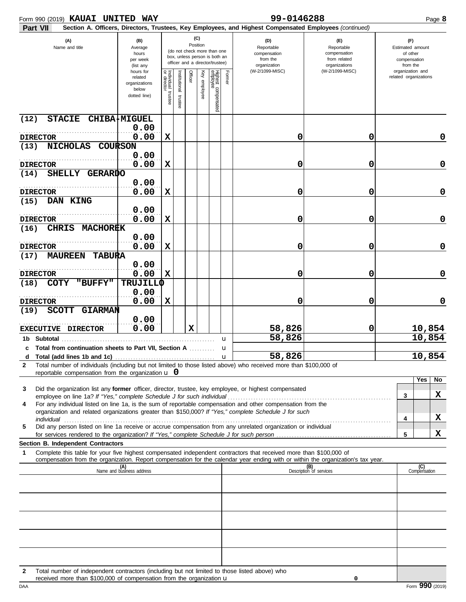| Form 990 (2019) KAUAI UNITED                                                                                                                                                                                                                                | <b>WAY</b>                                                     |                                                                                                                    |                         |             |          |                                 |        | 99-0146288                                                                                             |                                                                    |                                 |                                           | Page 8      |
|-------------------------------------------------------------------------------------------------------------------------------------------------------------------------------------------------------------------------------------------------------------|----------------------------------------------------------------|--------------------------------------------------------------------------------------------------------------------|-------------------------|-------------|----------|---------------------------------|--------|--------------------------------------------------------------------------------------------------------|--------------------------------------------------------------------|---------------------------------|-------------------------------------------|-------------|
| Part VII                                                                                                                                                                                                                                                    |                                                                |                                                                                                                    |                         |             |          |                                 |        | Section A. Officers, Directors, Trustees, Key Employees, and Highest Compensated Employees (continued) |                                                                    |                                 |                                           |             |
| (A)<br>Name and title                                                                                                                                                                                                                                       | (B)<br>Average<br>hours<br>per week<br>(list any               | (C)<br>Position<br>(do not check more than one<br>box, unless person is both an<br>officer and a director/trustee) |                         |             |          |                                 |        | (D)<br>Reportable<br>compensation<br>from the<br>organization                                          | (E)<br>Reportable<br>compensation<br>from related<br>organizations | (F)<br>compensation<br>from the | Estimated amount<br>of other              |             |
|                                                                                                                                                                                                                                                             | hours for<br>related<br>organizations<br>below<br>dotted line) | Individual<br>or director<br>trustee                                                                               | nstitutional<br>trustee | Officer     | employee | Highest compensated<br>employee | Former | (W-2/1099-MISC)                                                                                        | (W-2/1099-MISC)                                                    |                                 | organization and<br>related organizations |             |
| <b>STACIE</b><br>(12)                                                                                                                                                                                                                                       | CHIBA+MIGUEL<br>0.00                                           |                                                                                                                    |                         |             |          |                                 |        |                                                                                                        |                                                                    |                                 |                                           |             |
| <b>DIRECTOR</b>                                                                                                                                                                                                                                             | 0.00                                                           | $\mathbf x$                                                                                                        |                         |             |          |                                 |        | 0                                                                                                      | 0                                                                  |                                 |                                           | 0           |
| <b>NICHOLAS</b><br><b>COURSON</b><br>(13)                                                                                                                                                                                                                   |                                                                |                                                                                                                    |                         |             |          |                                 |        |                                                                                                        |                                                                    |                                 |                                           |             |
|                                                                                                                                                                                                                                                             | 0.00                                                           |                                                                                                                    |                         |             |          |                                 |        |                                                                                                        |                                                                    |                                 |                                           |             |
| <b>DIRECTOR</b><br>SHELLY<br><b>GERARDO</b><br>(14)                                                                                                                                                                                                         | 0.00                                                           | X                                                                                                                  |                         |             |          |                                 |        | 0                                                                                                      | 0                                                                  |                                 |                                           | $\mathbf 0$ |
|                                                                                                                                                                                                                                                             | 0.00                                                           |                                                                                                                    |                         |             |          |                                 |        |                                                                                                        |                                                                    |                                 |                                           |             |
| <b>DIRECTOR</b>                                                                                                                                                                                                                                             | 0.00                                                           | X                                                                                                                  |                         |             |          |                                 |        | 0                                                                                                      | 0                                                                  |                                 |                                           | $\mathbf 0$ |
| DAN KING<br>(15)                                                                                                                                                                                                                                            |                                                                |                                                                                                                    |                         |             |          |                                 |        |                                                                                                        |                                                                    |                                 |                                           |             |
|                                                                                                                                                                                                                                                             | 0.00                                                           |                                                                                                                    |                         |             |          |                                 |        |                                                                                                        |                                                                    |                                 |                                           |             |
| <b>DIRECTOR</b><br><b>MACHOREK</b><br><b>CHRIS</b><br>(16)                                                                                                                                                                                                  | 0.00                                                           | $\mathbf x$                                                                                                        |                         |             |          |                                 |        | 0                                                                                                      | 0                                                                  |                                 |                                           | $\mathbf 0$ |
|                                                                                                                                                                                                                                                             | 0.00                                                           |                                                                                                                    |                         |             |          |                                 |        |                                                                                                        |                                                                    |                                 |                                           |             |
| <b>DIRECTOR</b>                                                                                                                                                                                                                                             | 0.00                                                           | X                                                                                                                  |                         |             |          |                                 |        | 0                                                                                                      | 0                                                                  |                                 |                                           | $\mathbf 0$ |
| <b>TABURA</b><br><b>MAUREEN</b><br>(17)                                                                                                                                                                                                                     |                                                                |                                                                                                                    |                         |             |          |                                 |        |                                                                                                        |                                                                    |                                 |                                           |             |
|                                                                                                                                                                                                                                                             | 0.00                                                           |                                                                                                                    |                         |             |          |                                 |        |                                                                                                        |                                                                    |                                 |                                           |             |
| <b>DIRECTOR</b><br><b>COTY</b><br>"BUFFY"                                                                                                                                                                                                                   | 0.00<br>TRUJILLO                                               | X                                                                                                                  |                         |             |          |                                 |        | 0                                                                                                      | 0                                                                  |                                 |                                           | $\mathbf 0$ |
| (18)                                                                                                                                                                                                                                                        | 0.00                                                           |                                                                                                                    |                         |             |          |                                 |        |                                                                                                        |                                                                    |                                 |                                           |             |
| <b>DIRECTOR</b>                                                                                                                                                                                                                                             | 0.00                                                           | X                                                                                                                  |                         |             |          |                                 |        | 0                                                                                                      | 0                                                                  |                                 |                                           | 0           |
| <b>SCOTT</b><br>GIARMAN<br>(19)                                                                                                                                                                                                                             | 0.00                                                           |                                                                                                                    |                         |             |          |                                 |        |                                                                                                        |                                                                    |                                 |                                           |             |
| EXECUTIVE DIRECTOR                                                                                                                                                                                                                                          | 0.00                                                           |                                                                                                                    |                         | $\mathbf x$ |          |                                 |        | 58,826                                                                                                 | 0                                                                  |                                 | 10,854                                    |             |
| 1b Subtotal                                                                                                                                                                                                                                                 |                                                                |                                                                                                                    |                         |             |          |                                 | u      | 58,826                                                                                                 |                                                                    |                                 | 10,854                                    |             |
| c Total from continuation sheets to Part VII, Section A                                                                                                                                                                                                     |                                                                |                                                                                                                    |                         |             |          |                                 | u      | 58,826                                                                                                 |                                                                    |                                 | 10,854                                    |             |
| Total number of individuals (including but not limited to those listed above) who received more than \$100,000 of<br>2<br>reportable compensation from the organization $\bf{u}$ 0                                                                          |                                                                |                                                                                                                    |                         |             |          |                                 |        |                                                                                                        |                                                                    |                                 |                                           |             |
|                                                                                                                                                                                                                                                             |                                                                |                                                                                                                    |                         |             |          |                                 |        |                                                                                                        |                                                                    |                                 | Yes                                       | No          |
| Did the organization list any former officer, director, trustee, key employee, or highest compensated<br>3                                                                                                                                                  |                                                                |                                                                                                                    |                         |             |          |                                 |        |                                                                                                        |                                                                    |                                 |                                           | X           |
| For any individual listed on line 1a, is the sum of reportable compensation and other compensation from the<br>4                                                                                                                                            |                                                                |                                                                                                                    |                         |             |          |                                 |        |                                                                                                        |                                                                    | 3                               |                                           |             |
| organization and related organizations greater than \$150,000? If "Yes," complete Schedule J for such                                                                                                                                                       |                                                                |                                                                                                                    |                         |             |          |                                 |        |                                                                                                        |                                                                    |                                 |                                           |             |
| Did any person listed on line 1a receive or accrue compensation from any unrelated organization or individual<br>5                                                                                                                                          |                                                                |                                                                                                                    |                         |             |          |                                 |        |                                                                                                        |                                                                    | 4                               |                                           | X           |
|                                                                                                                                                                                                                                                             |                                                                |                                                                                                                    |                         |             |          |                                 |        |                                                                                                        |                                                                    | 5                               |                                           | X           |
| Section B. Independent Contractors                                                                                                                                                                                                                          |                                                                |                                                                                                                    |                         |             |          |                                 |        |                                                                                                        |                                                                    |                                 |                                           |             |
| Complete this table for your five highest compensated independent contractors that received more than \$100,000 of<br>1<br>compensation from the organization. Report compensation for the calendar year ending with or within the organization's tax year. |                                                                |                                                                                                                    |                         |             |          |                                 |        |                                                                                                        |                                                                    |                                 |                                           |             |
|                                                                                                                                                                                                                                                             | (A)<br>Name and business address                               |                                                                                                                    |                         |             |          |                                 |        |                                                                                                        | (B)<br>Description of services                                     |                                 | (C)<br>Compensation                       |             |
|                                                                                                                                                                                                                                                             |                                                                |                                                                                                                    |                         |             |          |                                 |        |                                                                                                        |                                                                    |                                 |                                           |             |
|                                                                                                                                                                                                                                                             |                                                                |                                                                                                                    |                         |             |          |                                 |        |                                                                                                        |                                                                    |                                 |                                           |             |
|                                                                                                                                                                                                                                                             |                                                                |                                                                                                                    |                         |             |          |                                 |        |                                                                                                        |                                                                    |                                 |                                           |             |
|                                                                                                                                                                                                                                                             |                                                                |                                                                                                                    |                         |             |          |                                 |        |                                                                                                        |                                                                    |                                 |                                           |             |
|                                                                                                                                                                                                                                                             |                                                                |                                                                                                                    |                         |             |          |                                 |        |                                                                                                        |                                                                    |                                 |                                           |             |
|                                                                                                                                                                                                                                                             |                                                                |                                                                                                                    |                         |             |          |                                 |        |                                                                                                        |                                                                    |                                 |                                           |             |
|                                                                                                                                                                                                                                                             |                                                                |                                                                                                                    |                         |             |          |                                 |        |                                                                                                        |                                                                    |                                 |                                           |             |

**2** Total number of independent contractors (including but not limited to those listed above) who received more than \$100,000 of compensation from the organization u

**0**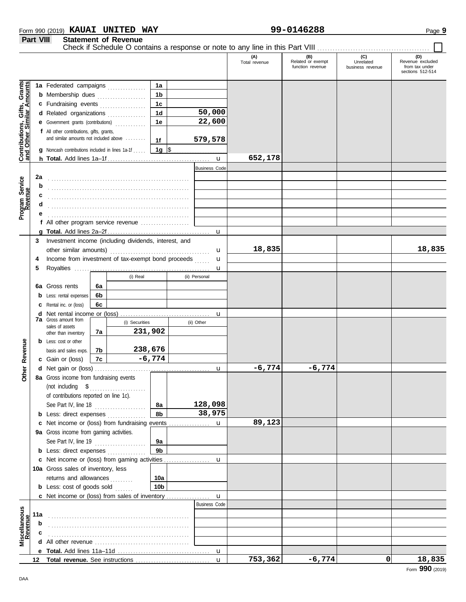## Form 990 (2019) Page **9 KAUAI UNITED WAY 99-0146288 Part VIII Statement of Revenue**

|                                 |     |                                                                                           |                |          |                 |                      |              | (A)<br>Total revenue | (B)<br>Related or exempt<br>function revenue | (C)<br>Unrelated<br>business revenue | (D)<br>Revenue excluded<br>from tax under<br>sections 512-514 |
|---------------------------------|-----|-------------------------------------------------------------------------------------------|----------------|----------|-----------------|----------------------|--------------|----------------------|----------------------------------------------|--------------------------------------|---------------------------------------------------------------|
|                                 |     | 1a Federated campaigns                                                                    |                |          | 1a              |                      |              |                      |                                              |                                      |                                                               |
| Grants<br>mounts                |     | <b>b</b> Membership dues <i>minimum</i>                                                   |                |          | 1 <sub>b</sub>  |                      |              |                      |                                              |                                      |                                                               |
|                                 |     | c Fundraising events                                                                      |                |          | 1 <sub>c</sub>  |                      |              |                      |                                              |                                      |                                                               |
| Gifts,<br>ilar Ar               |     | d Related organizations                                                                   |                |          | 1 <sub>d</sub>  | 50,000               |              |                      |                                              |                                      |                                                               |
|                                 |     | e Government grants (contributions)                                                       |                | .        | 1e              | 22,600               |              |                      |                                              |                                      |                                                               |
| Contributions,<br>and Other Sim |     | f All other contributions, gifts, grants,                                                 |                |          |                 |                      |              |                      |                                              |                                      |                                                               |
|                                 |     | and similar amounts not included above                                                    |                |          | 1f              | 579,578              |              |                      |                                              |                                      |                                                               |
|                                 |     | <b>g</b> Noncash contributions included in lines 1a-1f                                    |                |          | 1g $\vert$ \$   |                      |              |                      |                                              |                                      |                                                               |
|                                 |     |                                                                                           |                |          |                 |                      |              | 652,178              |                                              |                                      |                                                               |
|                                 |     |                                                                                           |                |          |                 | <b>Business Code</b> |              |                      |                                              |                                      |                                                               |
|                                 | 2a  |                                                                                           |                |          |                 |                      |              |                      |                                              |                                      |                                                               |
| Program Service                 | b   |                                                                                           |                |          |                 |                      |              |                      |                                              |                                      |                                                               |
|                                 | c   |                                                                                           |                |          |                 |                      |              |                      |                                              |                                      |                                                               |
|                                 |     |                                                                                           |                |          |                 |                      |              |                      |                                              |                                      |                                                               |
|                                 |     |                                                                                           |                |          |                 |                      |              |                      |                                              |                                      |                                                               |
|                                 |     | f All other program service revenue                                                       |                |          |                 |                      |              |                      |                                              |                                      |                                                               |
|                                 |     |                                                                                           |                |          |                 |                      | $\mathbf u$  |                      |                                              |                                      |                                                               |
|                                 | 3   | Investment income (including dividends, interest, and                                     |                |          |                 |                      |              |                      |                                              |                                      |                                                               |
|                                 |     |                                                                                           |                |          |                 |                      | u            | 18,835               |                                              |                                      | 18,835                                                        |
|                                 | 4   | Income from investment of tax-exempt bond proceeds                                        |                |          |                 | u                    |              |                      |                                              |                                      |                                                               |
|                                 | 5   |                                                                                           |                |          |                 |                      | u            |                      |                                              |                                      |                                                               |
|                                 |     |                                                                                           |                | (i) Real |                 | (ii) Personal        |              |                      |                                              |                                      |                                                               |
|                                 |     | 6a Gross rents                                                                            | 6a             |          |                 |                      |              |                      |                                              |                                      |                                                               |
|                                 |     | <b>b</b> Less: rental expenses                                                            | 6b             |          |                 |                      |              |                      |                                              |                                      |                                                               |
|                                 |     | <b>c</b> Rental inc. or (loss)                                                            | 6с             |          |                 |                      |              |                      |                                              |                                      |                                                               |
|                                 |     |                                                                                           |                |          |                 |                      | u            |                      |                                              |                                      |                                                               |
|                                 |     | <b>7a</b> Gross amount from                                                               | (i) Securities |          |                 | (ii) Other           |              |                      |                                              |                                      |                                                               |
|                                 |     | sales of assets                                                                           | 7a             | 231,902  |                 |                      |              |                      |                                              |                                      |                                                               |
|                                 |     | other than inventory<br><b>b</b> Less: cost or other                                      |                |          |                 |                      |              |                      |                                              |                                      |                                                               |
|                                 |     | basis and sales exps.                                                                     | 7b             | 238,676  |                 |                      |              |                      |                                              |                                      |                                                               |
| Revenue                         |     | c Gain or (loss)                                                                          | 7c             | $-6,774$ |                 |                      |              |                      |                                              |                                      |                                                               |
|                                 |     |                                                                                           |                |          |                 |                      | u            | $-6,774$             | $-6,774$                                     |                                      |                                                               |
| Other                           |     | 8a Gross income from fundraising events                                                   |                |          |                 |                      |              |                      |                                              |                                      |                                                               |
|                                 |     | (not including \$                                                                         |                |          |                 |                      |              |                      |                                              |                                      |                                                               |
|                                 |     | of contributions reported on line 1c).                                                    |                |          |                 |                      |              |                      |                                              |                                      |                                                               |
|                                 |     | See Part IV, line 18                                                                      |                | .        | 8а              | 128,098              |              |                      |                                              |                                      |                                                               |
|                                 |     | <b>b</b> Less: direct expenses                                                            |                |          | 8b              | 38,975               |              |                      |                                              |                                      |                                                               |
|                                 |     | c Net income or (loss) from fundraising events                                            |                |          |                 |                      | u            | 89,123               |                                              |                                      |                                                               |
|                                 |     | 9a Gross income from gaming activities.                                                   |                |          |                 |                      |              |                      |                                              |                                      |                                                               |
|                                 |     | See Part IV, line 19 $\ldots$                                                             |                |          | 9а              |                      |              |                      |                                              |                                      |                                                               |
|                                 |     | <b>b</b> Less: direct expenses                                                            |                |          | 9 <sub>b</sub>  |                      |              |                      |                                              |                                      |                                                               |
|                                 |     | c Net income or (loss) from gaming activities                                             |                |          |                 |                      | u            |                      |                                              |                                      |                                                               |
|                                 |     | 10a Gross sales of inventory, less                                                        |                |          |                 |                      |              |                      |                                              |                                      |                                                               |
|                                 |     | returns and allowances                                                                    |                |          | 10a             |                      |              |                      |                                              |                                      |                                                               |
|                                 |     | <b>b</b> Less: cost of goods sold                                                         |                |          | 10 <sub>b</sub> |                      |              |                      |                                              |                                      |                                                               |
|                                 |     |                                                                                           |                |          |                 |                      | u            |                      |                                              |                                      |                                                               |
|                                 |     |                                                                                           |                |          |                 | <b>Business Code</b> |              |                      |                                              |                                      |                                                               |
| Miscellaneous<br>Revenue        | 11a |                                                                                           |                |          |                 |                      |              |                      |                                              |                                      |                                                               |
|                                 | b   |                                                                                           |                |          |                 |                      |              |                      |                                              |                                      |                                                               |
|                                 | c   |                                                                                           |                |          |                 |                      |              |                      |                                              |                                      |                                                               |
|                                 |     | <b>d</b> All other revenue $\ldots$ $\ldots$ $\ldots$ $\ldots$ $\ldots$ $\ldots$ $\ldots$ |                |          |                 |                      |              |                      |                                              |                                      |                                                               |
|                                 |     |                                                                                           |                |          |                 |                      | u            |                      |                                              |                                      |                                                               |
|                                 | 12  |                                                                                           |                |          |                 |                      | $\mathbf{u}$ | 753,362              | $-6,774$                                     | 0                                    | 18,835                                                        |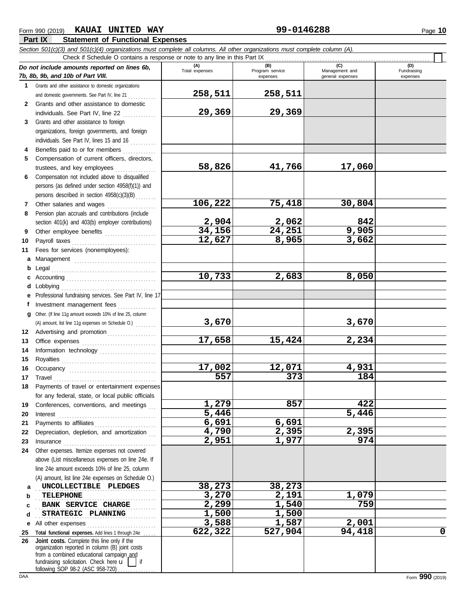**Part IX Statement of Functional Expenses**

### *Section 501(c)(3) and 501(c)(4) organizations must complete all columns. All other organizations must complete column (A). Do not include amounts reported on lines 6b, 7b, 8b, 9b, and 10b of Part VIII.* **1 2 3** Grants and other assistance to foreign **4 5 6 7 8 9 10 11 a** Management ................................. **b** Legal . . . . . . . . . . . . . . . . . . . . . . . . . . . . . . . . . . . . . . . . . **c** Accounting . . . . . . . . . . . . . . . . . . . . . . . . . . . . . . . . . . . **d** Lobbying . . . . . . . . . . . . . . . . . . . . . . . . . . . . . . . . . . . . . **e** Professional fundraising services. See Part IV, line 17 **f g** Other. (If line 11g amount exceeds 10% of line 25, column **12** Advertising and promotion . . . . . . . . . . . . . . . . . . **13 14 15 16 17 18 19 20 21 22 23 24 a b c d e** All other expenses . . . . . . . . . . . . . . . . . . . . . . . . . . . **25 Total functional expenses.** Add lines 1 through 24e . . . . . **26** Grants and other assistance to domestic organizations and domestic governments. See Part IV, line 21 . . . . . . . . . . Grants and other assistance to domestic individuals. See Part IV, line 22 .............. organizations, foreign governments, and foreign individuals. See Part IV, lines 15 and 16 Benefits paid to or for members ............. Compensation of current officers, directors, trustees, and key employees . . . . . . . . . . . . . . . . Compensation not included above to disqualified persons (as defined under section 4958(f)(1)) and persons described in section 4958(c)(3)(B) . . . . . . . . Other salaries and wages ................... Pension plan accruals and contributions (include section 401(k) and 403(b) employer contributions) Other employee benefits .................... Payroll taxes . . . . . . . . . . . . . . . . . . . . . . . . . . . . . . . . . Fees for services (nonemployees): Investment management fees ................ Office expenses ................................ Information technology ...................... Royalties . . . . . . . . . . . . . . . . . . . . . . . . . . . . . . . . . . . . . Occupancy . . . . . . . . . . . . . . . . . . . . . . . . . . . . . . . . . . Travel . . . . . . . . . . . . . . . . . . . . . . . . . . . . . . . . . . . . . . . . Payments of travel or entertainment expenses for any federal, state, or local public officials Conferences, conventions, and meetings Interest . . . . . . . . . . . . . . . . . . . . . . . . . . . . . . . . . . . . . . Payments to affiliates . . . . . . . . . . . . . . . . . . . . . . . . Depreciation, depletion, and amortization Insurance . . . . . . . . . . . . . . . . . . . . . . . . . . . . . . . . . . . . Other expenses. Itemize expenses not covered above (List miscellaneous expenses on line 24e. If line 24e amount exceeds 10% of line 25, column (A) amount, list line 24e expenses on Schedule O.) fundraising solicitation. Check here  $\mathbf{u}$  | if organization reported in column (B) joint costs from a combined educational campaign and **(A) (B) (C) (D)** Total expenses Program service Management and expenses expenses general expenses (D)<br>Fundraising expenses **UNCOLLECTIBLE PLEDGES** 28,273 38,273 TELEPHONE **BANK SERVICE CHARGE 2,299 1,540** 1,540 759 **STRATEGIC PLANNING 1,500 1,500** Check if Schedule O contains a response or note to any line in this Part IX **Joint costs.** Complete this line only if the (A) amount, list line 11g expenses on Schedule O.) ....... **258,511 258,511 29,369 29,369 58,826 41,766 17,060 106,222 75,418 30,804 2,904 2,062 842 34,156 24,251 9,905 12,627 8,965 3,662 10,733 2,683 8,050 3,670 3,670 17,658 15,424 2,234 17,002 12,071 4,931 557 373 184 1,279 857 422 5,446 5,446 6,691 6,691** 2,395 2,395<br>1,977 974 **2,951 1,977 974 TELEPHONE 3,270 2,191 1,079** 1,587 2,001<br>**622,322** 527,904 94,418 **622,322 527,904 94,418 0**

following SOP 98-2 (ASC 958-720)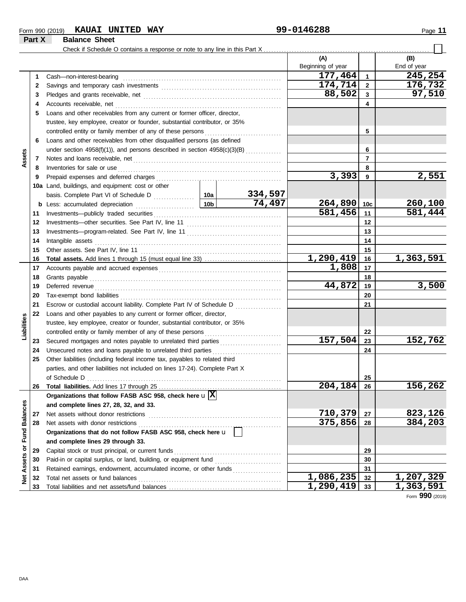## Form 990 (2019) Page **11 KAUAI UNITED WAY 99-0146288**

**Part X Balance Sheet**

### Check if Schedule O contains a response or note to any line in this Part X. **(A) (B)** Beginning of year  $\parallel$  End of year **177,464 245,254** Cash—non-interest-bearing . . . . . . . . . . . . . . . . . . . . . . . . . . . . . . . . . . . . . . . . . . . . . . . . . . . . . . . . . . . . . . **1 1 174,714 176,732 2** 2 Savings and temporary cash investments **contain the container and the set of the set of the set of the set of the set of the set of the set of the set of the set of the set of the set of the set of the set of the set of 88,502 97,510 3 3** Pledges and grants receivable, net . . . . . . . . . . . . . . . . . . . . . . . . . . . . . . . . . . . . . . . . . . . . . . . . . . . . . . **4 4** Accounts receivable, net . . . . . . . . . . . . . . . . . . . . . . . . . . . . . . . . . . . . . . . . . . . . . . . . . . . . . . . . . . . . . . . . . **5** Loans and other receivables from any current or former officer, director, trustee, key employee, creator or founder, substantial contributor, or 35% controlled entity or family member of any of these persons **5 6** Loans and other receivables from other disqualified persons (as defined **6** under section  $4958(f)(1)$ , and persons described in section  $4958(c)(3)(B)$  ............. **Assets 7 7** Notes and loans receivable, net . . . . . . . . . . . . . . . . . . . . . . . . . . . . . . . . . . . . . . . . . . . . . . . . . . . . . . . . . . **8 8** Inventories for sale or use . . . . . . . . . . . . . . . . . . . . . . . . . . . . . . . . . . . . . . . . . . . . . . . . . . . . . . . . . . . . . . . . Prepaid expenses and deferred charges . . . . . . . . . . . . . . . . . . . . . . . . . . . . . . . . . . . . . . . . . . . . . . . . . **3,393 2,551 9 9 10a** Land, buildings, and equipment: cost or other **334,597** basis. Complete Part VI of Schedule D . . . . . . . . . . . . 10a **74,497 264,890 260,100 10c b** Less: accumulated depreciation . . . . . . . . . . . . . . . . . . . . . . . **10b** Investments—publicly traded securities . . . . . . . . . . . . . . . . . . . . . . . . . . . . . . . . . . . . . . . . . . . . . . . . . . **581,456 581,444 11 11 12 12** Investments—other securities. See Part IV, line 11 . . . . . . . . . . . . . . . . . . . . . . . . . . . . . . . . . . . . . **13 13** Investments—program-related. See Part IV, line 11 . . . . . . . . . . . . . . . . . . . . . . . . . . . . . . . . . . . . . 14 Intangible assets Intangible assets . . . . . . . . . . . . . . . . . . . . . . . . . . . . . . . . . . . . . . . . . . . . . . . . . . . . . . . . . . . . . . . . . . . . . . . . . **14 15 15** Other assets. See Part IV, line 11 . . . . . . . . . . . . . . . . . . . . . . . . . . . . . . . . . . . . . . . . . . . . . . . . . . . . . . . **1,290,419 1,363,591 Total assets.** Add lines 1 through 15 (must equal line 33) . . . . . . . . . . . . . . . . . . . . . . . . . . . . . . **16 16 1,808 17** Accounts payable and accrued expenses . . . . . . . . . . . . . . . . . . . . . . . . . . . . . . . . . . . . . . . . . . . . . . . . **17 18** Grants payable . . . . . . . . . . . . . . . . . . . . . . . . . . . . . . . . . . . . . . . . . . . . . . . . . . . . . . . . . . . . . . . . . . . . . . . . . . . **18 44,872 3,500 19 19** Deferred revenue . . . . . . . . . . . . . . . . . . . . . . . . . . . . . . . . . . . . . . . . . . . . . . . . . . . . . . . . . . . . . . . . . . . . . . . . . Tax-exempt bond liabilities . . . . . . . . . . . . . . . . . . . . . . . . . . . . . . . . . . . . . . . . . . . . . . . . . . . . . . . . . . . . . . . **20 20 21** Escrow or custodial account liability. Complete Part IV of Schedule D . . . . . . . . . . . . . . . . . . **21 22** Loans and other payables to any current or former officer, director, **Liabilities** trustee, key employee, creator or founder, substantial contributor, or 35% **22** controlled entity or family member of any of these persons **157,504 152,762** Secured mortgages and notes payable to unrelated third parties . . . . . . . . . . . . . . . . . . . . . . . . **23 23 24** Unsecured notes and loans payable to unrelated third parties ........................... **24 25** Other liabilities (including federal income tax, payables to related third parties, and other liabilities not included on lines 17-24). Complete Part X of Schedule D . . . . . . . . . . . . . . . . . . . . . . . . . . . . . . . . . . . . . . . . . . . . . . . . . . . . . . . . . . . . . . . . . . . . . . . . . . . . **25 204,184 156,262 26** Total liabilities. Add lines 17 through 25 **26 Organizations that follow FASB ASC 958, check here** u **X** Net Assets or Fund Balances **Net Assets or Fund Balances and complete lines 27, 28, 32, and 33. 27** Net assets without donor restrictions . . . . . . . . . . . . . . . . . . . . . . . . . . . . . . . . . . . . . . . . . . . . . . . . . . . . **710,379 823,126 27** Net assets with donor restrictions . . . . . . . . . . . . . . . . . . . . . . . . . . . . . . . . . . . . . . . . . . . . . . . . . . . . . . . . **375,856 384,203 28 28 Organizations that do not follow FASB ASC 958, check here** u **and complete lines 29 through 33.** Capital stock or trust principal, or current funds . . . . . . . . . . . . . . . . . . . . . . . . . . . . . . . . . . . . . . . . . . **29 29** Paid-in or capital surplus, or land, building, or equipment fund ........................... **30 30 31** Retained earnings, endowment, accumulated income, or other funds . . . . . . . . . . . . . . . . . . . **31 1,086,235** 32 **1,207,329**<br>**1,290,419** 33 **1,363,591** Total net assets or fund balances . . . . . . . . . . . . . . . . . . . . . . . . . . . . . . . . . . . . . . . . . . . . . . . . . . . . . . . . **32 32 33** Total liabilities and net assets/fund balances ... **1,290,419 1,363,59133**

Form **990** (2019)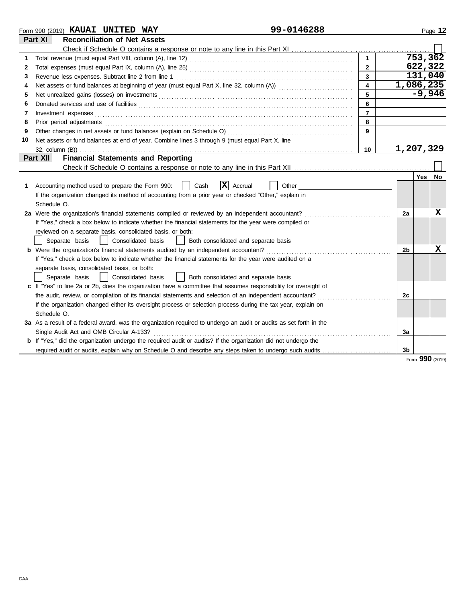|    | Form 990 (2019) KAUAI UNITED WAY                                                                                      | 99-0146288                           |                         |                | Page 12    |    |
|----|-----------------------------------------------------------------------------------------------------------------------|--------------------------------------|-------------------------|----------------|------------|----|
|    | Part XI<br><b>Reconciliation of Net Assets</b>                                                                        |                                      |                         |                |            |    |
|    |                                                                                                                       |                                      |                         |                |            |    |
| 1  |                                                                                                                       |                                      | $\overline{1}$          |                | 753, 362   |    |
| 2  |                                                                                                                       |                                      | $\overline{2}$          |                | 622,322    |    |
| 3  |                                                                                                                       |                                      | $\overline{3}$          |                | 131,040    |    |
| 4  | Net assets or fund balances at beginning of year (must equal Part X, line 32, column (A)) [[[[[[[[[[[[[[[[[[[         |                                      | $\overline{\mathbf{4}}$ |                | 1,086,235  |    |
| 5  |                                                                                                                       |                                      | 5                       |                | $-9,946$   |    |
| 6  |                                                                                                                       |                                      | 6                       |                |            |    |
| 7  | Investment expenses <b>contract and the expenses</b>                                                                  |                                      | $\overline{7}$          |                |            |    |
| 8  | Prior period adjustments                                                                                              |                                      | 8                       |                |            |    |
| 9  | Other changes in net assets or fund balances (explain on Schedule O)                                                  |                                      | 9                       |                |            |    |
| 10 | Net assets or fund balances at end of year. Combine lines 3 through 9 (must equal Part X, line                        |                                      |                         |                |            |    |
|    | 32, column (B))                                                                                                       |                                      | 10                      |                | 1,207,329  |    |
|    | <b>Financial Statements and Reporting</b><br>Part XII                                                                 |                                      |                         |                |            |    |
|    |                                                                                                                       |                                      |                         |                |            |    |
|    |                                                                                                                       |                                      |                         |                | <b>Yes</b> | No |
|    | X Accrual<br>Cash<br>Accounting method used to prepare the Form 990:                                                  | Other                                |                         |                |            |    |
|    | If the organization changed its method of accounting from a prior year or checked "Other," explain in                 |                                      |                         |                |            |    |
|    | Schedule O.                                                                                                           |                                      |                         |                |            |    |
|    | 2a Were the organization's financial statements compiled or reviewed by an independent accountant?                    |                                      |                         | 2a             |            | x  |
|    | If "Yes," check a box below to indicate whether the financial statements for the year were compiled or                |                                      |                         |                |            |    |
|    | reviewed on a separate basis, consolidated basis, or both:                                                            |                                      |                         |                |            |    |
|    | Separate basis<br>Consolidated basis<br>$\Box$                                                                        | Both consolidated and separate basis |                         |                |            |    |
|    | <b>b</b> Were the organization's financial statements audited by an independent accountant?                           |                                      |                         | 2b             |            | X  |
|    | If "Yes," check a box below to indicate whether the financial statements for the year were audited on a               |                                      |                         |                |            |    |
|    | separate basis, consolidated basis, or both:                                                                          |                                      |                         |                |            |    |
|    | Consolidated basis<br>Separate basis                                                                                  | Both consolidated and separate basis |                         |                |            |    |
|    | c If "Yes" to line 2a or 2b, does the organization have a committee that assumes responsibility for oversight of      |                                      |                         |                |            |    |
|    | the audit, review, or compilation of its financial statements and selection of an independent accountant?             |                                      |                         | 2 <sub>c</sub> |            |    |
|    | If the organization changed either its oversight process or selection process during the tax year, explain on         |                                      |                         |                |            |    |
|    | Schedule O.                                                                                                           |                                      |                         |                |            |    |
|    | 3a As a result of a federal award, was the organization required to undergo an audit or audits as set forth in the    |                                      |                         |                |            |    |
|    | Single Audit Act and OMB Circular A-133?                                                                              |                                      |                         | За             |            |    |
|    | <b>b</b> If "Yes," did the organization undergo the required audit or audits? If the organization did not undergo the |                                      |                         |                |            |    |
|    | required audit or audits, explain why on Schedule O and describe any steps taken to undergo such audits               |                                      |                         | 3 <sub>b</sub> |            |    |

Form **990** (2019)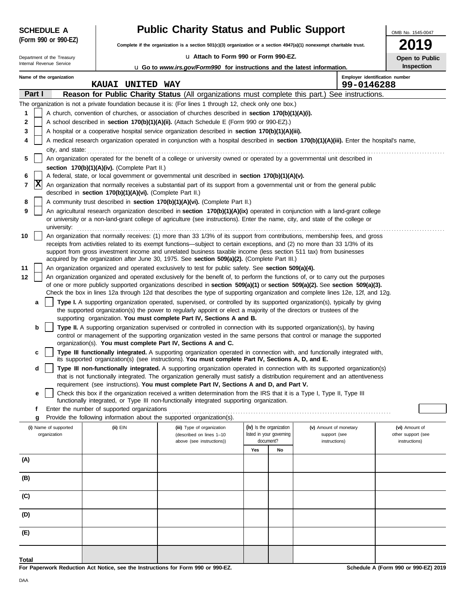| <b>SCHEDULE A</b> |                      |
|-------------------|----------------------|
|                   | (Form 990 or 990-EZ) |

Internal Revenue Service Department of the Treasury

# **Public Charity Status and Public Support**

**Complete if the organization is a section 501(c)(3) organization or a section 4947(a)(1) nonexempt charitable trust.**

u **Attach to Form 990 or Form 990-EZ.**

OMB No. 1545-0047

|  | Open to Public    |  |
|--|-------------------|--|
|  | <b>Inspection</b> |  |

| Internal Revenue Service<br><b>u</b> Go to www.irs.gov/Form990 for instructions and the latest information. |        |                                       |                                                            |                                                                                                                                                                                                                                                                                                                                                                                                                                                                                  |     |                                                                   |                                                         | <b>Inspection</b>                                     |
|-------------------------------------------------------------------------------------------------------------|--------|---------------------------------------|------------------------------------------------------------|----------------------------------------------------------------------------------------------------------------------------------------------------------------------------------------------------------------------------------------------------------------------------------------------------------------------------------------------------------------------------------------------------------------------------------------------------------------------------------|-----|-------------------------------------------------------------------|---------------------------------------------------------|-------------------------------------------------------|
|                                                                                                             |        | Name of the organization              | KAUAI UNITED WAY                                           |                                                                                                                                                                                                                                                                                                                                                                                                                                                                                  |     |                                                                   | 99-0146288                                              | Employer identification number                        |
|                                                                                                             | Part I |                                       |                                                            | <b>Reason for Public Charity Status</b> (All organizations must complete this part.) See instructions.                                                                                                                                                                                                                                                                                                                                                                           |     |                                                                   |                                                         |                                                       |
|                                                                                                             |        |                                       |                                                            | The organization is not a private foundation because it is: (For lines 1 through 12, check only one box.)                                                                                                                                                                                                                                                                                                                                                                        |     |                                                                   |                                                         |                                                       |
| 1                                                                                                           |        |                                       |                                                            | A church, convention of churches, or association of churches described in section 170(b)(1)(A)(i).                                                                                                                                                                                                                                                                                                                                                                               |     |                                                                   |                                                         |                                                       |
| 2                                                                                                           |        |                                       |                                                            | A school described in <b>section 170(b)(1)(A)(ii).</b> (Attach Schedule E (Form 990 or 990-EZ).)                                                                                                                                                                                                                                                                                                                                                                                 |     |                                                                   |                                                         |                                                       |
| 3                                                                                                           |        |                                       |                                                            | A hospital or a cooperative hospital service organization described in section 170(b)(1)(A)(iii).                                                                                                                                                                                                                                                                                                                                                                                |     |                                                                   |                                                         |                                                       |
|                                                                                                             |        |                                       |                                                            | A medical research organization operated in conjunction with a hospital described in section 170(b)(1)(A)(iii). Enter the hospital's name,                                                                                                                                                                                                                                                                                                                                       |     |                                                                   |                                                         |                                                       |
|                                                                                                             |        | city, and state:                      |                                                            |                                                                                                                                                                                                                                                                                                                                                                                                                                                                                  |     |                                                                   |                                                         |                                                       |
| 5                                                                                                           |        |                                       | section 170(b)(1)(A)(iv). (Complete Part II.)              | An organization operated for the benefit of a college or university owned or operated by a governmental unit described in                                                                                                                                                                                                                                                                                                                                                        |     |                                                                   |                                                         |                                                       |
| 6                                                                                                           |        |                                       |                                                            | A federal, state, or local government or governmental unit described in section 170(b)(1)(A)(v).                                                                                                                                                                                                                                                                                                                                                                                 |     |                                                                   |                                                         |                                                       |
| 7                                                                                                           | X      |                                       | described in section 170(b)(1)(A)(vi). (Complete Part II.) | An organization that normally receives a substantial part of its support from a governmental unit or from the general public                                                                                                                                                                                                                                                                                                                                                     |     |                                                                   |                                                         |                                                       |
| 8                                                                                                           |        |                                       |                                                            | A community trust described in section 170(b)(1)(A)(vi). (Complete Part II.)                                                                                                                                                                                                                                                                                                                                                                                                     |     |                                                                   |                                                         |                                                       |
| 9                                                                                                           |        | university:                           |                                                            | An agricultural research organization described in section 170(b)(1)(A)(ix) operated in conjunction with a land-grant college<br>or university or a non-land-grant college of agriculture (see instructions). Enter the name, city, and state of the college or                                                                                                                                                                                                                  |     |                                                                   |                                                         |                                                       |
| 10                                                                                                          |        |                                       |                                                            | An organization that normally receives: (1) more than 33 1/3% of its support from contributions, membership fees, and gross<br>receipts from activities related to its exempt functions—subject to certain exceptions, and (2) no more than 33 1/3% of its<br>support from gross investment income and unrelated business taxable income (less section 511 tax) from businesses<br>acquired by the organization after June 30, 1975. See section 509(a)(2). (Complete Part III.) |     |                                                                   |                                                         |                                                       |
| 11                                                                                                          |        |                                       |                                                            | An organization organized and operated exclusively to test for public safety. See section 509(a)(4).                                                                                                                                                                                                                                                                                                                                                                             |     |                                                                   |                                                         |                                                       |
| 12                                                                                                          |        |                                       |                                                            | An organization organized and operated exclusively for the benefit of, to perform the functions of, or to carry out the purposes<br>of one or more publicly supported organizations described in section 509(a)(1) or section 509(a)(2). See section 509(a)(3).                                                                                                                                                                                                                  |     |                                                                   |                                                         |                                                       |
|                                                                                                             |        |                                       |                                                            | Check the box in lines 12a through 12d that describes the type of supporting organization and complete lines 12e, 12f, and 12g.                                                                                                                                                                                                                                                                                                                                                  |     |                                                                   |                                                         |                                                       |
|                                                                                                             | а      |                                       |                                                            | Type I. A supporting organization operated, supervised, or controlled by its supported organization(s), typically by giving<br>the supported organization(s) the power to regularly appoint or elect a majority of the directors or trustees of the<br>supporting organization. You must complete Part IV, Sections A and B.                                                                                                                                                     |     |                                                                   |                                                         |                                                       |
|                                                                                                             | b      |                                       |                                                            | Type II. A supporting organization supervised or controlled in connection with its supported organization(s), by having                                                                                                                                                                                                                                                                                                                                                          |     |                                                                   |                                                         |                                                       |
|                                                                                                             |        |                                       |                                                            | control or management of the supporting organization vested in the same persons that control or manage the supported<br>organization(s). You must complete Part IV, Sections A and C.                                                                                                                                                                                                                                                                                            |     |                                                                   |                                                         |                                                       |
|                                                                                                             | c      |                                       |                                                            | Type III functionally integrated. A supporting organization operated in connection with, and functionally integrated with,<br>its supported organization(s) (see instructions). You must complete Part IV, Sections A, D, and E.                                                                                                                                                                                                                                                 |     |                                                                   |                                                         |                                                       |
|                                                                                                             | d      |                                       |                                                            | Type III non-functionally integrated. A supporting organization operated in connection with its supported organization(s)<br>that is not functionally integrated. The organization generally must satisfy a distribution requirement and an attentiveness                                                                                                                                                                                                                        |     |                                                                   |                                                         |                                                       |
|                                                                                                             |        |                                       |                                                            | requirement (see instructions). You must complete Part IV, Sections A and D, and Part V.<br>Check this box if the organization received a written determination from the IRS that it is a Type I, Type II, Type III                                                                                                                                                                                                                                                              |     |                                                                   |                                                         |                                                       |
|                                                                                                             | е      |                                       |                                                            | functionally integrated, or Type III non-functionally integrated supporting organization.                                                                                                                                                                                                                                                                                                                                                                                        |     |                                                                   |                                                         |                                                       |
|                                                                                                             | f      |                                       | Enter the number of supported organizations                |                                                                                                                                                                                                                                                                                                                                                                                                                                                                                  |     |                                                                   |                                                         |                                                       |
|                                                                                                             | g      |                                       |                                                            | Provide the following information about the supported organization(s).                                                                                                                                                                                                                                                                                                                                                                                                           |     |                                                                   |                                                         |                                                       |
|                                                                                                             |        | (i) Name of supported<br>organization | (ii) EIN                                                   | (iii) Type of organization<br>(described on lines 1-10<br>above (see instructions))                                                                                                                                                                                                                                                                                                                                                                                              |     | (iv) Is the organization<br>listed in your governing<br>document? | (v) Amount of monetary<br>support (see<br>instructions) | (vi) Amount of<br>other support (see<br>instructions) |
|                                                                                                             |        |                                       |                                                            |                                                                                                                                                                                                                                                                                                                                                                                                                                                                                  | Yes | No                                                                |                                                         |                                                       |
| (A)                                                                                                         |        |                                       |                                                            |                                                                                                                                                                                                                                                                                                                                                                                                                                                                                  |     |                                                                   |                                                         |                                                       |
| (B)                                                                                                         |        |                                       |                                                            |                                                                                                                                                                                                                                                                                                                                                                                                                                                                                  |     |                                                                   |                                                         |                                                       |
| (C)                                                                                                         |        |                                       |                                                            |                                                                                                                                                                                                                                                                                                                                                                                                                                                                                  |     |                                                                   |                                                         |                                                       |
| (D)                                                                                                         |        |                                       |                                                            |                                                                                                                                                                                                                                                                                                                                                                                                                                                                                  |     |                                                                   |                                                         |                                                       |
| (E)                                                                                                         |        |                                       |                                                            |                                                                                                                                                                                                                                                                                                                                                                                                                                                                                  |     |                                                                   |                                                         |                                                       |
|                                                                                                             |        |                                       |                                                            |                                                                                                                                                                                                                                                                                                                                                                                                                                                                                  |     |                                                                   |                                                         |                                                       |
| Total                                                                                                       |        |                                       |                                                            |                                                                                                                                                                                                                                                                                                                                                                                                                                                                                  |     |                                                                   |                                                         |                                                       |

**For Paperwork Reduction Act Notice, see the Instructions for Form 990 or 990-EZ.**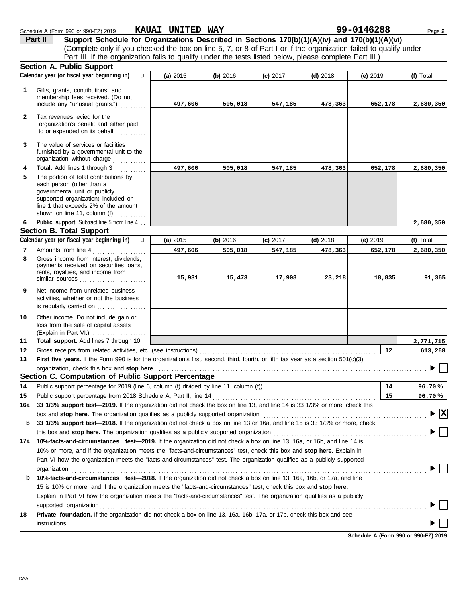|     | Schedule A (Form 990 or 990-EZ) 2019                                                                                                                                                                                           | KAUAI UNITED WAY |          |            |            | 99-0146288 | Page 2                          |  |
|-----|--------------------------------------------------------------------------------------------------------------------------------------------------------------------------------------------------------------------------------|------------------|----------|------------|------------|------------|---------------------------------|--|
|     | Support Schedule for Organizations Described in Sections 170(b)(1)(A)(iv) and 170(b)(1)(A)(vi)<br>Part II                                                                                                                      |                  |          |            |            |            |                                 |  |
|     | (Complete only if you checked the box on line 5, 7, or 8 of Part I or if the organization failed to qualify under                                                                                                              |                  |          |            |            |            |                                 |  |
|     | Part III. If the organization fails to qualify under the tests listed below, please complete Part III.)                                                                                                                        |                  |          |            |            |            |                                 |  |
|     | Section A. Public Support                                                                                                                                                                                                      |                  |          |            |            |            |                                 |  |
|     | Calendar year (or fiscal year beginning in)<br>$\mathbf{u}$                                                                                                                                                                    | (a) 2015         | (b) 2016 | $(c)$ 2017 | $(d)$ 2018 | (e) $2019$ | (f) Total                       |  |
| 1   | Gifts, grants, contributions, and                                                                                                                                                                                              |                  |          |            |            |            |                                 |  |
|     | membership fees received. (Do not                                                                                                                                                                                              |                  |          |            |            |            |                                 |  |
|     | include any "unusual grants.")                                                                                                                                                                                                 | 497,606          | 505,018  | 547,185    | 478,363    | 652,178    | 2,680,350                       |  |
| 2   | Tax revenues levied for the                                                                                                                                                                                                    |                  |          |            |            |            |                                 |  |
|     | organization's benefit and either paid                                                                                                                                                                                         |                  |          |            |            |            |                                 |  |
|     | to or expended on its behalf                                                                                                                                                                                                   |                  |          |            |            |            |                                 |  |
| 3   | The value of services or facilities                                                                                                                                                                                            |                  |          |            |            |            |                                 |  |
|     | furnished by a governmental unit to the                                                                                                                                                                                        |                  |          |            |            |            |                                 |  |
|     | organization without charge                                                                                                                                                                                                    |                  |          |            |            |            |                                 |  |
| 4   | Total. Add lines 1 through 3<br>.                                                                                                                                                                                              | 497,606          | 505,018  | 547,185    | 478,363    | 652,178    | 2,680,350                       |  |
| 5   | The portion of total contributions by                                                                                                                                                                                          |                  |          |            |            |            |                                 |  |
|     | each person (other than a<br>governmental unit or publicly                                                                                                                                                                     |                  |          |            |            |            |                                 |  |
|     | supported organization) included on                                                                                                                                                                                            |                  |          |            |            |            |                                 |  |
|     | line 1 that exceeds 2% of the amount                                                                                                                                                                                           |                  |          |            |            |            |                                 |  |
|     | shown on line 11, column (f)<br>.                                                                                                                                                                                              |                  |          |            |            |            |                                 |  |
| 6   | Public support. Subtract line 5 from line 4.                                                                                                                                                                                   |                  |          |            |            |            | 2,680,350                       |  |
|     | <b>Section B. Total Support</b>                                                                                                                                                                                                |                  |          |            |            |            |                                 |  |
|     | Calendar year (or fiscal year beginning in)<br>$\mathbf{u}$                                                                                                                                                                    | (a) 2015         | (b) 2016 | (c) 2017   | $(d)$ 2018 | (e) 2019   | (f) Total                       |  |
| 7   | Amounts from line 4<br>.                                                                                                                                                                                                       | 497,606          | 505,018  | 547,185    | 478,363    | 652,178    | 2,680,350                       |  |
| 8   | Gross income from interest, dividends,<br>payments received on securities loans,                                                                                                                                               |                  |          |            |            |            |                                 |  |
|     | rents, royalties, and income from                                                                                                                                                                                              |                  |          |            |            |            |                                 |  |
|     | similar sources                                                                                                                                                                                                                | 15,931           | 15,473   | 17,908     | 23,218     | 18,835     | 91,365                          |  |
| 9   | Net income from unrelated business                                                                                                                                                                                             |                  |          |            |            |            |                                 |  |
|     | activities, whether or not the business                                                                                                                                                                                        |                  |          |            |            |            |                                 |  |
|     | is regularly carried on                                                                                                                                                                                                        |                  |          |            |            |            |                                 |  |
| 10  | Other income. Do not include gain or                                                                                                                                                                                           |                  |          |            |            |            |                                 |  |
|     | loss from the sale of capital assets                                                                                                                                                                                           |                  |          |            |            |            |                                 |  |
| 11  | (Explain in Part VI.)<br>Total support. Add lines 7 through 10                                                                                                                                                                 |                  |          |            |            |            | 2,771,715                       |  |
| 12  |                                                                                                                                                                                                                                |                  |          |            |            | 12         | 613,268                         |  |
| 13  | First five years. If the Form 990 is for the organization's first, second, third, fourth, or fifth tax year as a section 501(c)(3)                                                                                             |                  |          |            |            |            |                                 |  |
|     | organization, check this box and stop here                                                                                                                                                                                     |                  |          |            |            |            | $\overline{\phantom{a}}$        |  |
|     | Section C. Computation of Public Support Percentage                                                                                                                                                                            |                  |          |            |            |            |                                 |  |
| 14  | Public support percentage for 2019 (line 6, column (f) divided by line 11, column (f)) [[[[[[[[[[[[[[[[[[[[[[                                                                                                                  |                  |          |            |            | 14         | 96.70%                          |  |
| 15  | Public support percentage from 2018 Schedule A, Part II, line 14                                                                                                                                                               |                  |          |            |            | 15         | 96.70%                          |  |
| 16a | 33 1/3% support test-2019. If the organization did not check the box on line 13, and line 14 is 33 1/3% or more, check this                                                                                                    |                  |          |            |            |            |                                 |  |
|     | box and stop here. The organization qualifies as a publicly supported organization [11] content content content and stop here. The organization content of the state of the state of the state of the state of the state of th |                  |          |            |            |            | $\blacktriangleright$ $\vert$ X |  |
| b   | 33 1/3% support test-2018. If the organization did not check a box on line 13 or 16a, and line 15 is 33 1/3% or more, check                                                                                                    |                  |          |            |            |            |                                 |  |
|     | this box and stop here. The organization qualifies as a publicly supported organization                                                                                                                                        |                  |          |            |            |            |                                 |  |
| 17a | 10%-facts-and-circumstances test-2019. If the organization did not check a box on line 13, 16a, or 16b, and line 14 is                                                                                                         |                  |          |            |            |            |                                 |  |
|     | 10% or more, and if the organization meets the "facts-and-circumstances" test, check this box and stop here. Explain in                                                                                                        |                  |          |            |            |            |                                 |  |
|     | Part VI how the organization meets the "facts-and-circumstances" test. The organization qualifies as a publicly supported                                                                                                      |                  |          |            |            |            |                                 |  |
|     | organization                                                                                                                                                                                                                   |                  |          |            |            |            |                                 |  |
| b   | 10%-facts-and-circumstances test-2018. If the organization did not check a box on line 13, 16a, 16b, or 17a, and line                                                                                                          |                  |          |            |            |            |                                 |  |
|     | 15 is 10% or more, and if the organization meets the "facts-and-circumstances" test, check this box and stop here.                                                                                                             |                  |          |            |            |            |                                 |  |
|     | Explain in Part VI how the organization meets the "facts-and-circumstances" test. The organization qualifies as a publicly                                                                                                     |                  |          |            |            |            |                                 |  |
|     | supported organization                                                                                                                                                                                                         |                  |          |            |            |            |                                 |  |
| 18  | Private foundation. If the organization did not check a box on line 13, 16a, 16b, 17a, or 17b, check this box and see                                                                                                          |                  |          |            |            |            |                                 |  |
|     | instructions                                                                                                                                                                                                                   |                  |          |            |            |            |                                 |  |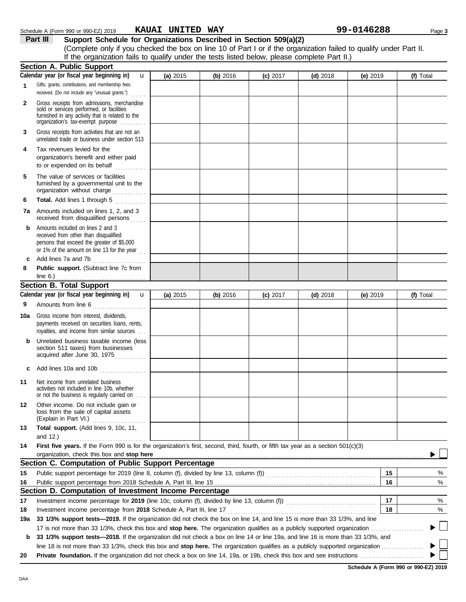| Schedule A (Form 990 or 990- |  |  |  |
|------------------------------|--|--|--|
|                              |  |  |  |

## **Schedule A (Form 990 or 990-EZ) 2019 KAUAI UNITED WAY 199-0146288** Page 3

**Part III** Support Schedule for Organizations Described in Section 509(a)(2) (Complete only if you checked the box on line 10 of Part I or if the organization failed to qualify under Part II. If the organization fails to qualify under the tests listed below, please complete Part II.)

|     | <b>Section A. Public Support</b>                                                                                                                                                                                                                                |          |          |            |            |            |    |           |
|-----|-----------------------------------------------------------------------------------------------------------------------------------------------------------------------------------------------------------------------------------------------------------------|----------|----------|------------|------------|------------|----|-----------|
|     | Calendar year (or fiscal year beginning in)<br>u                                                                                                                                                                                                                | (a) 2015 | (b) 2016 | $(c)$ 2017 | $(d)$ 2018 | (e) $2019$ |    | (f) Total |
| 1.  | Gifts, grants, contributions, and membership fees<br>received. (Do not include any "unusual grants.")<br>$\mathbf{1}$                                                                                                                                           |          |          |            |            |            |    |           |
| 2   | Gross receipts from admissions, merchandise<br>sold or services performed, or facilities<br>furnished in any activity that is related to the<br>organization's tax-exempt purpose                                                                               |          |          |            |            |            |    |           |
| 3   | Gross receipts from activities that are not an<br>unrelated trade or business under section 513                                                                                                                                                                 |          |          |            |            |            |    |           |
| 4   | Tax revenues levied for the<br>organization's benefit and either paid<br>to or expended on its behalf                                                                                                                                                           |          |          |            |            |            |    |           |
| 5   | The value of services or facilities<br>furnished by a governmental unit to the<br>organization without charge                                                                                                                                                   |          |          |            |            |            |    |           |
| 6   | Total. Add lines 1 through 5                                                                                                                                                                                                                                    |          |          |            |            |            |    |           |
| 7a  | Amounts included on lines 1, 2, and 3<br>received from disqualified persons                                                                                                                                                                                     |          |          |            |            |            |    |           |
| b   | Amounts included on lines 2 and 3<br>received from other than disqualified<br>persons that exceed the greater of \$5,000<br>or 1% of the amount on line 13 for the year $\ldots$                                                                                |          |          |            |            |            |    |           |
| c   | Add lines 7a and 7b                                                                                                                                                                                                                                             |          |          |            |            |            |    |           |
| 8   | Public support. (Subtract line 7c from                                                                                                                                                                                                                          |          |          |            |            |            |    |           |
|     | line $6.$ )<br>.<br><b>Section B. Total Support</b>                                                                                                                                                                                                             |          |          |            |            |            |    |           |
|     | Calendar year (or fiscal year beginning in)<br>$\mathbf{u}$                                                                                                                                                                                                     | (a) 2015 | (b) 2016 | $(c)$ 2017 | $(d)$ 2018 |            |    | (f) Total |
| 9   | Amounts from line 6                                                                                                                                                                                                                                             |          |          |            |            | (e) $2019$ |    |           |
|     |                                                                                                                                                                                                                                                                 |          |          |            |            |            |    |           |
| 10a | Gross income from interest, dividends,<br>payments received on securities loans, rents,<br>royalties, and income from similar sources                                                                                                                           |          |          |            |            |            |    |           |
| b   | Unrelated business taxable income (less<br>section 511 taxes) from businesses<br>acquired after June 30, 1975                                                                                                                                                   |          |          |            |            |            |    |           |
| c   | Add lines 10a and 10b                                                                                                                                                                                                                                           |          |          |            |            |            |    |           |
| 11  | Net income from unrelated business<br>activities not included in line 10b, whether<br>or not the business is regularly carried on                                                                                                                               |          |          |            |            |            |    |           |
| 12  | Other income. Do not include gain or<br>loss from the sale of capital assets<br>(Explain in Part VI.)                                                                                                                                                           |          |          |            |            |            |    |           |
| 13  | Total support. (Add lines 9, 10c, 11,<br>and $12.$ )                                                                                                                                                                                                            |          |          |            |            |            |    |           |
| 14  | First five years. If the Form 990 is for the organization's first, second, third, fourth, or fifth tax year as a section 501(c)(3)                                                                                                                              |          |          |            |            |            |    |           |
|     | organization, check this box and stop here                                                                                                                                                                                                                      |          |          |            |            |            |    |           |
|     | Section C. Computation of Public Support Percentage                                                                                                                                                                                                             |          |          |            |            |            |    |           |
| 15  |                                                                                                                                                                                                                                                                 |          |          |            |            |            | 15 | %         |
| 16  |                                                                                                                                                                                                                                                                 |          |          |            |            |            | 16 | %         |
|     | Section D. Computation of Investment Income Percentage                                                                                                                                                                                                          |          |          |            |            |            |    |           |
| 17  | Investment income percentage for 2019 (line 10c, column (f), divided by line 13, column (f)) [[[[[[[[[[[[[[[[[                                                                                                                                                  |          |          |            |            |            | 17 | %         |
| 18  |                                                                                                                                                                                                                                                                 |          |          |            |            |            | 18 | %         |
| 19a | 33 1/3% support tests-2019. If the organization did not check the box on line 14, and line 15 is more than 33 1/3%, and line                                                                                                                                    |          |          |            |            |            |    |           |
| b   | 17 is not more than 33 1/3%, check this box and stop here. The organization qualifies as a publicly supported organization<br>33 1/3% support tests-2018. If the organization did not check a box on line 14 or line 19a, and line 16 is more than 33 1/3%, and |          |          |            |            |            |    |           |
|     |                                                                                                                                                                                                                                                                 |          |          |            |            |            |    |           |
| 20  |                                                                                                                                                                                                                                                                 |          |          |            |            |            |    |           |
|     |                                                                                                                                                                                                                                                                 |          |          |            |            |            |    |           |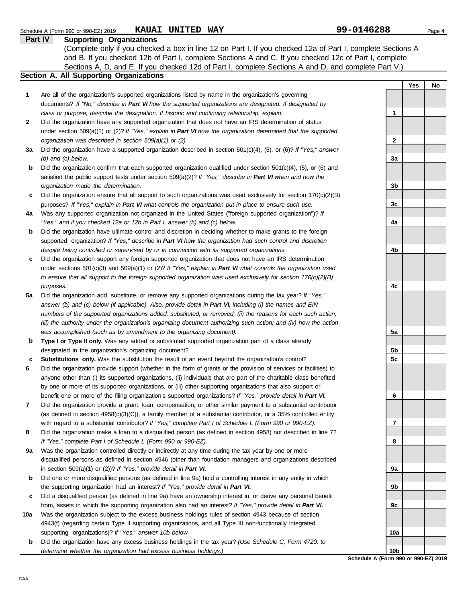|     | (Complete only if you checked a box in line 12 on Part I. If you checked 12a of Part I, complete Sections A              |                 |     |    |
|-----|--------------------------------------------------------------------------------------------------------------------------|-----------------|-----|----|
|     | and B. If you checked 12b of Part I, complete Sections A and C. If you checked 12c of Part I, complete                   |                 |     |    |
|     | Sections A, D, and E. If you checked 12d of Part I, complete Sections A and D, and complete Part V.)                     |                 |     |    |
|     | Section A. All Supporting Organizations                                                                                  |                 |     |    |
|     |                                                                                                                          |                 | Yes | No |
| 1   | Are all of the organization's supported organizations listed by name in the organization's governing                     |                 |     |    |
|     | documents? If "No," describe in Part VI how the supported organizations are designated. If designated by                 |                 |     |    |
|     | class or purpose, describe the designation. If historic and continuing relationship, explain.                            | 1               |     |    |
| 2   | Did the organization have any supported organization that does not have an IRS determination of status                   |                 |     |    |
|     | under section 509(a)(1) or (2)? If "Yes," explain in Part VI how the organization determined that the supported          |                 |     |    |
|     | organization was described in section 509(a)(1) or (2).                                                                  | $\mathbf{2}$    |     |    |
| 3a  | Did the organization have a supported organization described in section $501(c)(4)$ , (5), or (6)? If "Yes," answer      |                 |     |    |
|     | $(b)$ and $(c)$ below.                                                                                                   | За              |     |    |
| b   | Did the organization confirm that each supported organization qualified under section $501(c)(4)$ , $(5)$ , or $(6)$ and |                 |     |    |
|     |                                                                                                                          |                 |     |    |
|     | satisfied the public support tests under section 509(a)(2)? If "Yes," describe in Part VI when and how the               |                 |     |    |
|     | organization made the determination.                                                                                     | 3b              |     |    |
| c   | Did the organization ensure that all support to such organizations was used exclusively for section $170(c)(2)(B)$       |                 |     |    |
|     | purposes? If "Yes," explain in Part VI what controls the organization put in place to ensure such use.                   | 3c              |     |    |
| 4a  | Was any supported organization not organized in the United States ("foreign supported organization")? If                 |                 |     |    |
|     | "Yes," and if you checked 12a or 12b in Part I, answer (b) and (c) below.                                                | 4a              |     |    |
| b   | Did the organization have ultimate control and discretion in deciding whether to make grants to the foreign              |                 |     |    |
|     | supported organization? If "Yes," describe in Part VI how the organization had such control and discretion               |                 |     |    |
|     | despite being controlled or supervised by or in connection with its supported organizations.                             | 4b              |     |    |
| c   | Did the organization support any foreign supported organization that does not have an IRS determination                  |                 |     |    |
|     | under sections $501(c)(3)$ and $509(a)(1)$ or (2)? If "Yes," explain in Part VI what controls the organization used      |                 |     |    |
|     | to ensure that all support to the foreign supported organization was used exclusively for section $170(c)(2)(B)$         |                 |     |    |
|     | purposes.                                                                                                                | 4c              |     |    |
| 5a  | Did the organization add, substitute, or remove any supported organizations during the tax year? If "Yes,"               |                 |     |    |
|     | answer (b) and (c) below (if applicable). Also, provide detail in Part VI, including (i) the names and EIN               |                 |     |    |
|     | numbers of the supported organizations added, substituted, or removed; (ii) the reasons for each such action;            |                 |     |    |
|     | (iii) the authority under the organization's organizing document authorizing such action; and (iv) how the action        |                 |     |    |
|     | was accomplished (such as by amendment to the organizing document).                                                      | 5a              |     |    |
| b   | Type I or Type II only. Was any added or substituted supported organization part of a class already                      |                 |     |    |
|     | designated in the organization's organizing document?                                                                    | 5b              |     |    |
| c   | Substitutions only. Was the substitution the result of an event beyond the organization's control?                       | 5c              |     |    |
| 6   | Did the organization provide support (whether in the form of grants or the provision of services or facilities) to       |                 |     |    |
|     | anyone other than (i) its supported organizations, (ii) individuals that are part of the charitable class benefited      |                 |     |    |
|     | by one or more of its supported organizations, or (iii) other supporting organizations that also support or              |                 |     |    |
|     | benefit one or more of the filing organization's supported organizations? If "Yes," provide detail in Part VI.           | 6               |     |    |
| 7   | Did the organization provide a grant, loan, compensation, or other similar payment to a substantial contributor          |                 |     |    |
|     | (as defined in section $4958(c)(3)(C)$ ), a family member of a substantial contributor, or a 35% controlled entity       |                 |     |    |
|     | with regard to a substantial contributor? If "Yes," complete Part I of Schedule L (Form 990 or 990-EZ).                  | 7               |     |    |
| 8   | Did the organization make a loan to a disqualified person (as defined in section 4958) not described in line 7?          |                 |     |    |
|     | If "Yes," complete Part I of Schedule L (Form 990 or 990-EZ).                                                            | 8               |     |    |
| 9а  | Was the organization controlled directly or indirectly at any time during the tax year by one or more                    |                 |     |    |
|     |                                                                                                                          |                 |     |    |
|     | disqualified persons as defined in section 4946 (other than foundation managers and organizations described              |                 |     |    |
|     | in section 509(a)(1) or (2))? If "Yes," provide detail in Part VI.                                                       | 9а              |     |    |
| b   | Did one or more disqualified persons (as defined in line 9a) hold a controlling interest in any entity in which          |                 |     |    |
|     | the supporting organization had an interest? If "Yes," provide detail in Part VI.                                        | 9b              |     |    |
| c   | Did a disqualified person (as defined in line 9a) have an ownership interest in, or derive any personal benefit          |                 |     |    |
|     | from, assets in which the supporting organization also had an interest? If "Yes," provide detail in Part VI.             | 9c              |     |    |
| 10a | Was the organization subject to the excess business holdings rules of section 4943 because of section                    |                 |     |    |
|     | 4943(f) (regarding certain Type II supporting organizations, and all Type III non-functionally integrated                |                 |     |    |
|     | supporting organizations)? If "Yes," answer 10b below.                                                                   | 10a             |     |    |
| b   | Did the organization have any excess business holdings in the tax year? (Use Schedule C, Form 4720, to                   |                 |     |    |
|     | determine whether the organization had excess business holdings.)                                                        | 10 <sub>b</sub> |     |    |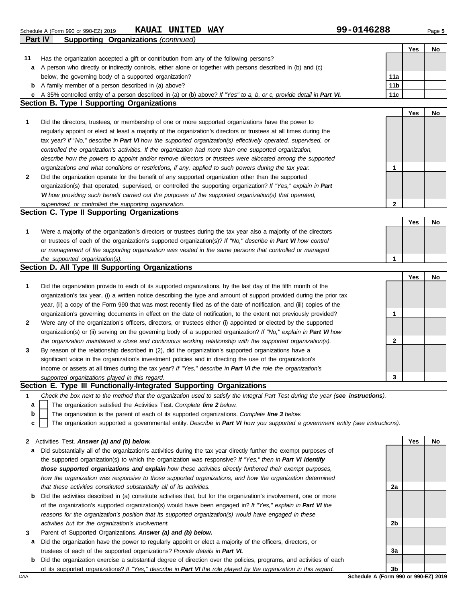|    | KAUAI UNITED WAY<br>Schedule A (Form 990 or 990-EZ) 2019                                                                          | 99-0146288      |     | Page 5 |
|----|-----------------------------------------------------------------------------------------------------------------------------------|-----------------|-----|--------|
|    | Part IV<br><b>Supporting Organizations (continued)</b>                                                                            |                 |     |        |
|    |                                                                                                                                   |                 | Yes | No     |
| 11 | Has the organization accepted a gift or contribution from any of the following persons?                                           |                 |     |        |
| a  | A person who directly or indirectly controls, either alone or together with persons described in (b) and (c)                      |                 |     |        |
|    | below, the governing body of a supported organization?                                                                            | 11a             |     |        |
| b  | A family member of a person described in (a) above?                                                                               | 11 <sub>b</sub> |     |        |
| c  | A 35% controlled entity of a person described in (a) or (b) above? If "Yes" to a, b, or c, provide detail in Part VI.             | 11c             |     |        |
|    | <b>Section B. Type I Supporting Organizations</b>                                                                                 |                 |     |        |
|    |                                                                                                                                   |                 | Yes | No     |
| 1  | Did the directors, trustees, or membership of one or more supported organizations have the power to                               |                 |     |        |
|    | regularly appoint or elect at least a majority of the organization's directors or trustees at all times during the                |                 |     |        |
|    | tax year? If "No," describe in Part VI how the supported organization(s) effectively operated, supervised, or                     |                 |     |        |
|    | controlled the organization's activities. If the organization had more than one supported organization,                           |                 |     |        |
|    | describe how the powers to appoint and/or remove directors or trustees were allocated among the supported                         |                 |     |        |
|    | organizations and what conditions or restrictions, if any, applied to such powers during the tax year.                            | 1               |     |        |
| 2  | Did the organization operate for the benefit of any supported organization other than the supported                               |                 |     |        |
|    | organization(s) that operated, supervised, or controlled the supporting organization? If "Yes," explain in Part                   |                 |     |        |
|    | VI how providing such benefit carried out the purposes of the supported organization(s) that operated,                            |                 |     |        |
|    | supervised, or controlled the supporting organization.                                                                            | 2               |     |        |
|    | Section C. Type II Supporting Organizations                                                                                       |                 |     |        |
|    |                                                                                                                                   |                 | Yes | No     |
| 1  | Were a majority of the organization's directors or trustees during the tax year also a majority of the directors                  |                 |     |        |
|    | or trustees of each of the organization's supported organization(s)? If "No," describe in Part VI how control                     |                 |     |        |
|    | or management of the supporting organization was vested in the same persons that controlled or managed                            |                 |     |        |
|    | the supported organization(s).                                                                                                    | 1               |     |        |
|    | Section D. All Type III Supporting Organizations                                                                                  |                 |     |        |
|    |                                                                                                                                   |                 | Yes | No     |
| 1  | Did the organization provide to each of its supported organizations, by the last day of the fifth month of the                    |                 |     |        |
|    | organization's tax year, (i) a written notice describing the type and amount of support provided during the prior tax             |                 |     |        |
|    | year, (ii) a copy of the Form 990 that was most recently filed as of the date of notification, and (iii) copies of the            |                 |     |        |
|    | organization's governing documents in effect on the date of notification, to the extent not previously provided?                  | 1               |     |        |
| 2  | Were any of the organization's officers, directors, or trustees either (i) appointed or elected by the supported                  |                 |     |        |
|    | organization(s) or (ii) serving on the governing body of a supported organization? If "No," explain in Part VI how                |                 |     |        |
|    | the organization maintained a close and continuous working relationship with the supported organization(s).                       | 2               |     |        |
| 3  | By reason of the relationship described in (2), did the organization's supported organizations have a                             |                 |     |        |
|    | significant voice in the organization's investment policies and in directing the use of the organization's                        |                 |     |        |
|    | income or assets at all times during the tax year? If "Yes," describe in Part VI the role the organization's                      |                 |     |        |
|    | supported organizations played in this regard.                                                                                    | 3               |     |        |
|    | Section E. Type III Functionally-Integrated Supporting Organizations                                                              |                 |     |        |
| 1  | Check the box next to the method that the organization used to satisfy the Integral Part Test during the year (see instructions). |                 |     |        |
| a  | The organization satisfied the Activities Test. Complete line 2 below.                                                            |                 |     |        |
| b  | The organization is the parent of each of its supported organizations. Complete line 3 below.                                     |                 |     |        |
| c  | The organization supported a governmental entity. Describe in Part VI how you supported a government entity (see instructions).   |                 |     |        |

**2** Activities Test. *Answer (a) and (b) below.*

- **a** Did substantially all of the organization's activities during the tax year directly further the exempt purposes of the supported organization(s) to which the organization was responsive? *If "Yes," then in Part VI identify those supported organizations and explain how these activities directly furthered their exempt purposes, how the organization was responsive to those supported organizations, and how the organization determined that these activities constituted substantially all of its activities.*
- **b** Did the activities described in (a) constitute activities that, but for the organization's involvement, one or more of the organization's supported organization(s) would have been engaged in? *If "Yes," explain in Part VI the reasons for the organization's position that its supported organization(s) would have engaged in these activities but for the organization's involvement.*
- **3** Parent of Supported Organizations. *Answer (a) and (b) below.*
	- **a** Did the organization have the power to regularly appoint or elect a majority of the officers, directors, or trustees of each of the supported organizations? *Provide details in Part VI.*
	- **b** Did the organization exercise a substantial degree of direction over the policies, programs, and activities of each of its supported organizations? *If "Yes," describe in Part VI the role played by the organization in this regard.*

**2a 2b 3a 3b**

**Yes No**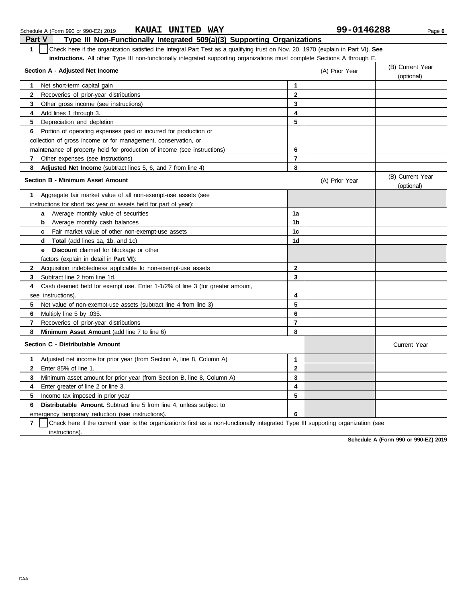| Part V<br>Type III Non-Functionally Integrated 509(a)(3) Supporting Organizations                                                                |                         |                |                                |  |  |  |  |  |
|--------------------------------------------------------------------------------------------------------------------------------------------------|-------------------------|----------------|--------------------------------|--|--|--|--|--|
| Check here if the organization satisfied the Integral Part Test as a qualifying trust on Nov. 20, 1970 (explain in Part VI). See<br>$\mathbf{1}$ |                         |                |                                |  |  |  |  |  |
| instructions. All other Type III non-functionally integrated supporting organizations must complete Sections A through E.                        |                         |                |                                |  |  |  |  |  |
| Section A - Adjusted Net Income                                                                                                                  | (A) Prior Year          |                |                                |  |  |  |  |  |
|                                                                                                                                                  |                         |                | (optional)                     |  |  |  |  |  |
| 1<br>Net short-term capital gain                                                                                                                 | $\mathbf{1}$            |                |                                |  |  |  |  |  |
| $\mathbf{2}$<br>Recoveries of prior-year distributions                                                                                           | $\mathbf{2}$            |                |                                |  |  |  |  |  |
| 3<br>Other gross income (see instructions)                                                                                                       | 3                       |                |                                |  |  |  |  |  |
| Add lines 1 through 3.<br>4                                                                                                                      | 4                       |                |                                |  |  |  |  |  |
| 5<br>Depreciation and depletion                                                                                                                  | 5                       |                |                                |  |  |  |  |  |
| Portion of operating expenses paid or incurred for production or<br>6                                                                            |                         |                |                                |  |  |  |  |  |
| collection of gross income or for management, conservation, or                                                                                   |                         |                |                                |  |  |  |  |  |
| maintenance of property held for production of income (see instructions)                                                                         | 6                       |                |                                |  |  |  |  |  |
| Other expenses (see instructions)<br>$\mathbf{7}$                                                                                                | $\overline{7}$          |                |                                |  |  |  |  |  |
| 8<br>Adjusted Net Income (subtract lines 5, 6, and 7 from line 4)                                                                                | 8                       |                |                                |  |  |  |  |  |
| <b>Section B - Minimum Asset Amount</b>                                                                                                          |                         | (A) Prior Year | (B) Current Year<br>(optional) |  |  |  |  |  |
| Aggregate fair market value of all non-exempt-use assets (see<br>1                                                                               |                         |                |                                |  |  |  |  |  |
| instructions for short tax year or assets held for part of year):                                                                                |                         |                |                                |  |  |  |  |  |
| Average monthly value of securities<br>a                                                                                                         | 1a                      |                |                                |  |  |  |  |  |
| <b>b</b> Average monthly cash balances                                                                                                           | 1b                      |                |                                |  |  |  |  |  |
| Fair market value of other non-exempt-use assets<br>c.                                                                                           | 1c                      |                |                                |  |  |  |  |  |
| <b>Total</b> (add lines 1a, 1b, and 1c)<br>d                                                                                                     | 1d                      |                |                                |  |  |  |  |  |
| Discount claimed for blockage or other<br>e                                                                                                      |                         |                |                                |  |  |  |  |  |
| factors (explain in detail in Part VI):                                                                                                          |                         |                |                                |  |  |  |  |  |
| $\mathbf{2}$<br>Acquisition indebtedness applicable to non-exempt-use assets                                                                     | $\overline{2}$          |                |                                |  |  |  |  |  |
| 3<br>Subtract line 2 from line 1d.                                                                                                               | 3                       |                |                                |  |  |  |  |  |
| Cash deemed held for exempt use. Enter 1-1/2% of line 3 (for greater amount,<br>4                                                                |                         |                |                                |  |  |  |  |  |
| see instructions).                                                                                                                               | 4                       |                |                                |  |  |  |  |  |
| Net value of non-exempt-use assets (subtract line 4 from line 3)<br>5.                                                                           | 5                       |                |                                |  |  |  |  |  |
| 6<br>Multiply line 5 by .035.                                                                                                                    | 6                       |                |                                |  |  |  |  |  |
| 7<br>Recoveries of prior-year distributions                                                                                                      | $\overline{7}$          |                |                                |  |  |  |  |  |
| 8<br>Minimum Asset Amount (add line 7 to line 6)                                                                                                 | 8                       |                |                                |  |  |  |  |  |
| Section C - Distributable Amount                                                                                                                 |                         |                | <b>Current Year</b>            |  |  |  |  |  |
| Adjusted net income for prior year (from Section A, line 8, Column A)<br>1                                                                       | 1                       |                |                                |  |  |  |  |  |
| $\mathbf{2}$<br>Enter 85% of line 1.                                                                                                             | $\mathbf{2}$            |                |                                |  |  |  |  |  |
| 3<br>Minimum asset amount for prior year (from Section B, line 8, Column A)                                                                      | 3                       |                |                                |  |  |  |  |  |
| 4<br>Enter greater of line 2 or line 3.                                                                                                          | $\overline{\mathbf{4}}$ |                |                                |  |  |  |  |  |
| 5<br>Income tax imposed in prior year                                                                                                            | 5                       |                |                                |  |  |  |  |  |
| <b>Distributable Amount.</b> Subtract line 5 from line 4, unless subject to<br>6                                                                 |                         |                |                                |  |  |  |  |  |
| emergency temporary reduction (see instructions).                                                                                                | 6                       |                |                                |  |  |  |  |  |
|                                                                                                                                                  |                         |                |                                |  |  |  |  |  |

Schedule A (Form 990 or 990-EZ) 2019 **KAUAI UNITED WAY** 99-0146288 Page 6

**KAUAI UNITED WAY 99-0146288**

**7** | Check here if the current year is the organization's first as a non-functionally integrated Type III supporting organization (see instructions).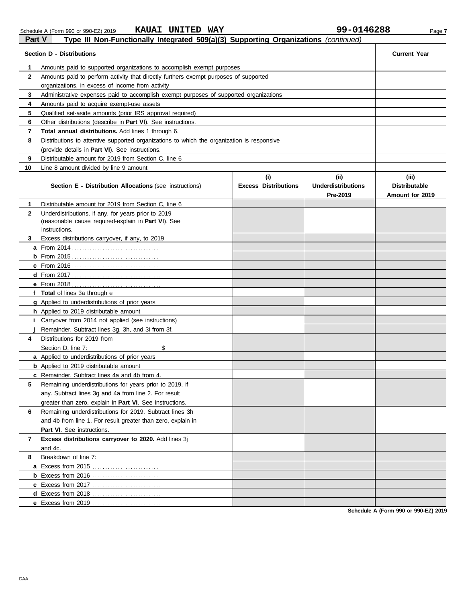DAA

**8**

and 4c.

**6**

**5**

**7 Excess distributions carryover to 2020.** Add lines 3j

Remaining underdistributions for years prior to 2019, if any. Subtract lines 3g and 4a from line 2. For result greater than zero, explain in **Part VI**. See instructions. Remaining underdistributions for 2019. Subtract lines 3h and 4b from line 1. For result greater than zero, explain in

**a** Excess from 2015 . . . . . . . . . . . . . . . . . . . . . . . . . . **b** Excess from 2016 . . . . . . . . . . . . . . . . . . . . . . . . . . **c** Excess from 2017 . . . . . . . . . . . . . . . . . . . . . . . . . . . **d** Excess from 2018 . . . . . . . . . . . . . . . . . . . . . . . . . . . **e** Excess from 2019 . . . . . . . . . . . . . . . . . . . . . . . . . . .

**Part VI.** See instructions.

Breakdown of line 7:

| <b>Part V</b> | KAUAI UNITED WAY<br>Schedule A (Form 990 or 990-EZ) 2019<br>Type III Non-Functionally Integrated 509(a)(3) Supporting Organizations (continued) |                                    | 99-0146288                                    | Page 7                                           |
|---------------|-------------------------------------------------------------------------------------------------------------------------------------------------|------------------------------------|-----------------------------------------------|--------------------------------------------------|
|               | <b>Section D - Distributions</b>                                                                                                                |                                    |                                               | <b>Current Year</b>                              |
| 1             | Amounts paid to supported organizations to accomplish exempt purposes                                                                           |                                    |                                               |                                                  |
| $\mathbf{2}$  | Amounts paid to perform activity that directly furthers exempt purposes of supported                                                            |                                    |                                               |                                                  |
|               | organizations, in excess of income from activity                                                                                                |                                    |                                               |                                                  |
| 3             | Administrative expenses paid to accomplish exempt purposes of supported organizations                                                           |                                    |                                               |                                                  |
| 4             | Amounts paid to acquire exempt-use assets                                                                                                       |                                    |                                               |                                                  |
| 5             | Qualified set-aside amounts (prior IRS approval required)                                                                                       |                                    |                                               |                                                  |
| 6             | Other distributions (describe in <b>Part VI</b> ). See instructions.                                                                            |                                    |                                               |                                                  |
| 7             | Total annual distributions. Add lines 1 through 6.                                                                                              |                                    |                                               |                                                  |
| 8             | Distributions to attentive supported organizations to which the organization is responsive                                                      |                                    |                                               |                                                  |
|               | (provide details in Part VI). See instructions.                                                                                                 |                                    |                                               |                                                  |
| 9             | Distributable amount for 2019 from Section C, line 6                                                                                            |                                    |                                               |                                                  |
| 10            | Line 8 amount divided by line 9 amount                                                                                                          |                                    |                                               |                                                  |
|               | <b>Section E - Distribution Allocations (see instructions)</b>                                                                                  | (i)<br><b>Excess Distributions</b> | (ii)<br><b>Underdistributions</b><br>Pre-2019 | (iii)<br><b>Distributable</b><br>Amount for 2019 |
| 1             | Distributable amount for 2019 from Section C, line 6                                                                                            |                                    |                                               |                                                  |
| $\mathbf{2}$  | Underdistributions, if any, for years prior to 2019                                                                                             |                                    |                                               |                                                  |
|               | (reasonable cause required-explain in Part VI). See                                                                                             |                                    |                                               |                                                  |
|               | instructions.                                                                                                                                   |                                    |                                               |                                                  |
| 3             | Excess distributions carryover, if any, to 2019                                                                                                 |                                    |                                               |                                                  |
|               |                                                                                                                                                 |                                    |                                               |                                                  |
|               |                                                                                                                                                 |                                    |                                               |                                                  |
|               |                                                                                                                                                 |                                    |                                               |                                                  |
|               |                                                                                                                                                 |                                    |                                               |                                                  |
|               | e From 2018                                                                                                                                     |                                    |                                               |                                                  |
|               | f Total of lines 3a through e                                                                                                                   |                                    |                                               |                                                  |
|               | <b>g</b> Applied to underdistributions of prior years                                                                                           |                                    |                                               |                                                  |
|               | h Applied to 2019 distributable amount                                                                                                          |                                    |                                               |                                                  |
|               | <i>i</i> Carryover from 2014 not applied (see instructions)                                                                                     |                                    |                                               |                                                  |
|               | Remainder. Subtract lines 3g, 3h, and 3i from 3f.                                                                                               |                                    |                                               |                                                  |
| 4             | Distributions for 2019 from                                                                                                                     |                                    |                                               |                                                  |
|               | \$<br>Section D, line 7:                                                                                                                        |                                    |                                               |                                                  |
|               | a Applied to underdistributions of prior years                                                                                                  |                                    |                                               |                                                  |
|               | <b>b</b> Applied to 2019 distributable amount                                                                                                   |                                    |                                               |                                                  |
|               | <b>c</b> Remainder. Subtract lines 4a and 4b from 4.                                                                                            |                                    |                                               |                                                  |

**Schedule A (Form 990 or 990-EZ) 2019**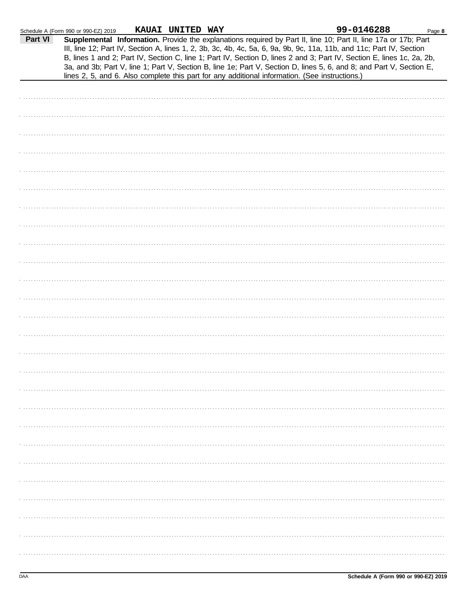|         | Schedule A (Form 990 or 990-EZ) 2019 | KAUAI UNITED WAY |                                                                                                | 99-0146288                                                                                                                                                                                                                                                                                                                                                                                                                                                                                | Page 8 |
|---------|--------------------------------------|------------------|------------------------------------------------------------------------------------------------|-------------------------------------------------------------------------------------------------------------------------------------------------------------------------------------------------------------------------------------------------------------------------------------------------------------------------------------------------------------------------------------------------------------------------------------------------------------------------------------------|--------|
| Part VI |                                      |                  | lines 2, 5, and 6. Also complete this part for any additional information. (See instructions.) | Supplemental Information. Provide the explanations required by Part II, line 10; Part II, line 17a or 17b; Part<br>III, line 12; Part IV, Section A, lines 1, 2, 3b, 3c, 4b, 4c, 5a, 6, 9a, 9b, 9c, 11a, 11b, and 11c; Part IV, Section<br>B, lines 1 and 2; Part IV, Section C, line 1; Part IV, Section D, lines 2 and 3; Part IV, Section E, lines 1c, 2a, 2b,<br>3a, and 3b; Part V, line 1; Part V, Section B, line 1e; Part V, Section D, lines 5, 6, and 8; and Part V, Section E, |        |
|         |                                      |                  |                                                                                                |                                                                                                                                                                                                                                                                                                                                                                                                                                                                                           |        |
|         |                                      |                  |                                                                                                |                                                                                                                                                                                                                                                                                                                                                                                                                                                                                           |        |
|         |                                      |                  |                                                                                                |                                                                                                                                                                                                                                                                                                                                                                                                                                                                                           |        |
|         |                                      |                  |                                                                                                |                                                                                                                                                                                                                                                                                                                                                                                                                                                                                           |        |
|         |                                      |                  |                                                                                                |                                                                                                                                                                                                                                                                                                                                                                                                                                                                                           |        |
|         |                                      |                  |                                                                                                |                                                                                                                                                                                                                                                                                                                                                                                                                                                                                           |        |
|         |                                      |                  |                                                                                                |                                                                                                                                                                                                                                                                                                                                                                                                                                                                                           |        |
|         |                                      |                  |                                                                                                |                                                                                                                                                                                                                                                                                                                                                                                                                                                                                           |        |
|         |                                      |                  |                                                                                                |                                                                                                                                                                                                                                                                                                                                                                                                                                                                                           |        |
|         |                                      |                  |                                                                                                |                                                                                                                                                                                                                                                                                                                                                                                                                                                                                           |        |
|         |                                      |                  |                                                                                                |                                                                                                                                                                                                                                                                                                                                                                                                                                                                                           |        |
|         |                                      |                  |                                                                                                |                                                                                                                                                                                                                                                                                                                                                                                                                                                                                           |        |
|         |                                      |                  |                                                                                                |                                                                                                                                                                                                                                                                                                                                                                                                                                                                                           |        |
|         |                                      |                  |                                                                                                |                                                                                                                                                                                                                                                                                                                                                                                                                                                                                           |        |
|         |                                      |                  |                                                                                                |                                                                                                                                                                                                                                                                                                                                                                                                                                                                                           |        |
|         |                                      |                  |                                                                                                |                                                                                                                                                                                                                                                                                                                                                                                                                                                                                           |        |
|         |                                      |                  |                                                                                                |                                                                                                                                                                                                                                                                                                                                                                                                                                                                                           |        |
|         |                                      |                  |                                                                                                |                                                                                                                                                                                                                                                                                                                                                                                                                                                                                           |        |
|         |                                      |                  |                                                                                                |                                                                                                                                                                                                                                                                                                                                                                                                                                                                                           |        |
|         |                                      |                  |                                                                                                |                                                                                                                                                                                                                                                                                                                                                                                                                                                                                           |        |
|         |                                      |                  |                                                                                                |                                                                                                                                                                                                                                                                                                                                                                                                                                                                                           |        |
|         |                                      |                  |                                                                                                |                                                                                                                                                                                                                                                                                                                                                                                                                                                                                           |        |
|         |                                      |                  |                                                                                                |                                                                                                                                                                                                                                                                                                                                                                                                                                                                                           |        |
|         |                                      |                  |                                                                                                |                                                                                                                                                                                                                                                                                                                                                                                                                                                                                           |        |
|         |                                      |                  |                                                                                                |                                                                                                                                                                                                                                                                                                                                                                                                                                                                                           |        |
|         |                                      |                  |                                                                                                |                                                                                                                                                                                                                                                                                                                                                                                                                                                                                           |        |
|         |                                      |                  |                                                                                                |                                                                                                                                                                                                                                                                                                                                                                                                                                                                                           |        |
|         |                                      |                  |                                                                                                |                                                                                                                                                                                                                                                                                                                                                                                                                                                                                           |        |
|         |                                      |                  |                                                                                                |                                                                                                                                                                                                                                                                                                                                                                                                                                                                                           |        |
|         |                                      |                  |                                                                                                |                                                                                                                                                                                                                                                                                                                                                                                                                                                                                           |        |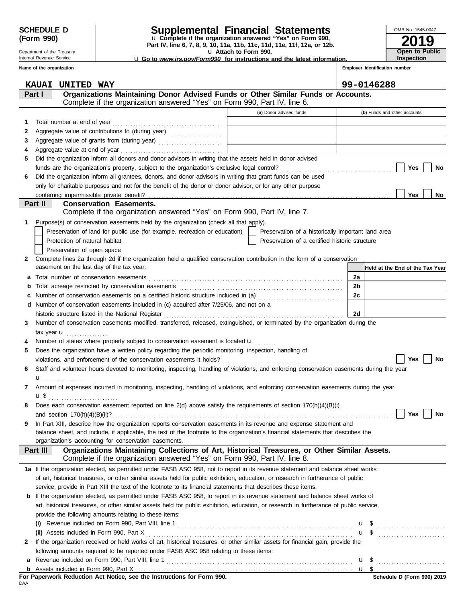Department of the Treasury Internal Revenue Service **Name of the organization**

# **SCHEDULE D Supplemental Financial Statements**

**Part IV, line 6, 7, 8, 9, 10, 11a, 11b, 11c, 11d, 11e, 11f, 12a, or 12b.** u **Complete if the organization answered "Yes" on Form 990,**

u **Attach to Form 990.** 

**2019 Open to Public Inspection**

OMB No. 1545-0047

u **Go to** *www.irs.gov/Form990* **for instructions and the latest information.**

**Employer identification number**

|   | UNITED WAY<br><b>KAUAI</b>                                                                                                                                                                 |                                                                            |                | 99-0146288                      |
|---|--------------------------------------------------------------------------------------------------------------------------------------------------------------------------------------------|----------------------------------------------------------------------------|----------------|---------------------------------|
|   | Organizations Maintaining Donor Advised Funds or Other Similar Funds or Accounts.<br>Part I                                                                                                |                                                                            |                |                                 |
|   | Complete if the organization answered "Yes" on Form 990, Part IV, line 6.                                                                                                                  |                                                                            |                |                                 |
|   |                                                                                                                                                                                            | (a) Donor advised funds                                                    |                | (b) Funds and other accounts    |
| 1 | Total number at end of year                                                                                                                                                                | the control of the control of the control                                  |                |                                 |
| 2 | Aggregate value of contributions to (during year)                                                                                                                                          | <u> 1989 - Johann Barn, amerikansk politiker (</u>                         |                |                                 |
| 3 |                                                                                                                                                                                            | the control of the control of the control of the control of the control of |                |                                 |
| 4 |                                                                                                                                                                                            |                                                                            |                |                                 |
| 5 | Did the organization inform all donors and donor advisors in writing that the assets held in donor advised                                                                                 |                                                                            |                |                                 |
|   |                                                                                                                                                                                            |                                                                            |                | Yes<br>No                       |
| 6 | Did the organization inform all grantees, donors, and donor advisors in writing that grant funds can be used                                                                               |                                                                            |                |                                 |
|   | only for charitable purposes and not for the benefit of the donor or donor advisor, or for any other purpose                                                                               |                                                                            |                |                                 |
|   |                                                                                                                                                                                            |                                                                            |                | <b>Yes</b><br>No                |
|   | Part II<br><b>Conservation Easements.</b>                                                                                                                                                  |                                                                            |                |                                 |
|   | Complete if the organization answered "Yes" on Form 990, Part IV, line 7.                                                                                                                  |                                                                            |                |                                 |
| 1 | Purpose(s) of conservation easements held by the organization (check all that apply).                                                                                                      |                                                                            |                |                                 |
|   | Preservation of land for public use (for example, recreation or education)                                                                                                                 | Preservation of a historically important land area                         |                |                                 |
|   | Protection of natural habitat                                                                                                                                                              | Preservation of a certified historic structure                             |                |                                 |
|   | Preservation of open space                                                                                                                                                                 |                                                                            |                |                                 |
| 2 | Complete lines 2a through 2d if the organization held a qualified conservation contribution in the form of a conservation                                                                  |                                                                            |                |                                 |
|   | easement on the last day of the tax year.                                                                                                                                                  |                                                                            |                | Held at the End of the Tax Year |
| а | Total number of conservation easements                                                                                                                                                     |                                                                            | 2a             |                                 |
| b |                                                                                                                                                                                            |                                                                            | 2 <sub>b</sub> |                                 |
| c | Number of conservation easements on a certified historic structure included in (a) [[[[[[[[[[[[[[[[[[[[[[[[[]]]]]]]                                                                        |                                                                            | 2c             |                                 |
| d | Number of conservation easements included in (c) acquired after 7/25/06, and not on a                                                                                                      |                                                                            |                |                                 |
|   | historic structure listed in the National Register                                                                                                                                         |                                                                            | 2d             |                                 |
| 3 | Number of conservation easements modified, transferred, released, extinguished, or terminated by the organization during the                                                               |                                                                            |                |                                 |
|   | tax year $\mathbf{u}$                                                                                                                                                                      |                                                                            |                |                                 |
|   | Number of states where property subject to conservation easement is located u                                                                                                              |                                                                            |                |                                 |
| 5 | Does the organization have a written policy regarding the periodic monitoring, inspection, handling of                                                                                     |                                                                            |                |                                 |
|   |                                                                                                                                                                                            |                                                                            |                | Yes<br>No                       |
| 6 | Staff and volunteer hours devoted to monitoring, inspecting, handling of violations, and enforcing conservation easements during the year                                                  |                                                                            |                |                                 |
|   | u                                                                                                                                                                                          |                                                                            |                |                                 |
| 7 | Amount of expenses incurred in monitoring, inspecting, handling of violations, and enforcing conservation easements during the year                                                        |                                                                            |                |                                 |
|   | ս \$                                                                                                                                                                                       |                                                                            |                |                                 |
|   | Does each conservation easement reported on line 2(d) above satisfy the requirements of section 170(h)(4)(B)(i)                                                                            |                                                                            |                |                                 |
|   |                                                                                                                                                                                            |                                                                            |                |                                 |
| 9 | In Part XIII, describe how the organization reports conservation easements in its revenue and expense statement and                                                                        |                                                                            |                |                                 |
|   | balance sheet, and include, if applicable, the text of the footnote to the organization's financial statements that describes the<br>organization's accounting for conservation easements. |                                                                            |                |                                 |
|   | Organizations Maintaining Collections of Art, Historical Treasures, or Other Similar Assets.<br>Part III                                                                                   |                                                                            |                |                                 |
|   | Complete if the organization answered "Yes" on Form 990, Part IV, line 8.                                                                                                                  |                                                                            |                |                                 |
|   | 1a If the organization elected, as permitted under FASB ASC 958, not to report in its revenue statement and balance sheet works                                                            |                                                                            |                |                                 |
|   | of art, historical treasures, or other similar assets held for public exhibition, education, or research in furtherance of public                                                          |                                                                            |                |                                 |
|   | service, provide in Part XIII the text of the footnote to its financial statements that describes these items.                                                                             |                                                                            |                |                                 |
|   | <b>b</b> If the organization elected, as permitted under FASB ASC 958, to report in its revenue statement and balance sheet works of                                                       |                                                                            |                |                                 |
|   | art, historical treasures, or other similar assets held for public exhibition, education, or research in furtherance of public service,                                                    |                                                                            |                |                                 |
|   | provide the following amounts relating to these items:                                                                                                                                     |                                                                            |                |                                 |
|   |                                                                                                                                                                                            |                                                                            |                | $\mathbf{u}$ \$                 |
|   | (ii) Assets included in Form 990, Part X                                                                                                                                                   |                                                                            |                |                                 |
| 2 | If the organization received or held works of art, historical treasures, or other similar assets for financial gain, provide the                                                           |                                                                            |                |                                 |
|   | following amounts required to be reported under FASB ASC 958 relating to these items:                                                                                                      |                                                                            |                |                                 |
|   |                                                                                                                                                                                            |                                                                            |                | <b>u</b> \$ <u></u>             |

Assets included in Form 990, Part X . . . . . . . . . . . . . . . . . . . . . . . . . . . . . . . . . . . . . . . . . . . . . . . . . . . . . . . . . . . . . . . . . . . . . . . . . . . . . . . . . . . . . **b**

DAA **For Paperwork Reduction Act Notice, see the Instructions for Form 990.** <u>u \$</u>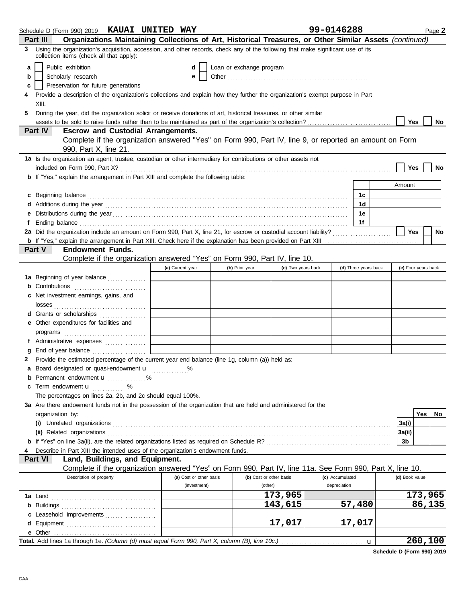|    | Schedule D (Form 990) 2019 KAUAI UNITED WAY                                                                                                                                                                                    |                         |                          |                         | 99-0146288      |                      |        |                     |     | Page 2    |
|----|--------------------------------------------------------------------------------------------------------------------------------------------------------------------------------------------------------------------------------|-------------------------|--------------------------|-------------------------|-----------------|----------------------|--------|---------------------|-----|-----------|
|    | Organizations Maintaining Collections of Art, Historical Treasures, or Other Similar Assets (continued)<br>Part III                                                                                                            |                         |                          |                         |                 |                      |        |                     |     |           |
| 3  | Using the organization's acquisition, accession, and other records, check any of the following that make significant use of its<br>collection items (check all that apply):                                                    |                         |                          |                         |                 |                      |        |                     |     |           |
| a  | Public exhibition                                                                                                                                                                                                              | d                       | Loan or exchange program |                         |                 |                      |        |                     |     |           |
| b  | Scholarly research                                                                                                                                                                                                             | е                       |                          |                         |                 |                      |        |                     |     |           |
| c  | Preservation for future generations                                                                                                                                                                                            |                         |                          |                         |                 |                      |        |                     |     |           |
|    | Provide a description of the organization's collections and explain how they further the organization's exempt purpose in Part                                                                                                 |                         |                          |                         |                 |                      |        |                     |     |           |
|    | XIII.                                                                                                                                                                                                                          |                         |                          |                         |                 |                      |        |                     |     |           |
| 5. | During the year, did the organization solicit or receive donations of art, historical treasures, or other similar                                                                                                              |                         |                          |                         |                 |                      |        |                     |     |           |
|    |                                                                                                                                                                                                                                |                         |                          |                         |                 |                      |        | Yes                 |     | No        |
|    | Part IV<br><b>Escrow and Custodial Arrangements.</b>                                                                                                                                                                           |                         |                          |                         |                 |                      |        |                     |     |           |
|    | Complete if the organization answered "Yes" on Form 990, Part IV, line 9, or reported an amount on Form<br>990, Part X, line 21.                                                                                               |                         |                          |                         |                 |                      |        |                     |     |           |
|    | 1a Is the organization an agent, trustee, custodian or other intermediary for contributions or other assets not                                                                                                                |                         |                          |                         |                 |                      |        |                     |     |           |
|    |                                                                                                                                                                                                                                |                         |                          |                         |                 |                      |        | Yes                 |     | No        |
|    | <b>b</b> If "Yes," explain the arrangement in Part XIII and complete the following table:                                                                                                                                      |                         |                          |                         |                 |                      |        |                     |     |           |
|    |                                                                                                                                                                                                                                |                         |                          |                         |                 |                      | Amount |                     |     |           |
|    | c Beginning balance                                                                                                                                                                                                            |                         |                          |                         |                 | 1c                   |        |                     |     |           |
|    |                                                                                                                                                                                                                                |                         |                          |                         |                 | 1 <sub>d</sub>       |        |                     |     |           |
|    |                                                                                                                                                                                                                                |                         |                          |                         |                 | 1e                   |        |                     |     |           |
|    | Ending balance contains and a series of the contact of the contact of the contact of the contact of the contact of the contact of the contact of the contact of the contact of the contact of the contact of the contact of th |                         |                          |                         |                 | 1f                   |        |                     |     |           |
|    |                                                                                                                                                                                                                                |                         |                          |                         |                 |                      |        | Yes                 |     | <b>No</b> |
|    |                                                                                                                                                                                                                                |                         |                          |                         |                 |                      |        |                     |     |           |
|    | <b>Endowment Funds.</b><br>Part V                                                                                                                                                                                              |                         |                          |                         |                 |                      |        |                     |     |           |
|    | Complete if the organization answered "Yes" on Form 990, Part IV, line 10.                                                                                                                                                     |                         |                          |                         |                 |                      |        |                     |     |           |
|    |                                                                                                                                                                                                                                | (a) Current year        | (b) Prior year           | (c) Two years back      |                 | (d) Three years back |        | (e) Four years back |     |           |
|    | 1a Beginning of year balance                                                                                                                                                                                                   |                         |                          |                         |                 |                      |        |                     |     |           |
|    | Contributions <b>Contributions</b>                                                                                                                                                                                             |                         |                          |                         |                 |                      |        |                     |     |           |
| c  | Net investment earnings, gains, and                                                                                                                                                                                            |                         |                          |                         |                 |                      |        |                     |     |           |
|    |                                                                                                                                                                                                                                |                         |                          |                         |                 |                      |        |                     |     |           |
|    | <b>d</b> Grants or scholarships<br>.                                                                                                                                                                                           |                         |                          |                         |                 |                      |        |                     |     |           |
| е  | Other expenditures for facilities and                                                                                                                                                                                          |                         |                          |                         |                 |                      |        |                     |     |           |
|    |                                                                                                                                                                                                                                |                         |                          |                         |                 |                      |        |                     |     |           |
|    | f Administrative expenses                                                                                                                                                                                                      |                         |                          |                         |                 |                      |        |                     |     |           |
|    | End of year balance <i>[[[[[[[[[[[[[[[[[[[[[[[[[[[[[]]</i> ]]]]                                                                                                                                                                |                         |                          |                         |                 |                      |        |                     |     |           |
| 2  | Provide the estimated percentage of the current year end balance (line 1g, column (a)) held as:                                                                                                                                |                         |                          |                         |                 |                      |        |                     |     |           |
|    | a Board designated or quasi-endowment u                                                                                                                                                                                        |                         |                          |                         |                 |                      |        |                     |     |           |
|    | <b>b</b> Permanent endowment <b>u</b> %                                                                                                                                                                                        |                         |                          |                         |                 |                      |        |                     |     |           |
| c  | Term endowment <b>u</b><br>$\ldots \ldots \ldots$ %                                                                                                                                                                            |                         |                          |                         |                 |                      |        |                     |     |           |
|    | The percentages on lines 2a, 2b, and 2c should equal 100%.                                                                                                                                                                     |                         |                          |                         |                 |                      |        |                     |     |           |
|    | 3a Are there endowment funds not in the possession of the organization that are held and administered for the                                                                                                                  |                         |                          |                         |                 |                      |        |                     |     |           |
|    | organization by:                                                                                                                                                                                                               |                         |                          |                         |                 |                      |        |                     | Yes | No.       |
|    |                                                                                                                                                                                                                                |                         |                          |                         |                 |                      | 3a(i)  |                     |     |           |
|    | (ii) Related organizations                                                                                                                                                                                                     |                         |                          |                         |                 |                      | 3a(ii) |                     |     |           |
|    |                                                                                                                                                                                                                                |                         |                          |                         |                 |                      | 3b     |                     |     |           |
|    | Describe in Part XIII the intended uses of the organization's endowment funds.                                                                                                                                                 |                         |                          |                         |                 |                      |        |                     |     |           |
|    | Land, Buildings, and Equipment.<br>Part VI                                                                                                                                                                                     |                         |                          |                         |                 |                      |        |                     |     |           |
|    | Complete if the organization answered "Yes" on Form 990, Part IV, line 11a. See Form 990, Part X, line 10.                                                                                                                     |                         |                          |                         |                 |                      |        |                     |     |           |
|    | Description of property                                                                                                                                                                                                        | (a) Cost or other basis |                          | (b) Cost or other basis | (c) Accumulated |                      |        | (d) Book value      |     |           |
|    |                                                                                                                                                                                                                                | (investment)            |                          | (other)                 | depreciation    |                      |        |                     |     |           |
|    |                                                                                                                                                                                                                                |                         |                          | 173,965                 |                 |                      |        | 173,965             |     |           |
|    |                                                                                                                                                                                                                                |                         |                          | 143,615                 |                 | 57,480               |        |                     |     | 86,135    |
|    | c Leasehold improvements                                                                                                                                                                                                       |                         |                          |                         |                 |                      |        |                     |     |           |
|    |                                                                                                                                                                                                                                |                         |                          | 17,017                  |                 | 17,017               |        |                     |     |           |
|    | e Other<br>Total. Add lines 1a through 1e. (Column (d) must equal Form 990, Part X, column (B), line 10c.)                                                                                                                     |                         |                          |                         |                 |                      |        | 260,100             |     |           |
|    |                                                                                                                                                                                                                                |                         |                          |                         |                 | u                    |        |                     |     |           |

**Schedule D (Form 990) 2019**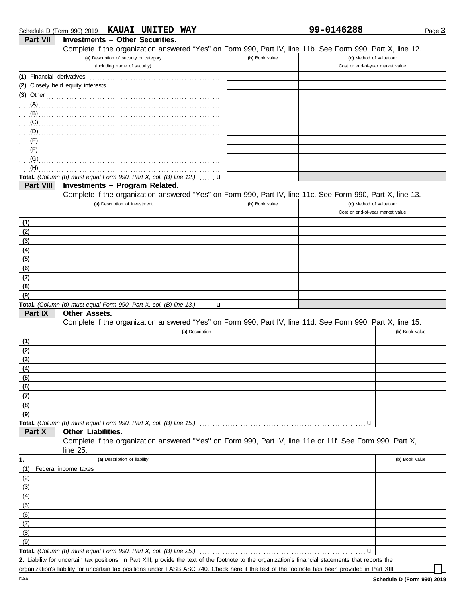| Schedule D (Form 990) 2019 KAUAI UNITED WAY                                                                                                                                                                                             |                | 99-0146288                       |
|-----------------------------------------------------------------------------------------------------------------------------------------------------------------------------------------------------------------------------------------|----------------|----------------------------------|
| <b>Investments - Other Securities.</b><br><b>Part VII</b>                                                                                                                                                                               |                |                                  |
| Complete if the organization answered "Yes" on Form 990, Part IV, line 11b. See Form 990, Part X, line 12.<br>(a) Description of security or category                                                                                   | (b) Book value | (c) Method of valuation:         |
| (including name of security)                                                                                                                                                                                                            |                | Cost or end-of-year market value |
|                                                                                                                                                                                                                                         |                |                                  |
|                                                                                                                                                                                                                                         |                |                                  |
|                                                                                                                                                                                                                                         |                |                                  |
| (3) Other $\ldots$ $\ldots$ $\ldots$ $\ldots$ $\ldots$ $\ldots$ $\ldots$ $\ldots$ $\ldots$ $\ldots$ $\ldots$ $\ldots$                                                                                                                   |                |                                  |
|                                                                                                                                                                                                                                         |                |                                  |
|                                                                                                                                                                                                                                         |                |                                  |
| $\mathcal{L}(\mathsf{C})$ . The continuum continuum continuum continuum continuum continuum continuum continuum continuum continuum continuum continuum continuum continuum continuum continuum continuum continuum continuum continuum |                |                                  |
|                                                                                                                                                                                                                                         |                |                                  |
| (E)                                                                                                                                                                                                                                     |                |                                  |
|                                                                                                                                                                                                                                         |                |                                  |
|                                                                                                                                                                                                                                         |                |                                  |
| (H)                                                                                                                                                                                                                                     |                |                                  |
| Total. (Column (b) must equal Form 990, Part X, col. (B) line 12.)<br>$\mathbf{u}$                                                                                                                                                      |                |                                  |
| Investments - Program Related.<br>Part VIII<br>Complete if the organization answered "Yes" on Form 990, Part IV, line 11c. See Form 990, Part X, line 13.                                                                               |                |                                  |
| (a) Description of investment                                                                                                                                                                                                           | (b) Book value | (c) Method of valuation:         |
|                                                                                                                                                                                                                                         |                | Cost or end-of-year market value |
| (1)                                                                                                                                                                                                                                     |                |                                  |
| (2)                                                                                                                                                                                                                                     |                |                                  |
| (3)                                                                                                                                                                                                                                     |                |                                  |
| (4)                                                                                                                                                                                                                                     |                |                                  |
|                                                                                                                                                                                                                                         |                |                                  |
| $\frac{1}{(5)}$<br>$\overline{(6)}$                                                                                                                                                                                                     |                |                                  |
| $\overline{(7)}$                                                                                                                                                                                                                        |                |                                  |
|                                                                                                                                                                                                                                         |                |                                  |
| (8)                                                                                                                                                                                                                                     |                |                                  |
| (9)                                                                                                                                                                                                                                     |                |                                  |
| <b>Total.</b> (Column (b) must equal Form 990, Part X, col. (B) line 13.) $\ldots$ <b>u</b>                                                                                                                                             |                |                                  |
| Part IX<br><b>Other Assets.</b>                                                                                                                                                                                                         |                |                                  |
| Complete if the organization answered "Yes" on Form 990, Part IV, line 11d. See Form 990, Part X, line 15.                                                                                                                              |                |                                  |
| (a) Description                                                                                                                                                                                                                         |                | (b) Book valu                    |
| (1)                                                                                                                                                                                                                                     |                |                                  |
| (2)                                                                                                                                                                                                                                     |                |                                  |
| (3)                                                                                                                                                                                                                                     |                |                                  |

**Total.** *(Column (b) must equal Form 990, Part X, col. (B) line 15.)* . . . . . . . . . . . . . . . . . . . . . . . . . . . . . . . . . . . . . . . . . . . . . . . . . . . . . . . . . . . . . . . . . . u **(3) (4) (5) (6) (7) (8) (9)**

### **Part X Other Liabilities.**

Complete if the organization answered "Yes" on Form 990, Part IV, line 11e or 11f. See Form 990, Part X, line 25.

| 1.  | (a) Description of liability                                       |   | (b) Book value |
|-----|--------------------------------------------------------------------|---|----------------|
| (1) | Federal income taxes                                               |   |                |
| (2) |                                                                    |   |                |
| (3) |                                                                    |   |                |
| (4) |                                                                    |   |                |
| (5) |                                                                    |   |                |
| (6) |                                                                    |   |                |
| (7) |                                                                    |   |                |
| (8) |                                                                    |   |                |
| (9) |                                                                    |   |                |
|     | Total. (Column (b) must equal Form 990, Part X, col. (B) line 25.) | u |                |

Liability for uncertain tax positions. In Part XIII, provide the text of the footnote to the organization's financial statements that reports the **2.** organization's liability for uncertain tax positions under FASB ASC 740. Check here if the text of the footnote has been provided in Part XIII

**(b)** Book value

Page **3**

| Schedule D (Form 990) 2019 |  | KAUAI UNITED WA |  |
|----------------------------|--|-----------------|--|
|                            |  |                 |  |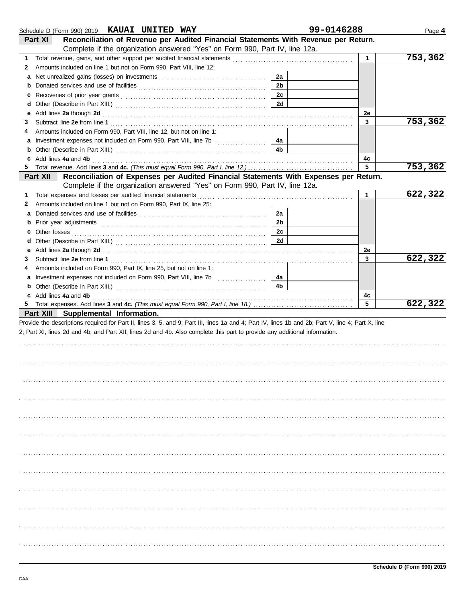|    | Schedule D (Form 990) 2019 KAUAI UNITED WAY                                                                                                                                                                                    |                | 99-0146288 |              | Page 4  |
|----|--------------------------------------------------------------------------------------------------------------------------------------------------------------------------------------------------------------------------------|----------------|------------|--------------|---------|
|    | Reconciliation of Revenue per Audited Financial Statements With Revenue per Return.<br>Part XI                                                                                                                                 |                |            |              |         |
|    | Complete if the organization answered "Yes" on Form 990, Part IV, line 12a.                                                                                                                                                    |                |            |              |         |
| 1  |                                                                                                                                                                                                                                |                |            | $\mathbf{1}$ | 753,362 |
| 2  | Amounts included on line 1 but not on Form 990, Part VIII, line 12:                                                                                                                                                            |                |            |              |         |
|    |                                                                                                                                                                                                                                | 2a             |            |              |         |
| b  |                                                                                                                                                                                                                                | 2 <sub>b</sub> |            |              |         |
| c  |                                                                                                                                                                                                                                | 2c             |            |              |         |
| d  |                                                                                                                                                                                                                                | 2d             |            |              |         |
| е  | Add lines 2a through 2d [11] March 2014 [12] March 2014 [12] March 2014 [12] March 2014 [12] March 2014 [12] March 2015 [12] March 2014 [12] March 2014 [12] March 2014 [12] March 2014 [12] March 2014 [12] March 2014 [12] M |                |            | 2e           |         |
| 3  |                                                                                                                                                                                                                                |                |            | 3            | 753,362 |
| 4  | Amounts included on Form 990, Part VIII, line 12, but not on line 1:                                                                                                                                                           |                |            |              |         |
|    |                                                                                                                                                                                                                                | 4a             |            |              |         |
|    |                                                                                                                                                                                                                                | 4 <sub>b</sub> |            |              |         |
| c  | Add lines 4a and 4b                                                                                                                                                                                                            |                |            | 4с           |         |
| 5  |                                                                                                                                                                                                                                |                |            | 5            | 753,362 |
|    | Reconciliation of Expenses per Audited Financial Statements With Expenses per Return.<br>Part XII                                                                                                                              |                |            |              |         |
|    | Complete if the organization answered "Yes" on Form 990, Part IV, line 12a.                                                                                                                                                    |                |            |              |         |
| 1. | Total expenses and losses per audited financial statements                                                                                                                                                                     |                |            | $\mathbf{1}$ | 622,322 |
| 2  | Amounts included on line 1 but not on Form 990, Part IX, line 25:                                                                                                                                                              |                |            |              |         |
| a  |                                                                                                                                                                                                                                | 2a             |            |              |         |
| b  |                                                                                                                                                                                                                                | 2b             |            |              |         |
| c  |                                                                                                                                                                                                                                | 2c             |            |              |         |
| d  |                                                                                                                                                                                                                                | 2d             |            |              |         |
|    |                                                                                                                                                                                                                                |                |            | 2e           |         |
| 3  |                                                                                                                                                                                                                                |                |            | 3            | 622,322 |
| 4  | Amounts included on Form 990, Part IX, line 25, but not on line 1:                                                                                                                                                             |                |            |              |         |
|    | a Investment expenses not included on Form 990, Part VIII, line 7b                                                                                                                                                             | 4a             |            |              |         |
|    |                                                                                                                                                                                                                                | 4b             |            |              |         |
|    |                                                                                                                                                                                                                                |                |            |              |         |
| 5. | c Add lines 4a and 4b                                                                                                                                                                                                          |                |            | 4c<br>5      | 622,322 |
|    | Part XIII Supplemental Information.                                                                                                                                                                                            |                |            |              |         |
|    |                                                                                                                                                                                                                                |                |            |              |         |
|    | Provide the descriptions required for Part II, lines 3, 5, and 9; Part III, lines 1a and 4; Part IV, lines 1b and 2b; Part V, line 4; Part X, line                                                                             |                |            |              |         |
|    | 2; Part XI, lines 2d and 4b; and Part XII, lines 2d and 4b. Also complete this part to provide any additional information.                                                                                                     |                |            |              |         |
|    |                                                                                                                                                                                                                                |                |            |              |         |
|    |                                                                                                                                                                                                                                |                |            |              |         |
|    |                                                                                                                                                                                                                                |                |            |              |         |
|    |                                                                                                                                                                                                                                |                |            |              |         |
|    |                                                                                                                                                                                                                                |                |            |              |         |
|    |                                                                                                                                                                                                                                |                |            |              |         |
|    |                                                                                                                                                                                                                                |                |            |              |         |
|    |                                                                                                                                                                                                                                |                |            |              |         |
|    |                                                                                                                                                                                                                                |                |            |              |         |
|    |                                                                                                                                                                                                                                |                |            |              |         |
|    |                                                                                                                                                                                                                                |                |            |              |         |
|    |                                                                                                                                                                                                                                |                |            |              |         |
|    |                                                                                                                                                                                                                                |                |            |              |         |
|    |                                                                                                                                                                                                                                |                |            |              |         |
|    |                                                                                                                                                                                                                                |                |            |              |         |
|    |                                                                                                                                                                                                                                |                |            |              |         |
|    |                                                                                                                                                                                                                                |                |            |              |         |
|    |                                                                                                                                                                                                                                |                |            |              |         |
|    |                                                                                                                                                                                                                                |                |            |              |         |
|    |                                                                                                                                                                                                                                |                |            |              |         |
|    |                                                                                                                                                                                                                                |                |            |              |         |
|    |                                                                                                                                                                                                                                |                |            |              |         |
|    |                                                                                                                                                                                                                                |                |            |              |         |
|    |                                                                                                                                                                                                                                |                |            |              |         |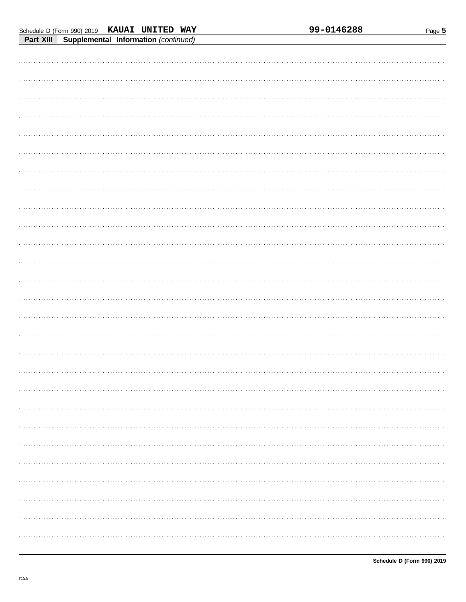| ,,,,,,,,,,<br><br>00, .u. .uo |  |
|-------------------------------|--|
|                               |  |
|                               |  |
|                               |  |
|                               |  |
|                               |  |
|                               |  |
|                               |  |
|                               |  |
|                               |  |
|                               |  |
|                               |  |
|                               |  |
|                               |  |
|                               |  |
|                               |  |
|                               |  |
|                               |  |
|                               |  |
|                               |  |
|                               |  |
|                               |  |
|                               |  |
|                               |  |
|                               |  |
|                               |  |
|                               |  |
|                               |  |
|                               |  |
|                               |  |
|                               |  |
|                               |  |
|                               |  |
|                               |  |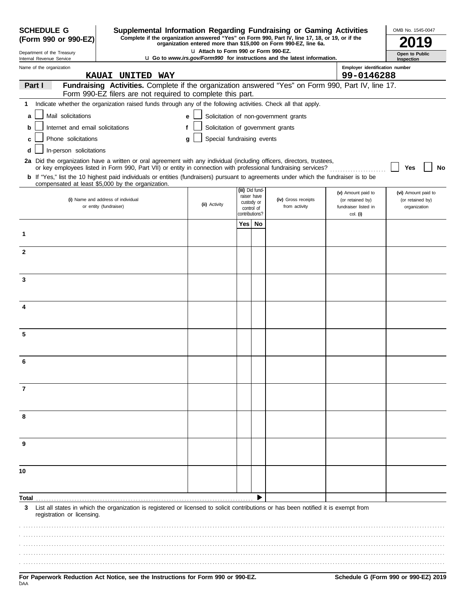| <b>SCHEDULE G</b>                                      | Supplemental Information Regarding Fundraising or Gaming Activities                                                                                                                                                                      |                                        |     |                                         |                                                                                 |                                          | OMB No. 1545-0047                |
|--------------------------------------------------------|------------------------------------------------------------------------------------------------------------------------------------------------------------------------------------------------------------------------------------------|----------------------------------------|-----|-----------------------------------------|---------------------------------------------------------------------------------|------------------------------------------|----------------------------------|
| (Form 990 or 990-EZ)                                   | Complete if the organization answered "Yes" on Form 990, Part IV, line 17, 18, or 19, or if the                                                                                                                                          |                                        |     |                                         | organization entered more than \$15,000 on Form 990-EZ, line 6a.                |                                          | Į9                               |
| Department of the Treasury<br>Internal Revenue Service |                                                                                                                                                                                                                                          | LI Attach to Form 990 or Form 990-EZ.  |     |                                         | <b>u</b> Go to www.irs.gov/Form990 for instructions and the latest information. |                                          | Open to Public<br>Inspection     |
| Name of the organization                               |                                                                                                                                                                                                                                          |                                        |     |                                         |                                                                                 | Employer identification number           |                                  |
| Part I                                                 | KAUAI UNITED WAY<br>Fundraising Activities. Complete if the organization answered "Yes" on Form 990, Part IV, line 17.                                                                                                                   |                                        |     |                                         |                                                                                 | 99-0146288                               |                                  |
|                                                        | Form 990-EZ filers are not required to complete this part.                                                                                                                                                                               |                                        |     |                                         |                                                                                 |                                          |                                  |
| 1                                                      | Indicate whether the organization raised funds through any of the following activities. Check all that apply.                                                                                                                            |                                        |     |                                         |                                                                                 |                                          |                                  |
| Mail solicitations<br>a                                |                                                                                                                                                                                                                                          | e                                      |     |                                         | Solicitation of non-government grants                                           |                                          |                                  |
| Internet and email solicitations<br>b                  |                                                                                                                                                                                                                                          | Solicitation of government grants<br>f |     |                                         |                                                                                 |                                          |                                  |
| Phone solicitations<br>c                               |                                                                                                                                                                                                                                          | Special fundraising events<br>g        |     |                                         |                                                                                 |                                          |                                  |
| In-person solicitations<br>d                           |                                                                                                                                                                                                                                          |                                        |     |                                         |                                                                                 |                                          |                                  |
|                                                        | 2a Did the organization have a written or oral agreement with any individual (including officers, directors, trustees,<br>or key employees listed in Form 990, Part VII) or entity in connection with professional fundraising services? |                                        |     |                                         |                                                                                 |                                          | No<br>Yes                        |
|                                                        | b If "Yes," list the 10 highest paid individuals or entities (fundraisers) pursuant to agreements under which the fundraiser is to be                                                                                                    |                                        |     |                                         |                                                                                 |                                          |                                  |
|                                                        | compensated at least \$5,000 by the organization.                                                                                                                                                                                        |                                        |     | (iii) Did fund-                         |                                                                                 | (v) Amount paid to                       | (vi) Amount paid to              |
|                                                        | (i) Name and address of individual<br>or entity (fundraiser)                                                                                                                                                                             | (ii) Activity                          |     | raiser have<br>custody or<br>control of | (iv) Gross receipts<br>from activity                                            | (or retained by)<br>fundraiser listed in | (or retained by)<br>organization |
|                                                        |                                                                                                                                                                                                                                          |                                        |     | contributions?                          |                                                                                 | col. (i)                                 |                                  |
|                                                        |                                                                                                                                                                                                                                          |                                        | Yes | <b>No</b>                               |                                                                                 |                                          |                                  |
| 1                                                      |                                                                                                                                                                                                                                          |                                        |     |                                         |                                                                                 |                                          |                                  |
| $\mathbf{2}$                                           |                                                                                                                                                                                                                                          |                                        |     |                                         |                                                                                 |                                          |                                  |
|                                                        |                                                                                                                                                                                                                                          |                                        |     |                                         |                                                                                 |                                          |                                  |
| 3                                                      |                                                                                                                                                                                                                                          |                                        |     |                                         |                                                                                 |                                          |                                  |
|                                                        |                                                                                                                                                                                                                                          |                                        |     |                                         |                                                                                 |                                          |                                  |
| 4                                                      |                                                                                                                                                                                                                                          |                                        |     |                                         |                                                                                 |                                          |                                  |
|                                                        |                                                                                                                                                                                                                                          |                                        |     |                                         |                                                                                 |                                          |                                  |
|                                                        |                                                                                                                                                                                                                                          |                                        |     |                                         |                                                                                 |                                          |                                  |
| 5                                                      |                                                                                                                                                                                                                                          |                                        |     |                                         |                                                                                 |                                          |                                  |
|                                                        |                                                                                                                                                                                                                                          |                                        |     |                                         |                                                                                 |                                          |                                  |
| 6                                                      |                                                                                                                                                                                                                                          |                                        |     |                                         |                                                                                 |                                          |                                  |
|                                                        |                                                                                                                                                                                                                                          |                                        |     |                                         |                                                                                 |                                          |                                  |
| 7                                                      |                                                                                                                                                                                                                                          |                                        |     |                                         |                                                                                 |                                          |                                  |
|                                                        |                                                                                                                                                                                                                                          |                                        |     |                                         |                                                                                 |                                          |                                  |
| 8                                                      |                                                                                                                                                                                                                                          |                                        |     |                                         |                                                                                 |                                          |                                  |
|                                                        |                                                                                                                                                                                                                                          |                                        |     |                                         |                                                                                 |                                          |                                  |
| 9                                                      |                                                                                                                                                                                                                                          |                                        |     |                                         |                                                                                 |                                          |                                  |
|                                                        |                                                                                                                                                                                                                                          |                                        |     |                                         |                                                                                 |                                          |                                  |
| 10                                                     |                                                                                                                                                                                                                                          |                                        |     |                                         |                                                                                 |                                          |                                  |
|                                                        |                                                                                                                                                                                                                                          |                                        |     |                                         |                                                                                 |                                          |                                  |
|                                                        |                                                                                                                                                                                                                                          |                                        |     |                                         |                                                                                 |                                          |                                  |
| Total<br>3                                             | List all states in which the organization is registered or licensed to solicit contributions or has been notified it is exempt from                                                                                                      |                                        |     |                                         |                                                                                 |                                          |                                  |
| registration or licensing.                             |                                                                                                                                                                                                                                          |                                        |     |                                         |                                                                                 |                                          |                                  |
|                                                        |                                                                                                                                                                                                                                          |                                        |     |                                         |                                                                                 |                                          |                                  |
|                                                        |                                                                                                                                                                                                                                          |                                        |     |                                         |                                                                                 |                                          |                                  |
|                                                        |                                                                                                                                                                                                                                          |                                        |     |                                         |                                                                                 |                                          |                                  |
|                                                        |                                                                                                                                                                                                                                          |                                        |     |                                         |                                                                                 |                                          |                                  |

. ..**For Paperwork Reduction Act Notice, see the Instructions for Form 990 or 990-EZ. Schedule G (Form 990 or 990-EZ) 2019** DAA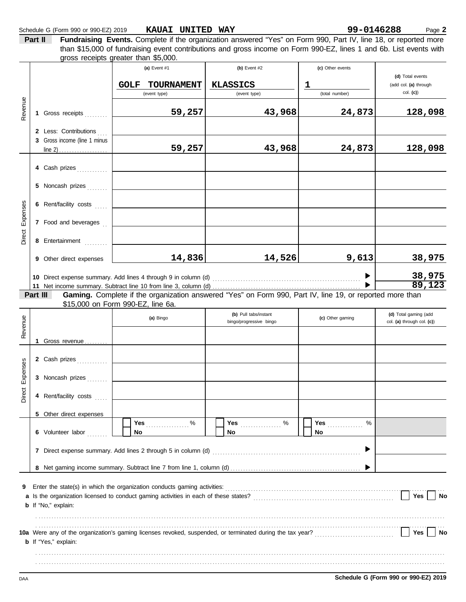|                     | Part II                      | Fundraising Events. Complete if the organization answered "Yes" on Form 990, Part IV, line 18, or reported more<br>than \$15,000 of fundraising event contributions and gross income on Form 990-EZ, lines 1 and 6b. List events with<br>gross receipts greater than \$5,000. |                                                  |                          |                                                     |
|---------------------|------------------------------|-------------------------------------------------------------------------------------------------------------------------------------------------------------------------------------------------------------------------------------------------------------------------------|--------------------------------------------------|--------------------------|-----------------------------------------------------|
|                     |                              | (a) Event #1                                                                                                                                                                                                                                                                  | (b) Event $#2$                                   | (c) Other events         |                                                     |
|                     |                              | TOURNAMENT<br><b>GOLF</b>                                                                                                                                                                                                                                                     | <b>KLASSICS</b>                                  | 1                        | (d) Total events<br>(add col. (a) through           |
| Revenue             | 1 Gross receipts             | (event type)<br>59,257                                                                                                                                                                                                                                                        | (event type)<br>43,968                           | (total number)<br>24,873 | $col.$ (c))<br>128,098                              |
|                     |                              |                                                                                                                                                                                                                                                                               |                                                  |                          |                                                     |
|                     | 2 Less: Contributions        |                                                                                                                                                                                                                                                                               |                                                  |                          |                                                     |
|                     | 3 Gross income (line 1 minus | 59,257                                                                                                                                                                                                                                                                        | 43,968                                           | 24,873                   | 128,098                                             |
|                     | 4 Cash prizes                |                                                                                                                                                                                                                                                                               |                                                  |                          |                                                     |
|                     | 5 Noncash prizes             |                                                                                                                                                                                                                                                                               |                                                  |                          |                                                     |
| Expenses            | 6 Rent/facility costs        |                                                                                                                                                                                                                                                                               |                                                  |                          |                                                     |
|                     | 7 Food and beverages         |                                                                                                                                                                                                                                                                               |                                                  |                          |                                                     |
| Direct              | 8 Entertainment              |                                                                                                                                                                                                                                                                               |                                                  |                          |                                                     |
|                     |                              |                                                                                                                                                                                                                                                                               |                                                  |                          |                                                     |
|                     | 9 Other direct expenses      | 14,836                                                                                                                                                                                                                                                                        | 14,526                                           | 9,613                    |                                                     |
|                     | Part III                     | Gaming. Complete if the organization answered "Yes" on Form 990, Part IV, line 19, or reported more than<br>\$15,000 on Form 990-EZ, line 6a.                                                                                                                                 |                                                  |                          |                                                     |
|                     |                              | (a) Bingo                                                                                                                                                                                                                                                                     | (b) Pull tabs/instant<br>bingo/progressive bingo | (c) Other gaming         | (d) Total gaming (add<br>col. (a) through col. (c)) |
|                     | Gross revenue                |                                                                                                                                                                                                                                                                               |                                                  |                          |                                                     |
|                     | 2 Cash prizes                |                                                                                                                                                                                                                                                                               |                                                  |                          |                                                     |
| Revenue<br>Expenses | 3 Noncash prizes             |                                                                                                                                                                                                                                                                               |                                                  |                          | 38,975<br>38,975<br>89,123                          |
|                     | 4 Rent/facility costs        |                                                                                                                                                                                                                                                                               |                                                  |                          |                                                     |
|                     | 5 Other direct expenses      |                                                                                                                                                                                                                                                                               |                                                  |                          |                                                     |
| Direct              | 6 Volunteer labor            | Yes 9%<br>No                                                                                                                                                                                                                                                                  | <b>Yes</b><br>%<br>No                            | <b>Yes</b><br>%<br>No    |                                                     |
|                     |                              |                                                                                                                                                                                                                                                                               |                                                  |                          |                                                     |
|                     |                              |                                                                                                                                                                                                                                                                               |                                                  |                          |                                                     |

. . . . . . . . . . . . . . . . . . . . . . . . . . . . . . . . . . . . . . . . . . . . . . . . . . . . . . . . . . . . . . . . . . . . . . . . . . . . . . . . . . . . . . . . . . . . . . . . . . . . . . . . . . . . . . . . . . . . . . . . . . . . . . . . . . . . . . . . . . . . . . . . . . . . . . . . . . . . . . . . . . . . . . . . . . . . . . . . . . . . . . . . . . . . . . . . . . . . . . . . . . . . . . . . . . . . . . . . . . . . . . . . . . . . . . . . . . . . . . . . . . . . . . . . . . . . . . . . . . . . . . . . . . . . . . . . . . . . . . . . . . . . . . . . . . . . . . . . . . . . . . . . . . . . . . . . . . . . . . . .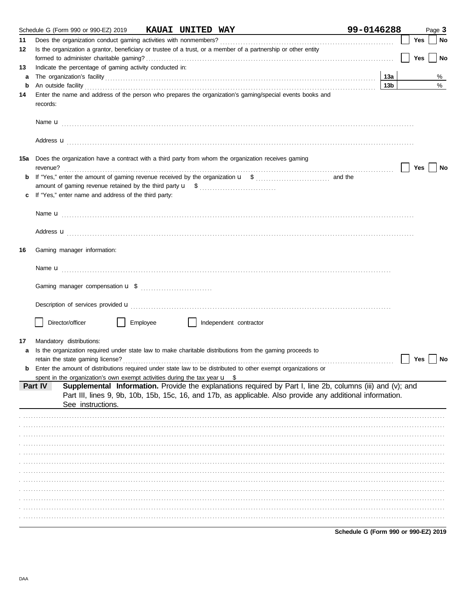|         | Schedule G (Form 990 or 990-EZ) 2019                                                                                                                                                                                                                                                                                                             | KAUAI UNITED WAY |                        | 99-0146288 |     |     | Page 3 |
|---------|--------------------------------------------------------------------------------------------------------------------------------------------------------------------------------------------------------------------------------------------------------------------------------------------------------------------------------------------------|------------------|------------------------|------------|-----|-----|--------|
| 11      |                                                                                                                                                                                                                                                                                                                                                  |                  |                        |            |     | Yes | No     |
| 12      | Is the organization a grantor, beneficiary or trustee of a trust, or a member of a partnership or other entity                                                                                                                                                                                                                                   |                  |                        |            |     |     |        |
|         |                                                                                                                                                                                                                                                                                                                                                  |                  |                        |            |     | Yes | No     |
| 13      | Indicate the percentage of gaming activity conducted in:                                                                                                                                                                                                                                                                                         |                  |                        |            |     |     |        |
| а       |                                                                                                                                                                                                                                                                                                                                                  |                  |                        |            | 13а |     | %      |
| b<br>14 | An outside facility <b>contract and the contract of the contract of the contract of the contract of the contract of the contract of the contract of the contract of the contract of the contract of the contract of the contract</b><br>Enter the name and address of the person who prepares the organization's gaming/special events books and |                  |                        |            | 13b |     | %      |
|         | records:                                                                                                                                                                                                                                                                                                                                         |                  |                        |            |     |     |        |
|         |                                                                                                                                                                                                                                                                                                                                                  |                  |                        |            |     |     |        |
|         | Address <b>u</b>                                                                                                                                                                                                                                                                                                                                 |                  |                        |            |     |     |        |
|         | 15a Does the organization have a contract with a third party from whom the organization receives gaming<br>revenue?                                                                                                                                                                                                                              |                  |                        |            |     | Yes | No     |
|         |                                                                                                                                                                                                                                                                                                                                                  |                  |                        |            |     |     |        |
|         |                                                                                                                                                                                                                                                                                                                                                  |                  |                        |            |     |     |        |
|         | If "Yes," enter name and address of the third party:                                                                                                                                                                                                                                                                                             |                  |                        |            |     |     |        |
|         |                                                                                                                                                                                                                                                                                                                                                  |                  |                        |            |     |     |        |
|         | Address <b>u</b>                                                                                                                                                                                                                                                                                                                                 |                  |                        |            |     |     |        |
| 16      | Gaming manager information:                                                                                                                                                                                                                                                                                                                      |                  |                        |            |     |     |        |
|         |                                                                                                                                                                                                                                                                                                                                                  |                  |                        |            |     |     |        |
|         |                                                                                                                                                                                                                                                                                                                                                  |                  |                        |            |     |     |        |
|         |                                                                                                                                                                                                                                                                                                                                                  |                  |                        |            |     |     |        |
|         | Description of services provided <b>u</b> electron contract the service of the service of the services provided <b>u</b>                                                                                                                                                                                                                         |                  |                        |            |     |     |        |
|         | Director/officer<br>Employee                                                                                                                                                                                                                                                                                                                     |                  | Independent contractor |            |     |     |        |
| 17      | Mandatory distributions:                                                                                                                                                                                                                                                                                                                         |                  |                        |            |     |     |        |
|         | Is the organization required under state law to make charitable distributions from the gaming proceeds to                                                                                                                                                                                                                                        |                  |                        |            |     |     |        |
|         | retain the state gaming license?                                                                                                                                                                                                                                                                                                                 |                  |                        |            |     | Yes | No     |
|         | <b>b</b> Enter the amount of distributions required under state law to be distributed to other exempt organizations or                                                                                                                                                                                                                           |                  |                        |            |     |     |        |
|         | spent in the organization's own exempt activities during the tax year $\mathbf{u}$ \$                                                                                                                                                                                                                                                            |                  |                        |            |     |     |        |
|         | Supplemental Information. Provide the explanations required by Part I, line 2b, columns (iii) and (v); and<br>Part IV                                                                                                                                                                                                                            |                  |                        |            |     |     |        |
|         | Part III, lines 9, 9b, 10b, 15b, 15c, 16, and 17b, as applicable. Also provide any additional information.                                                                                                                                                                                                                                       |                  |                        |            |     |     |        |
|         | See instructions.                                                                                                                                                                                                                                                                                                                                |                  |                        |            |     |     |        |
|         |                                                                                                                                                                                                                                                                                                                                                  |                  |                        |            |     |     |        |
|         |                                                                                                                                                                                                                                                                                                                                                  |                  |                        |            |     |     |        |
|         |                                                                                                                                                                                                                                                                                                                                                  |                  |                        |            |     |     |        |
|         |                                                                                                                                                                                                                                                                                                                                                  |                  |                        |            |     |     |        |
|         |                                                                                                                                                                                                                                                                                                                                                  |                  |                        |            |     |     |        |
|         |                                                                                                                                                                                                                                                                                                                                                  |                  |                        |            |     |     |        |
|         |                                                                                                                                                                                                                                                                                                                                                  |                  |                        |            |     |     |        |
|         |                                                                                                                                                                                                                                                                                                                                                  |                  |                        |            |     |     |        |
|         |                                                                                                                                                                                                                                                                                                                                                  |                  |                        |            |     |     |        |
|         |                                                                                                                                                                                                                                                                                                                                                  |                  |                        |            |     |     |        |
|         |                                                                                                                                                                                                                                                                                                                                                  |                  |                        |            |     |     |        |
|         |                                                                                                                                                                                                                                                                                                                                                  |                  |                        |            |     |     |        |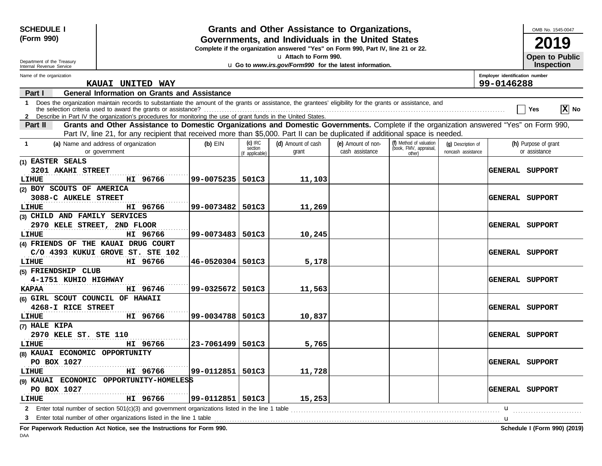| <b>SCHEDULE I</b>                                                                                                                                                                                                                                                                            | <b>Grants and Other Assistance to Organizations,</b>                                                                                  |                                         | OMB No. 1545-0047           |                                       |                                                             |                                          |                                              |                                       |  |
|----------------------------------------------------------------------------------------------------------------------------------------------------------------------------------------------------------------------------------------------------------------------------------------------|---------------------------------------------------------------------------------------------------------------------------------------|-----------------------------------------|-----------------------------|---------------------------------------|-------------------------------------------------------------|------------------------------------------|----------------------------------------------|---------------------------------------|--|
| (Form 990)                                                                                                                                                                                                                                                                                   | Governments, and Individuals in the United States<br>Complete if the organization answered "Yes" on Form 990, Part IV, line 21 or 22. |                                         | 2019                        |                                       |                                                             |                                          |                                              |                                       |  |
| Department of the Treasury                                                                                                                                                                                                                                                                   |                                                                                                                                       |                                         | La Attach to Form 990.      |                                       |                                                             |                                          |                                              | <b>Open to Public</b>                 |  |
| u Go to www.irs.gov/Form990 for the latest information.<br>Internal Revenue Service                                                                                                                                                                                                          |                                                                                                                                       |                                         |                             |                                       |                                                             |                                          |                                              |                                       |  |
| Name of the organization<br>KAUAI UNITED WAY                                                                                                                                                                                                                                                 |                                                                                                                                       |                                         |                             |                                       |                                                             |                                          | Employer identification number<br>99-0146288 |                                       |  |
| <b>General Information on Grants and Assistance</b><br>Part I                                                                                                                                                                                                                                |                                                                                                                                       |                                         |                             |                                       |                                                             |                                          |                                              |                                       |  |
| Does the organization maintain records to substantiate the amount of the grants or assistance, the grantees' eligibility for the grants or assistance, and<br>$\mathbf 1$<br>2 Describe in Part IV the organization's procedures for monitoring the use of grant funds in the United States. |                                                                                                                                       |                                         |                             |                                       |                                                             |                                          |                                              | $ \overline{X} $ No<br>Yes            |  |
| Grants and Other Assistance to Domestic Organizations and Domestic Governments. Complete if the organization answered "Yes" on Form 990,<br>Part II<br>Part IV, line 21, for any recipient that received more than \$5,000. Part II can be duplicated if additional space is needed.         |                                                                                                                                       |                                         |                             |                                       |                                                             |                                          |                                              |                                       |  |
| (a) Name and address of organization<br>$\mathbf 1$<br>or government                                                                                                                                                                                                                         | $(b)$ EIN                                                                                                                             | $(c)$ IRC<br>section<br>(if applicable) | (d) Amount of cash<br>grant | (e) Amount of non-<br>cash assistance | (f) Method of valuation<br>(book, FMV, appraisal,<br>other) | (q) Description of<br>noncash assistance |                                              | (h) Purpose of grant<br>or assistance |  |
| (1) EASTER SEALS<br><b>3201 AKAHI STREET</b>                                                                                                                                                                                                                                                 |                                                                                                                                       |                                         |                             |                                       |                                                             |                                          | GENERAL SUPPORT                              |                                       |  |
| HI 96766<br>LIHUE<br>(2) BOY SCOUTS OF AMERICA                                                                                                                                                                                                                                               | 99-0075235   501C3                                                                                                                    |                                         | 11,103                      |                                       |                                                             |                                          |                                              |                                       |  |
| 3088-C AUKELE STREET                                                                                                                                                                                                                                                                         |                                                                                                                                       |                                         |                             |                                       |                                                             |                                          | GENERAL SUPPORT                              |                                       |  |
| HI 96766<br>LIHUE                                                                                                                                                                                                                                                                            | 99-0073482   501C3                                                                                                                    |                                         | 11,269                      |                                       |                                                             |                                          |                                              |                                       |  |
| (3) CHILD AND FAMILY SERVICES                                                                                                                                                                                                                                                                |                                                                                                                                       |                                         |                             |                                       |                                                             |                                          |                                              |                                       |  |
| 2970 KELE STREET, 2ND FLOOR                                                                                                                                                                                                                                                                  |                                                                                                                                       |                                         |                             |                                       |                                                             |                                          | GENERAL SUPPORT                              |                                       |  |
| HI 96766<br>LIHUE                                                                                                                                                                                                                                                                            | 99-0073483   501C3                                                                                                                    |                                         | 10,245                      |                                       |                                                             |                                          |                                              |                                       |  |
| (4) FRIENDS OF THE KAUAI DRUG COURT<br>C/O 4393 KUKUI GROVE ST. STE 102                                                                                                                                                                                                                      |                                                                                                                                       |                                         |                             |                                       |                                                             |                                          | GENERAL SUPPORT                              |                                       |  |
| HI 96766<br>LIHUE                                                                                                                                                                                                                                                                            | 46-0520304   501C3                                                                                                                    |                                         | 5,178                       |                                       |                                                             |                                          |                                              |                                       |  |
| (5) FRIENDSHIP CLUB<br>4-1751 KUHIO HIGHWAY                                                                                                                                                                                                                                                  |                                                                                                                                       |                                         |                             |                                       |                                                             |                                          | GENERAL SUPPORT                              |                                       |  |
| HI 96746<br><b>KAPAA</b>                                                                                                                                                                                                                                                                     | 99-0325672   501C3                                                                                                                    |                                         | 11,563                      |                                       |                                                             |                                          |                                              |                                       |  |
| (6) GIRL SCOUT COUNCIL OF HAWAII<br>4268-I RICE STREET                                                                                                                                                                                                                                       |                                                                                                                                       |                                         |                             |                                       |                                                             |                                          | GENERAL SUPPORT                              |                                       |  |
| HI 96766<br>LIHUE                                                                                                                                                                                                                                                                            | 99-0034788   501C3                                                                                                                    |                                         | 10,837                      |                                       |                                                             |                                          |                                              |                                       |  |
| (7) HALE KIPA<br>2970 KELE ST. STE 110                                                                                                                                                                                                                                                       |                                                                                                                                       |                                         |                             |                                       |                                                             |                                          | GENERAL SUPPORT                              |                                       |  |
| HI 96766<br>LIHUE                                                                                                                                                                                                                                                                            | 23-7061499   501C3                                                                                                                    |                                         | 5,765                       |                                       |                                                             |                                          |                                              |                                       |  |
| (8) KAUAI ECONOMIC OPPORTUNITY                                                                                                                                                                                                                                                               |                                                                                                                                       |                                         |                             |                                       |                                                             |                                          |                                              |                                       |  |
| PO BOX 1027<br>HI 96766<br>LIHUE                                                                                                                                                                                                                                                             | 99-0112851                                                                                                                            | 501C3                                   | 11,728                      |                                       |                                                             |                                          | GENERAL SUPPORT                              |                                       |  |
| (9) KAUAI ECONOMIC OPPORTUNITY-HOMELESS<br>PO BOX 1027                                                                                                                                                                                                                                       |                                                                                                                                       |                                         |                             |                                       |                                                             |                                          | GENERAL SUPPORT                              |                                       |  |
| LIHUE<br>HI 96766                                                                                                                                                                                                                                                                            | 99-0112851   501C3                                                                                                                    |                                         | 15,253                      |                                       |                                                             |                                          |                                              |                                       |  |
| 2 Enter total number of section 501(c)(3) and government organizations listed in the line 1 table                                                                                                                                                                                            |                                                                                                                                       |                                         |                             |                                       |                                                             |                                          | u                                            |                                       |  |
| Enter total number of other organizations listed in the line 1 table<br>3                                                                                                                                                                                                                    |                                                                                                                                       |                                         |                             |                                       |                                                             |                                          | $\mathbf u$                                  |                                       |  |
| For Paperwork Reduction Act Notice, see the Instructions for Form 990.                                                                                                                                                                                                                       |                                                                                                                                       |                                         |                             |                                       |                                                             |                                          |                                              | Schedule I (Form 990) (2019)          |  |

DAA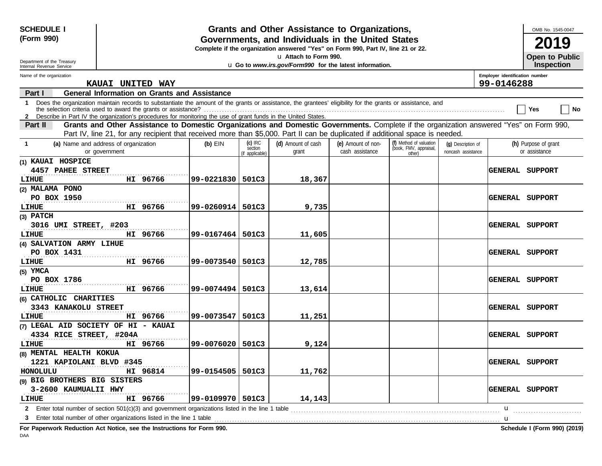| <b>SCHEDULE I</b>                                                                                                                                                                                                                                                                             |                    |                                                                                                                                       | Grants and Other Assistance to Organizations, |                                       |                                                             |                                          |                        | OMB No. 1545-0047                     |  |  |
|-----------------------------------------------------------------------------------------------------------------------------------------------------------------------------------------------------------------------------------------------------------------------------------------------|--------------------|---------------------------------------------------------------------------------------------------------------------------------------|-----------------------------------------------|---------------------------------------|-------------------------------------------------------------|------------------------------------------|------------------------|---------------------------------------|--|--|
| (Form 990)                                                                                                                                                                                                                                                                                    |                    | Governments, and Individuals in the United States<br>Complete if the organization answered "Yes" on Form 990, Part IV, line 21 or 22. |                                               |                                       |                                                             |                                          |                        |                                       |  |  |
|                                                                                                                                                                                                                                                                                               |                    | La Attach to Form 990.                                                                                                                |                                               |                                       |                                                             |                                          |                        |                                       |  |  |
| Department of the Treasury<br>u Go to www.irs.gov/Form990 for the latest information.<br>Internal Revenue Service                                                                                                                                                                             |                    |                                                                                                                                       |                                               |                                       |                                                             |                                          |                        |                                       |  |  |
| Employer identification number<br>Name of the organization<br>99-0146288<br>KAUAI UNITED WAY                                                                                                                                                                                                  |                    |                                                                                                                                       |                                               |                                       |                                                             |                                          |                        |                                       |  |  |
| <b>General Information on Grants and Assistance</b><br>Part I                                                                                                                                                                                                                                 |                    |                                                                                                                                       |                                               |                                       |                                                             |                                          |                        |                                       |  |  |
| Does the organization maintain records to substantiate the amount of the grants or assistance, the grantees' eligibility for the grants or assistance, and<br>$\mathbf{1}$<br>2 Describe in Part IV the organization's procedures for monitoring the use of grant funds in the United States. |                    |                                                                                                                                       |                                               |                                       |                                                             |                                          |                        | Yes<br>No                             |  |  |
| Grants and Other Assistance to Domestic Organizations and Domestic Governments. Complete if the organization answered "Yes" on Form 990,<br>Part II                                                                                                                                           |                    |                                                                                                                                       |                                               |                                       |                                                             |                                          |                        |                                       |  |  |
| Part IV, line 21, for any recipient that received more than \$5,000. Part II can be duplicated if additional space is needed.                                                                                                                                                                 |                    |                                                                                                                                       |                                               |                                       |                                                             |                                          |                        |                                       |  |  |
| (a) Name and address of organization<br>$\mathbf 1$<br>or government                                                                                                                                                                                                                          | $(b)$ EIN          | (c) IRC<br>section<br>(if applicable)                                                                                                 | (d) Amount of cash<br>grant                   | (e) Amount of non-<br>cash assistance | (f) Method of valuation<br>(book, FMV, appraisal,<br>other) | (q) Description of<br>noncash assistance |                        | (h) Purpose of grant<br>or assistance |  |  |
| (1) KAUAI HOSPICE                                                                                                                                                                                                                                                                             |                    |                                                                                                                                       |                                               |                                       |                                                             |                                          |                        |                                       |  |  |
| <b>4457 PAHEE STREET</b>                                                                                                                                                                                                                                                                      |                    |                                                                                                                                       |                                               |                                       |                                                             |                                          | GENERAL SUPPORT        |                                       |  |  |
| HI 96766<br>LIHUE                                                                                                                                                                                                                                                                             | 99-0221830         | 501C3                                                                                                                                 | 18,367                                        |                                       |                                                             |                                          |                        |                                       |  |  |
| (2) MALAMA PONO                                                                                                                                                                                                                                                                               |                    |                                                                                                                                       |                                               |                                       |                                                             |                                          |                        |                                       |  |  |
| PO BOX 1950                                                                                                                                                                                                                                                                                   |                    |                                                                                                                                       |                                               |                                       |                                                             |                                          | GENERAL SUPPORT        |                                       |  |  |
| HI 96766<br><b>LIHUE</b>                                                                                                                                                                                                                                                                      | 99-0260914         | 501C3                                                                                                                                 | 9,735                                         |                                       |                                                             |                                          |                        |                                       |  |  |
| $(3)$ PATCH                                                                                                                                                                                                                                                                                   |                    |                                                                                                                                       |                                               |                                       |                                                             |                                          |                        |                                       |  |  |
| 3016 UMI STREET, #203                                                                                                                                                                                                                                                                         |                    |                                                                                                                                       |                                               |                                       |                                                             |                                          | GENERAL SUPPORT        |                                       |  |  |
| HI 96766<br>99-0167464   501C3<br>11,605<br>LIHUE                                                                                                                                                                                                                                             |                    |                                                                                                                                       |                                               |                                       |                                                             |                                          |                        |                                       |  |  |
| (4) SALVATION ARMY LIHUE                                                                                                                                                                                                                                                                      |                    |                                                                                                                                       |                                               |                                       |                                                             |                                          |                        |                                       |  |  |
| PO BOX 1431                                                                                                                                                                                                                                                                                   |                    |                                                                                                                                       |                                               |                                       |                                                             |                                          | GENERAL SUPPORT        |                                       |  |  |
| HI 96766<br>LIHUE                                                                                                                                                                                                                                                                             | 99-0073540         | 501C3                                                                                                                                 | 12,785                                        |                                       |                                                             |                                          |                        |                                       |  |  |
| $(5)$ YMCA                                                                                                                                                                                                                                                                                    |                    |                                                                                                                                       |                                               |                                       |                                                             |                                          |                        |                                       |  |  |
| PO BOX 1786                                                                                                                                                                                                                                                                                   |                    |                                                                                                                                       |                                               |                                       |                                                             |                                          | GENERAL SUPPORT        |                                       |  |  |
| HI 96766<br><b>LIHUE</b>                                                                                                                                                                                                                                                                      | 99-0074494   501C3 |                                                                                                                                       | 13,614                                        |                                       |                                                             |                                          |                        |                                       |  |  |
| (6) CATHOLIC CHARITIES                                                                                                                                                                                                                                                                        |                    |                                                                                                                                       |                                               |                                       |                                                             |                                          |                        |                                       |  |  |
| 3343 KANAKOLU STREET<br>.                                                                                                                                                                                                                                                                     |                    |                                                                                                                                       |                                               |                                       |                                                             |                                          | GENERAL SUPPORT        |                                       |  |  |
| HI 96766<br>LIHUE                                                                                                                                                                                                                                                                             | 99-0073547         | 501C3                                                                                                                                 | 11,251                                        |                                       |                                                             |                                          |                        |                                       |  |  |
| (7) LEGAL AID SOCIETY OF HI - KAUAI                                                                                                                                                                                                                                                           |                    |                                                                                                                                       |                                               |                                       |                                                             |                                          |                        |                                       |  |  |
| 4334 RICE STREET, #204A                                                                                                                                                                                                                                                                       |                    | 501C3                                                                                                                                 |                                               |                                       |                                                             |                                          | GENERAL SUPPORT        |                                       |  |  |
| HI 96766<br><b>LIHUE</b><br>(8) MENTAL HEALTH KOKUA                                                                                                                                                                                                                                           | 99-0076020         |                                                                                                                                       | 9,124                                         |                                       |                                                             |                                          |                        |                                       |  |  |
| 1221 KAPIOLANI BLVD #345                                                                                                                                                                                                                                                                      |                    |                                                                                                                                       |                                               |                                       |                                                             |                                          | <b>GENERAL SUPPORT</b> |                                       |  |  |
| HI 96814<br>HONOLULU                                                                                                                                                                                                                                                                          | 99-0154505   501C3 |                                                                                                                                       | 11,762                                        |                                       |                                                             |                                          |                        |                                       |  |  |
| (9) BIG BROTHERS BIG SISTERS                                                                                                                                                                                                                                                                  |                    |                                                                                                                                       |                                               |                                       |                                                             |                                          |                        |                                       |  |  |
| 3-2600 KAUMUALII HWY<br> GENERAL SUPPORT                                                                                                                                                                                                                                                      |                    |                                                                                                                                       |                                               |                                       |                                                             |                                          |                        |                                       |  |  |
| HI 96766<br>LIHUE                                                                                                                                                                                                                                                                             | 99-0109970   501C3 |                                                                                                                                       | 14,143                                        |                                       |                                                             |                                          |                        |                                       |  |  |
|                                                                                                                                                                                                                                                                                               |                    |                                                                                                                                       |                                               |                                       |                                                             |                                          |                        |                                       |  |  |
| Enter total number of other organizations listed in the line 1 table <i>manufacture in the content of the line</i> 1 table manufacture in the line 1 table manufacture in the line 1 table<br>3                                                                                               |                    |                                                                                                                                       |                                               |                                       |                                                             |                                          |                        |                                       |  |  |
| For Paperwork Reduction Act Notice, see the Instructions for Form 990.                                                                                                                                                                                                                        |                    |                                                                                                                                       |                                               |                                       |                                                             |                                          |                        | Schedule I (Form 990) (2019)          |  |  |

DAA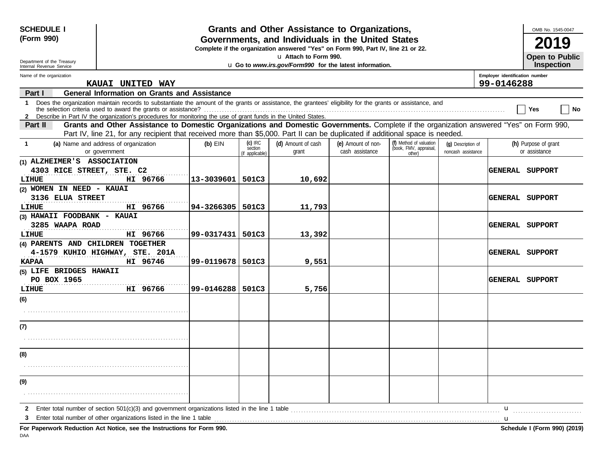| <b>SCHEDULE I</b>                    |                                                                                                                                                                                                                                                                               |                                                                                                                                       |                                         | Grants and Other Assistance to Organizations, |                                       |                                                             |                                          |                                              | OMB No. 1545-0047                     |  |  |
|--------------------------------------|-------------------------------------------------------------------------------------------------------------------------------------------------------------------------------------------------------------------------------------------------------------------------------|---------------------------------------------------------------------------------------------------------------------------------------|-----------------------------------------|-----------------------------------------------|---------------------------------------|-------------------------------------------------------------|------------------------------------------|----------------------------------------------|---------------------------------------|--|--|
| (Form 990)                           |                                                                                                                                                                                                                                                                               | Governments, and Individuals in the United States<br>Complete if the organization answered "Yes" on Form 990, Part IV, line 21 or 22. |                                         | 2019                                          |                                       |                                                             |                                          |                                              |                                       |  |  |
|                                      |                                                                                                                                                                                                                                                                               |                                                                                                                                       |                                         | La Attach to Form 990.                        |                                       |                                                             |                                          |                                              | <b>Open to Public</b>                 |  |  |
| Internal Revenue Service             | Department of the Treasury<br>u Go to www.irs.gov/Form990 for the latest information.                                                                                                                                                                                         |                                                                                                                                       |                                         |                                               |                                       |                                                             |                                          |                                              |                                       |  |  |
| Name of the organization             | KAUAI UNITED WAY                                                                                                                                                                                                                                                              |                                                                                                                                       |                                         |                                               |                                       |                                                             |                                          | Employer identification number<br>99-0146288 |                                       |  |  |
| Part I                               | <b>General Information on Grants and Assistance</b>                                                                                                                                                                                                                           |                                                                                                                                       |                                         |                                               |                                       |                                                             |                                          |                                              |                                       |  |  |
| $\mathbf 1$                          | Does the organization maintain records to substantiate the amount of the grants or assistance, the grantees' eligibility for the grants or assistance, and<br>2 Describe in Part IV the organization's procedures for monitoring the use of grant funds in the United States. |                                                                                                                                       |                                         |                                               |                                       |                                                             |                                          |                                              | No<br>Yes                             |  |  |
| Part II                              | Grants and Other Assistance to Domestic Organizations and Domestic Governments. Complete if the organization answered "Yes" on Form 990,                                                                                                                                      |                                                                                                                                       |                                         |                                               |                                       |                                                             |                                          |                                              |                                       |  |  |
|                                      | Part IV, line 21, for any recipient that received more than \$5,000. Part II can be duplicated if additional space is needed.                                                                                                                                                 |                                                                                                                                       |                                         |                                               |                                       |                                                             |                                          |                                              |                                       |  |  |
| $\overline{1}$                       | (a) Name and address of organization<br>or government                                                                                                                                                                                                                         | $(b)$ EIN                                                                                                                             | $(c)$ IRC<br>section<br>(if applicable) | (d) Amount of cash<br>grant                   | (e) Amount of non-<br>cash assistance | (f) Method of valuation<br>(book, FMV, appraisal,<br>other) | (q) Description of<br>noncash assistance |                                              | (h) Purpose of grant<br>or assistance |  |  |
| (1) ALZHEIMER'S ASSOCIATION          |                                                                                                                                                                                                                                                                               |                                                                                                                                       |                                         |                                               |                                       |                                                             |                                          |                                              |                                       |  |  |
| 4303 RICE STREET, STE. C2            |                                                                                                                                                                                                                                                                               |                                                                                                                                       |                                         |                                               |                                       |                                                             |                                          | GENERAL SUPPORT                              |                                       |  |  |
| LIHUE                                | HI 96766                                                                                                                                                                                                                                                                      | 13-3039601                                                                                                                            | 501C3                                   | 10,692                                        |                                       |                                                             |                                          |                                              |                                       |  |  |
| (2) WOMEN IN NEED - KAUAI            |                                                                                                                                                                                                                                                                               |                                                                                                                                       |                                         |                                               |                                       |                                                             |                                          |                                              |                                       |  |  |
| 3136 ELUA STREET                     |                                                                                                                                                                                                                                                                               | $94 - 3266305$ 501C3                                                                                                                  |                                         |                                               |                                       |                                                             |                                          | GENERAL SUPPORT                              |                                       |  |  |
| LIHUE<br>(3) HAWAII FOODBANK - KAUAI | HI 96766                                                                                                                                                                                                                                                                      |                                                                                                                                       |                                         | 11,793                                        |                                       |                                                             |                                          |                                              |                                       |  |  |
| 3285 WAAPA ROAD                      |                                                                                                                                                                                                                                                                               |                                                                                                                                       |                                         |                                               |                                       |                                                             |                                          | GENERAL SUPPORT                              |                                       |  |  |
| LIHUE                                | HI 96766                                                                                                                                                                                                                                                                      | 99-0317431   501C3                                                                                                                    |                                         | 13,392                                        |                                       |                                                             |                                          |                                              |                                       |  |  |
| (4) PARENTS AND CHILDREN TOGETHER    |                                                                                                                                                                                                                                                                               |                                                                                                                                       |                                         |                                               |                                       |                                                             |                                          |                                              |                                       |  |  |
|                                      | 4-1579 KUHIO HIGHWAY, STE. 201A                                                                                                                                                                                                                                               |                                                                                                                                       |                                         |                                               |                                       |                                                             |                                          | GENERAL SUPPORT                              |                                       |  |  |
| <b>KAPAA</b>                         | HI 96746                                                                                                                                                                                                                                                                      | 99-0119678   501C3                                                                                                                    |                                         | 9,551                                         |                                       |                                                             |                                          |                                              |                                       |  |  |
| (5) LIFE BRIDGES HAWAII              |                                                                                                                                                                                                                                                                               |                                                                                                                                       |                                         |                                               |                                       |                                                             |                                          |                                              |                                       |  |  |
| PO BOX 1965                          |                                                                                                                                                                                                                                                                               |                                                                                                                                       |                                         |                                               |                                       |                                                             |                                          | GENERAL SUPPORT                              |                                       |  |  |
| LIHUE                                | HI 96766                                                                                                                                                                                                                                                                      | 99-0146288   501C3                                                                                                                    |                                         | 5,756                                         |                                       |                                                             |                                          |                                              |                                       |  |  |
| (6)                                  |                                                                                                                                                                                                                                                                               |                                                                                                                                       |                                         |                                               |                                       |                                                             |                                          |                                              |                                       |  |  |
|                                      |                                                                                                                                                                                                                                                                               |                                                                                                                                       |                                         |                                               |                                       |                                                             |                                          |                                              |                                       |  |  |
| (7)                                  |                                                                                                                                                                                                                                                                               |                                                                                                                                       |                                         |                                               |                                       |                                                             |                                          |                                              |                                       |  |  |
|                                      |                                                                                                                                                                                                                                                                               |                                                                                                                                       |                                         |                                               |                                       |                                                             |                                          |                                              |                                       |  |  |
| (8)                                  |                                                                                                                                                                                                                                                                               |                                                                                                                                       |                                         |                                               |                                       |                                                             |                                          |                                              |                                       |  |  |
|                                      |                                                                                                                                                                                                                                                                               |                                                                                                                                       |                                         |                                               |                                       |                                                             |                                          |                                              |                                       |  |  |
| (9)                                  |                                                                                                                                                                                                                                                                               |                                                                                                                                       |                                         |                                               |                                       |                                                             |                                          |                                              |                                       |  |  |
|                                      |                                                                                                                                                                                                                                                                               |                                                                                                                                       |                                         |                                               |                                       |                                                             |                                          |                                              |                                       |  |  |
| $\mathbf{2}$                         | Enter total number of section 501(c)(3) and government organizations listed in the line 1 table enterpresent content of the section 501(c)(3) and government organizations listed in the line 1 table enterpresent content of                                                 |                                                                                                                                       |                                         |                                               |                                       |                                                             |                                          | u                                            |                                       |  |  |
| 3                                    | Enter total number of other organizations listed in the line 1 table                                                                                                                                                                                                          |                                                                                                                                       |                                         |                                               |                                       |                                                             |                                          | <b>u</b>                                     |                                       |  |  |
| DAA                                  | For Paperwork Reduction Act Notice, see the Instructions for Form 990.                                                                                                                                                                                                        |                                                                                                                                       |                                         |                                               |                                       |                                                             |                                          |                                              | Schedule I (Form 990) (2019)          |  |  |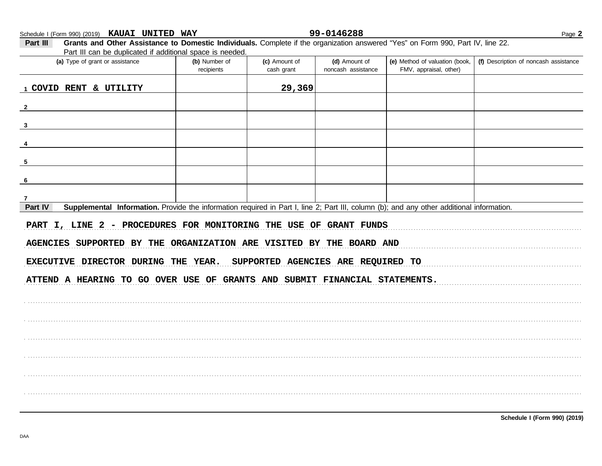Schedule I (Form 990) (2019) KAUAI UNITED WAY

99-0146288

Page 2

| Grants and Other Assistance to Domestic Individuals. Complete if the organization answered "Yes" on Form 990, Part IV, line 22.<br>Part III<br>Part III can be duplicated if additional space is needed. |                             |                                    |                                     |                                                          |                                       |
|----------------------------------------------------------------------------------------------------------------------------------------------------------------------------------------------------------|-----------------------------|------------------------------------|-------------------------------------|----------------------------------------------------------|---------------------------------------|
| (a) Type of grant or assistance                                                                                                                                                                          | (b) Number of<br>recipients | (c) Amount of<br>cash grant        | (d) Amount of<br>noncash assistance | (e) Method of valuation (book,<br>FMV, appraisal, other) | (f) Description of noncash assistance |
| 1 COVID RENT & UTILITY                                                                                                                                                                                   |                             | 29,369                             |                                     |                                                          |                                       |
|                                                                                                                                                                                                          |                             |                                    |                                     |                                                          |                                       |
| 3                                                                                                                                                                                                        |                             |                                    |                                     |                                                          |                                       |
|                                                                                                                                                                                                          |                             |                                    |                                     |                                                          |                                       |
| 5                                                                                                                                                                                                        |                             |                                    |                                     |                                                          |                                       |
| 6                                                                                                                                                                                                        |                             |                                    |                                     |                                                          |                                       |
| 7                                                                                                                                                                                                        |                             |                                    |                                     |                                                          |                                       |
| Supplemental Information. Provide the information required in Part I, line 2; Part III, column (b); and any other additional information.<br>Part IV                                                     |                             |                                    |                                     |                                                          |                                       |
| PART I, LINE 2 - PROCEDURES FOR MONITORING THE USE OF GRANT FUNDS<br>AGENCIES SUPPORTED BY THE ORGANIZATION ARE VISITED BY THE BOARD AND                                                                 |                             |                                    |                                     |                                                          |                                       |
| EXECUTIVE DIRECTOR DURING THE YEAR.                                                                                                                                                                      |                             | SUPPORTED AGENCIES ARE REQUIRED TO |                                     |                                                          |                                       |
| ATTEND A HEARING TO GO OVER USE OF GRANTS AND SUBMIT FINANCIAL STATEMENTS.                                                                                                                               |                             |                                    |                                     |                                                          |                                       |
|                                                                                                                                                                                                          |                             |                                    |                                     |                                                          |                                       |
|                                                                                                                                                                                                          |                             |                                    |                                     |                                                          |                                       |
|                                                                                                                                                                                                          |                             |                                    |                                     |                                                          |                                       |
|                                                                                                                                                                                                          |                             |                                    |                                     |                                                          |                                       |
|                                                                                                                                                                                                          |                             |                                    |                                     |                                                          |                                       |
|                                                                                                                                                                                                          |                             |                                    |                                     |                                                          |                                       |
|                                                                                                                                                                                                          |                             |                                    |                                     |                                                          |                                       |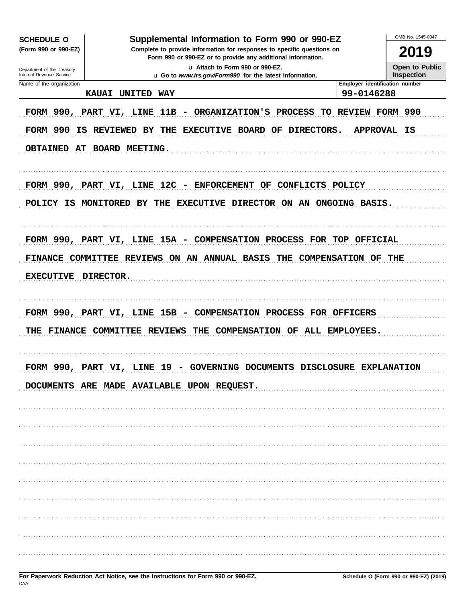| <b>SCHEDULE O</b>                                                                                                                                              | Supplemental Information to Form 990 or 990-EZ                                            |                                | OMB No. 1545-0047     |  |  |  |  |  |  |  |
|----------------------------------------------------------------------------------------------------------------------------------------------------------------|-------------------------------------------------------------------------------------------|--------------------------------|-----------------------|--|--|--|--|--|--|--|
| (Form 990 or 990-EZ)<br>Complete to provide information for responses to specific questions on<br>Form 990 or 990-EZ or to provide any additional information. |                                                                                           |                                |                       |  |  |  |  |  |  |  |
| Department of the Treasury                                                                                                                                     | u Attach to Form 990 or 990-EZ.                                                           |                                | <b>Open to Public</b> |  |  |  |  |  |  |  |
| Internal Revenue Service<br>Name of the organization                                                                                                           | u Go to www.irs.gov/Form990 for the latest information.                                   | Employer identification number | <b>Inspection</b>     |  |  |  |  |  |  |  |
|                                                                                                                                                                | KAUAI UNITED<br>WAY                                                                       | 99-0146288                     |                       |  |  |  |  |  |  |  |
|                                                                                                                                                                | FORM 990, PART VI, LINE 11B<br>ORGANIZATION'S PROCESS<br>TO .<br>$\overline{\phantom{m}}$ | <b>REVIEW</b>                  | <b>FORM 990</b>       |  |  |  |  |  |  |  |
| <b>FORM 990</b><br>IS.                                                                                                                                         | <b>REVIEWED</b><br><b>BOARD OF</b><br>DIRECTORS.<br>BY.<br>THE<br><b>EXECUTIVE</b>        | <b>APPROVAL</b>                | IS                    |  |  |  |  |  |  |  |
| <b>OBTAINED AT</b>                                                                                                                                             | <b>BOARD MEETING.</b>                                                                     |                                |                       |  |  |  |  |  |  |  |
|                                                                                                                                                                |                                                                                           |                                |                       |  |  |  |  |  |  |  |
|                                                                                                                                                                | FORM 990, PART VI, LINE 12C - ENFORCEMENT OF CONFLICTS POLICY                             |                                |                       |  |  |  |  |  |  |  |
| POLICY IS                                                                                                                                                      | MONITORED<br>EXECUTIVE DIRECTOR ON AN ONGOING BASIS.<br>BY.<br>THE                        |                                |                       |  |  |  |  |  |  |  |
|                                                                                                                                                                |                                                                                           |                                |                       |  |  |  |  |  |  |  |
|                                                                                                                                                                |                                                                                           |                                |                       |  |  |  |  |  |  |  |
|                                                                                                                                                                | FORM 990, PART VI, LINE 15A - COMPENSATION PROCESS FOR TOP OFFICIAL                       |                                |                       |  |  |  |  |  |  |  |
| <b>FINANCE COMMITTEE</b>                                                                                                                                       | ON AN ANNUAL BASIS<br><b>REVIEWS</b><br>THE                                               | <b>COMPENSATION OF</b>         | THE                   |  |  |  |  |  |  |  |
| <b>EXECUTIVE</b>                                                                                                                                               | DIRECTOR.                                                                                 |                                |                       |  |  |  |  |  |  |  |
|                                                                                                                                                                |                                                                                           |                                |                       |  |  |  |  |  |  |  |
|                                                                                                                                                                | FORM 990, PART VI, LINE 15B - COMPENSATION PROCESS FOR OFFICERS                           |                                |                       |  |  |  |  |  |  |  |
|                                                                                                                                                                |                                                                                           |                                |                       |  |  |  |  |  |  |  |
| THE<br><b>FINANCE</b>                                                                                                                                          | COMPENSATION OF ALL EMPLOYEES.<br>COMMITTEE<br><b>REVIEWS</b><br>THE                      |                                |                       |  |  |  |  |  |  |  |
|                                                                                                                                                                |                                                                                           |                                |                       |  |  |  |  |  |  |  |
|                                                                                                                                                                | FORM 990, PART VI, LINE 19 - GOVERNING DOCUMENTS DISCLOSURE EXPLANATION                   |                                |                       |  |  |  |  |  |  |  |
|                                                                                                                                                                | DOCUMENTS ARE MADE AVAILABLE UPON REQUEST.                                                |                                |                       |  |  |  |  |  |  |  |
|                                                                                                                                                                |                                                                                           |                                |                       |  |  |  |  |  |  |  |
|                                                                                                                                                                |                                                                                           |                                |                       |  |  |  |  |  |  |  |
|                                                                                                                                                                |                                                                                           |                                |                       |  |  |  |  |  |  |  |
|                                                                                                                                                                |                                                                                           |                                |                       |  |  |  |  |  |  |  |
|                                                                                                                                                                |                                                                                           |                                |                       |  |  |  |  |  |  |  |
|                                                                                                                                                                |                                                                                           |                                |                       |  |  |  |  |  |  |  |
|                                                                                                                                                                |                                                                                           |                                |                       |  |  |  |  |  |  |  |
|                                                                                                                                                                |                                                                                           |                                |                       |  |  |  |  |  |  |  |
|                                                                                                                                                                |                                                                                           |                                |                       |  |  |  |  |  |  |  |
|                                                                                                                                                                |                                                                                           |                                |                       |  |  |  |  |  |  |  |
|                                                                                                                                                                |                                                                                           |                                |                       |  |  |  |  |  |  |  |
|                                                                                                                                                                |                                                                                           |                                |                       |  |  |  |  |  |  |  |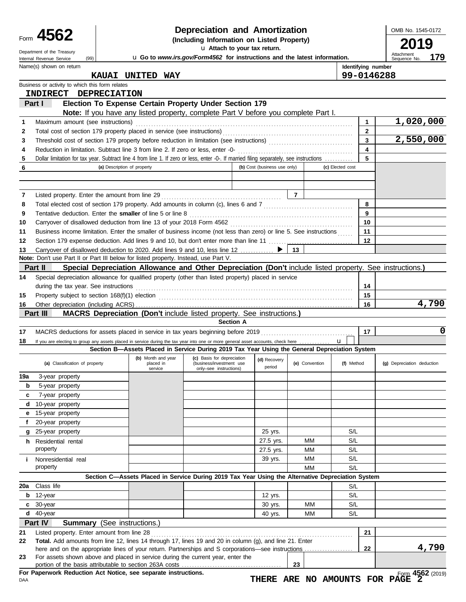|        | Form 4562                                                                                                                                                           |                             |                                                                                                          | OMB No. 1545-0172                                  |                                                                                                           |                |                  |                         |                                   |
|--------|---------------------------------------------------------------------------------------------------------------------------------------------------------------------|-----------------------------|----------------------------------------------------------------------------------------------------------|----------------------------------------------------|-----------------------------------------------------------------------------------------------------------|----------------|------------------|-------------------------|-----------------------------------|
|        | Department of the Treasury<br>(99)<br>Internal Revenue Service                                                                                                      |                             |                                                                                                          |                                                    | u Attach to your tax return.<br>u Go to www.irs.gov/Form4562 for instructions and the latest information. |                |                  |                         | Attachment<br>179<br>Sequence No. |
|        | Name(s) shown on return                                                                                                                                             |                             |                                                                                                          |                                                    |                                                                                                           |                |                  | Identifying number      |                                   |
|        |                                                                                                                                                                     |                             | KAUAI UNITED WAY                                                                                         |                                                    |                                                                                                           |                |                  |                         | 99-0146288                        |
|        | Business or activity to which this form relates                                                                                                                     |                             |                                                                                                          |                                                    |                                                                                                           |                |                  |                         |                                   |
|        | INDIRECT DEPRECIATION                                                                                                                                               |                             |                                                                                                          |                                                    |                                                                                                           |                |                  |                         |                                   |
|        | Part I                                                                                                                                                              |                             | Election To Expense Certain Property Under Section 179                                                   |                                                    |                                                                                                           |                |                  |                         |                                   |
|        |                                                                                                                                                                     |                             | <b>Note:</b> If you have any listed property, complete Part V before you complete Part I.                |                                                    |                                                                                                           |                |                  |                         |                                   |
| 1      | Maximum amount (see instructions)                                                                                                                                   |                             |                                                                                                          |                                                    |                                                                                                           |                |                  | 1                       | 1,020,000                         |
| 2      |                                                                                                                                                                     |                             |                                                                                                          |                                                    |                                                                                                           |                |                  | $\mathbf{2}$            |                                   |
| 3      |                                                                                                                                                                     |                             |                                                                                                          |                                                    |                                                                                                           |                |                  | $\mathbf{3}$            | 2,550,000                         |
| 4      |                                                                                                                                                                     |                             |                                                                                                          |                                                    |                                                                                                           |                |                  | $\overline{\mathbf{4}}$ |                                   |
| 5      | Dollar limitation for tax year. Subtract line 4 from line 1. If zero or less, enter -0-. If married filing separately, see instructions                             |                             |                                                                                                          |                                                    |                                                                                                           |                |                  | 5                       |                                   |
| 6      |                                                                                                                                                                     | (a) Description of property |                                                                                                          |                                                    | (b) Cost (business use only)                                                                              |                | (c) Elected cost |                         |                                   |
|        |                                                                                                                                                                     |                             |                                                                                                          |                                                    |                                                                                                           |                |                  |                         |                                   |
| 7      |                                                                                                                                                                     |                             |                                                                                                          |                                                    |                                                                                                           | $\overline{7}$ |                  |                         |                                   |
| 8      | Total elected cost of section 179 property. Add amounts in column (c), lines 6 and 7 [[[[[[[[[[[[[[[[[[[[[[[[[                                                      |                             |                                                                                                          |                                                    |                                                                                                           |                |                  | 8                       |                                   |
| 9      |                                                                                                                                                                     |                             |                                                                                                          |                                                    |                                                                                                           |                |                  | 9                       |                                   |
| 10     |                                                                                                                                                                     |                             |                                                                                                          |                                                    |                                                                                                           |                |                  | 10                      |                                   |
| 11     | Business income limitation. Enter the smaller of business income (not less than zero) or line 5. See instructions                                                   |                             |                                                                                                          |                                                    |                                                                                                           |                |                  | 11                      |                                   |
| 12     | Section 179 expense deduction. Add lines 9 and 10, but don't enter more than line 11  [11] expense deduction. Add lines 9 and 10, but don't enter more than line 11 |                             |                                                                                                          |                                                    |                                                                                                           |                |                  | 12                      |                                   |
| 13     | Carryover of disallowed deduction to 2020. Add lines 9 and 10, less line 12   ▶ │                                                                                   |                             |                                                                                                          |                                                    |                                                                                                           | 13             |                  |                         |                                   |
|        | Note: Don't use Part II or Part III below for listed property. Instead, use Part V.                                                                                 |                             |                                                                                                          |                                                    |                                                                                                           |                |                  |                         |                                   |
|        | Part II                                                                                                                                                             |                             | Special Depreciation Allowance and Other Depreciation (Don't include listed property. See instructions.) |                                                    |                                                                                                           |                |                  |                         |                                   |
| 14     | Special depreciation allowance for qualified property (other than listed property) placed in service                                                                |                             |                                                                                                          |                                                    |                                                                                                           |                |                  |                         |                                   |
|        | during the tax year. See instructions                                                                                                                               |                             |                                                                                                          |                                                    |                                                                                                           |                |                  | 14                      |                                   |
| 15     |                                                                                                                                                                     |                             |                                                                                                          |                                                    |                                                                                                           |                |                  | 15                      |                                   |
| 16     |                                                                                                                                                                     |                             |                                                                                                          |                                                    |                                                                                                           |                |                  | 16                      | 4,790                             |
|        | Part III                                                                                                                                                            |                             | MACRS Depreciation (Don't include listed property. See instructions.)                                    |                                                    |                                                                                                           |                |                  |                         |                                   |
|        |                                                                                                                                                                     |                             |                                                                                                          | <b>Section A</b>                                   |                                                                                                           |                |                  |                         |                                   |
| 17     |                                                                                                                                                                     |                             |                                                                                                          |                                                    |                                                                                                           |                |                  | 17 <sup>2</sup>         | 0                                 |
| 18     | If you are electing to group any assets placed in service during the tax year into one or more general asset accounts, check here                                   |                             | Section B-Assets Placed in Service During 2019 Tax Year Using the General Depreciation System            |                                                    |                                                                                                           |                | $\mathbf{u}$     |                         |                                   |
|        |                                                                                                                                                                     |                             | (b) Month and year                                                                                       | (c) Basis for depreciation                         |                                                                                                           |                |                  |                         |                                   |
|        | (a) Classification of property                                                                                                                                      |                             | placed in<br>service                                                                                     | (business/investment use<br>only-see instructions) | (d) Recovery<br>period                                                                                    | (e) Convention | (f) Method       |                         | (g) Depreciation deduction        |
| 19a    | 3-year property                                                                                                                                                     |                             |                                                                                                          |                                                    |                                                                                                           |                |                  |                         |                                   |
| b      | 5-year property                                                                                                                                                     |                             |                                                                                                          |                                                    |                                                                                                           |                |                  |                         |                                   |
| c      | 7-year property                                                                                                                                                     |                             |                                                                                                          |                                                    |                                                                                                           |                |                  |                         |                                   |
| d      | 10-year property                                                                                                                                                    |                             |                                                                                                          |                                                    |                                                                                                           |                |                  |                         |                                   |
| е<br>f | 15-year property<br>20-year property                                                                                                                                |                             |                                                                                                          |                                                    |                                                                                                           |                |                  |                         |                                   |
|        | 25-year property                                                                                                                                                    |                             |                                                                                                          |                                                    | 25 yrs.                                                                                                   |                | S/L              |                         |                                   |
| g      | h Residential rental                                                                                                                                                |                             |                                                                                                          |                                                    | 27.5 yrs.                                                                                                 | ΜМ             | S/L              |                         |                                   |
|        | property                                                                                                                                                            |                             |                                                                                                          |                                                    | 27.5 yrs.                                                                                                 | MM             | S/L              |                         |                                   |
|        | <i>i</i> Nonresidential real                                                                                                                                        |                             |                                                                                                          |                                                    | 39 yrs.                                                                                                   | MМ             | S/L              |                         |                                   |
|        | property                                                                                                                                                            |                             |                                                                                                          |                                                    |                                                                                                           | MМ             | S/L              |                         |                                   |
|        |                                                                                                                                                                     |                             | Section C-Assets Placed in Service During 2019 Tax Year Using the Alternative Depreciation System        |                                                    |                                                                                                           |                |                  |                         |                                   |
| 20a    | Class life                                                                                                                                                          |                             |                                                                                                          |                                                    |                                                                                                           |                | S/L              |                         |                                   |
| b      | 12-year                                                                                                                                                             |                             |                                                                                                          |                                                    | 12 yrs.                                                                                                   |                | S/L              |                         |                                   |
| c      | S/L<br>30-year<br>MM<br>30 yrs.                                                                                                                                     |                             |                                                                                                          |                                                    |                                                                                                           |                |                  |                         |                                   |
| d      | 40-year                                                                                                                                                             |                             |                                                                                                          |                                                    | 40 yrs.                                                                                                   | MM             | S/L              |                         |                                   |
|        | Part IV<br><b>Summary</b> (See instructions.)                                                                                                                       |                             |                                                                                                          |                                                    |                                                                                                           |                |                  |                         |                                   |
| 21     | Listed property. Enter amount from line 28                                                                                                                          |                             |                                                                                                          |                                                    |                                                                                                           |                |                  | 21                      |                                   |
| 22     | Total. Add amounts from line 12, lines 14 through 17, lines 19 and 20 in column (g), and line 21. Enter                                                             |                             |                                                                                                          |                                                    |                                                                                                           |                |                  |                         |                                   |
| 23     | For assets shown above and placed in service during the current year, enter the                                                                                     |                             |                                                                                                          |                                                    |                                                                                                           |                |                  | 22                      | 4,790                             |
|        |                                                                                                                                                                     |                             |                                                                                                          |                                                    |                                                                                                           | 23             |                  |                         |                                   |
|        |                                                                                                                                                                     |                             |                                                                                                          |                                                    |                                                                                                           |                |                  |                         |                                   |